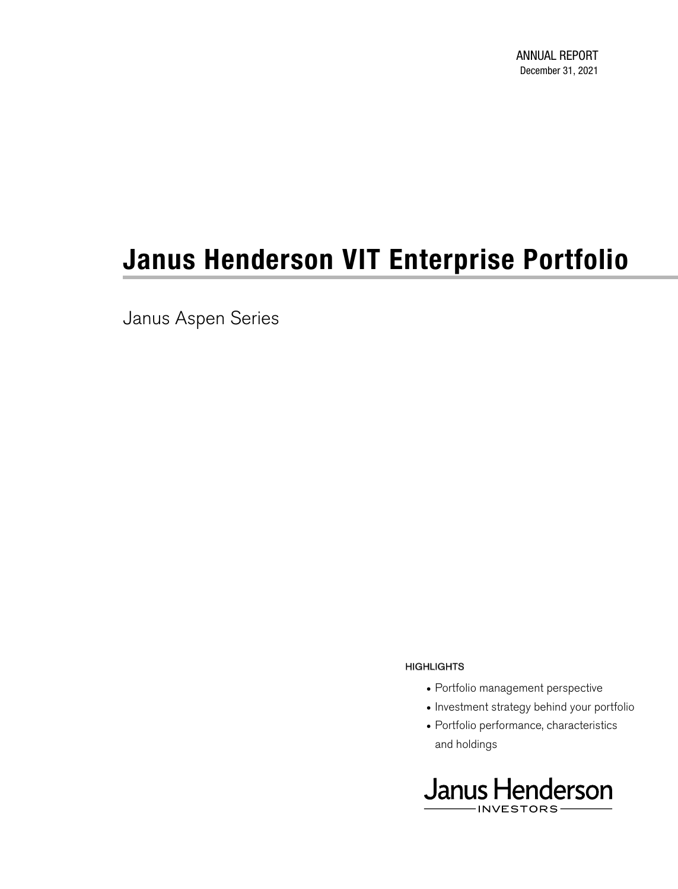Janus Aspen Series

#### **HIGHLIGHTS**

- Portfolio management perspective
- Investment strategy behind your portfolio
- Portfolio performance, characteristics and holdings

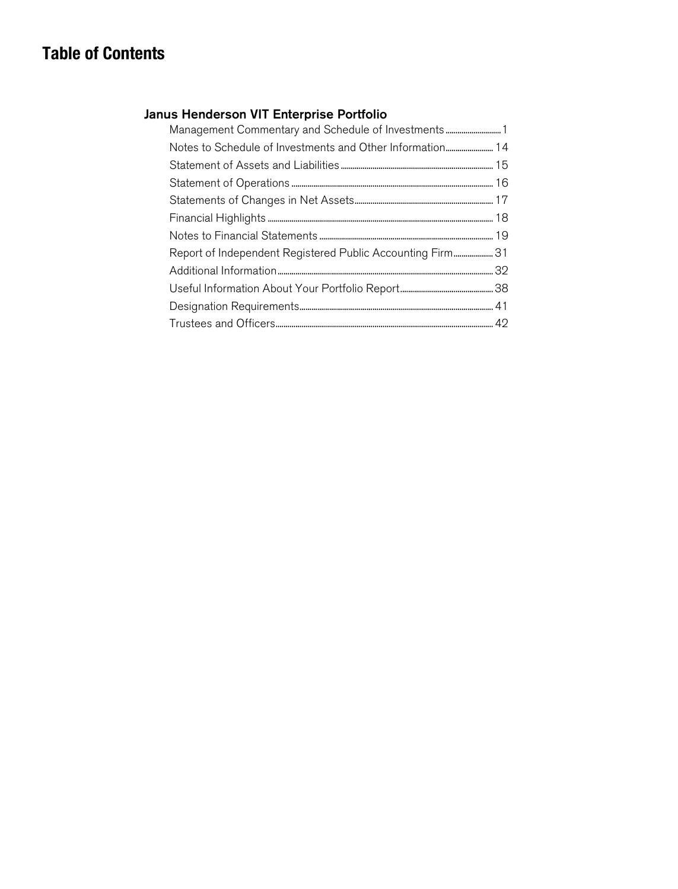## **Table of Contents**

### Janus Henderson VIT Enterprise Portfolio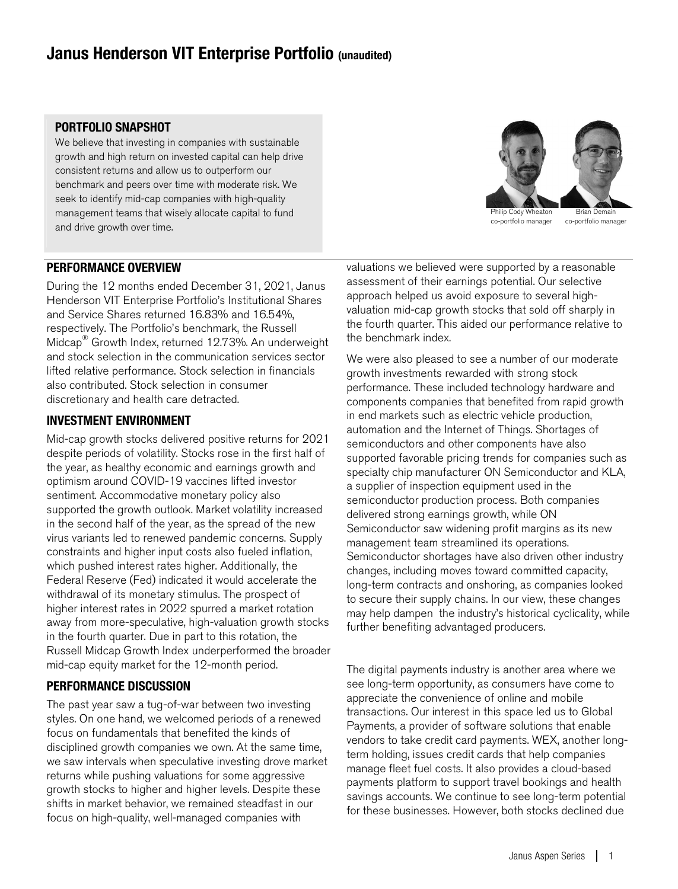### **Janus Henderson VIT Enterprise Portfolio (unaudited)**

### **PORTFOLIO SNAPSHOT**

We believe that investing in companies with sustainable growth and high return on invested capital can help drive consistent returns and allow us to outperform our benchmark and peers over time with moderate risk. We seek to identify mid-cap companies with high-quality management teams that wisely allocate capital to fund and drive growth over time.

## hilip Cody Wheator co-portfolio manager Brian Demain co-portfolio manager

### **PERFORMANCE OVERVIEW**

During the 12 months ended December 31, 2021, Janus Henderson VIT Enterprise Portfolio's Institutional Shares and Service Shares returned 16.83% and 16.54%, respectively. The Portfolio's benchmark, the Russell Midcap ® Growth Index, returned 12.73%. An underweight and stock selection in the communication services sector lifted relative performance. Stock selection in financials also contributed. Stock selection in consumer discretionary and health care detracted.

#### **INVESTMENT ENVIRONMENT**

Mid-cap growth stocks delivered positive returns for 2021 despite periods of volatility. Stocks rose in the first half of the year, as healthy economic and earnings growth and optimism around COVID-19 vaccines lifted investor sentiment. Accommodative monetary policy also supported the growth outlook. Market volatility increased in the second half of the year, as the spread of the new virus variants led to renewed pandemic concerns. Supply constraints and higher input costs also fueled inflation, which pushed interest rates higher. Additionally, the Federal Reserve (Fed) indicated it would accelerate the withdrawal of its monetary stimulus. The prospect of higher interest rates in 2022 spurred a market rotation away from more-speculative, high-valuation growth stocks in the fourth quarter. Due in part to this rotation, the Russell Midcap Growth Index underperformed the broader mid-cap equity market for the 12-month period.

### **PERFORMANCE DISCUSSION**

The past year saw a tug-of-war between two investing styles. On one hand, we welcomed periods of a renewed focus on fundamentals that benefited the kinds of disciplined growth companies we own. At the same time, we saw intervals when speculative investing drove market returns while pushing valuations for some aggressive growth stocks to higher and higher levels. Despite these shifts in market behavior, we remained steadfast in our focus on high-quality, well-managed companies with

valuations we believed were supported by a reasonable assessment of their earnings potential. Our selective approach helped us avoid exposure to several highvaluation mid-cap growth stocks that sold off sharply in the fourth quarter. This aided our performance relative to the benchmark index.

We were also pleased to see a number of our moderate growth investments rewarded with strong stock performance. These included technology hardware and components companies that benefited from rapid growth in end markets such as electric vehicle production, automation and the Internet of Things. Shortages of semiconductors and other components have also supported favorable pricing trends for companies such as specialty chip manufacturer ON Semiconductor and KLA, a supplier of inspection equipment used in the semiconductor production process. Both companies delivered strong earnings growth, while ON Semiconductor saw widening profit margins as its new management team streamlined its operations. Semiconductor shortages have also driven other industry changes, including moves toward committed capacity, long-term contracts and onshoring, as companies looked to secure their supply chains. In our view, these changes may help dampen the industry's historical cyclicality, while further benefiting advantaged producers.

The digital payments industry is another area where we see long-term opportunity, as consumers have come to appreciate the convenience of online and mobile transactions. Our interest in this space led us to Global Payments, a provider of software solutions that enable vendors to take credit card payments. WEX, another longterm holding, issues credit cards that help companies manage fleet fuel costs. It also provides a cloud-based payments platform to support travel bookings and health savings accounts. We continue to see long-term potential for these businesses. However, both stocks declined due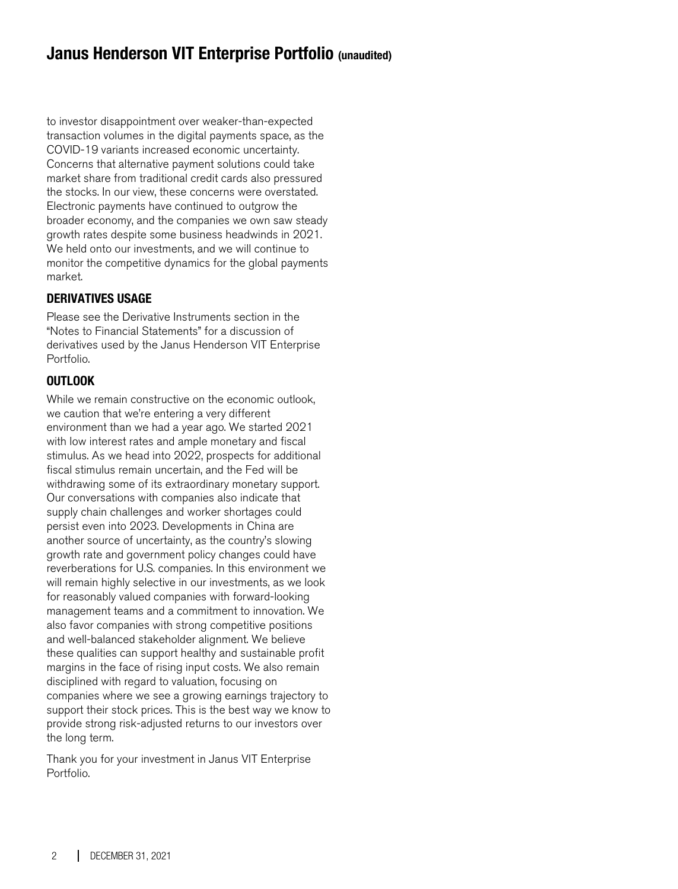### **Janus Henderson VIT Enterprise Portfolio (unaudited)**

to investor disappointment over weaker-than-expected transaction volumes in the digital payments space, as the COVID-19 variants increased economic uncertainty. Concerns that alternative payment solutions could take market share from traditional credit cards also pressured the stocks. In our view, these concerns were overstated. Electronic payments have continued to outgrow the broader economy, and the companies we own saw steady growth rates despite some business headwinds in 2021. We held onto our investments, and we will continue to monitor the competitive dynamics for the global payments market.

### **DERIVATIVES USAGE**

Please see the Derivative Instruments section in the "Notes to Financial Statements" for a discussion of derivatives used by the Janus Henderson VIT Enterprise Portfolio.

### **OUTLOOK**

While we remain constructive on the economic outlook, we caution that we're entering a very different environment than we had a year ago. We started 2021 with low interest rates and ample monetary and fiscal stimulus. As we head into 2022, prospects for additional fiscal stimulus remain uncertain, and the Fed will be withdrawing some of its extraordinary monetary support. Our conversations with companies also indicate that supply chain challenges and worker shortages could persist even into 2023. Developments in China are another source of uncertainty, as the country's slowing growth rate and government policy changes could have reverberations for U.S. companies. In this environment we will remain highly selective in our investments, as we look for reasonably valued companies with forward-looking management teams and a commitment to innovation. We also favor companies with strong competitive positions and well-balanced stakeholder alignment. We believe these qualities can support healthy and sustainable profit margins in the face of rising input costs. We also remain disciplined with regard to valuation, focusing on companies where we see a growing earnings trajectory to support their stock prices. This is the best way we know to provide strong risk-adjusted returns to our investors over the long term.

Thank you for your investment in Janus VIT Enterprise Portfolio.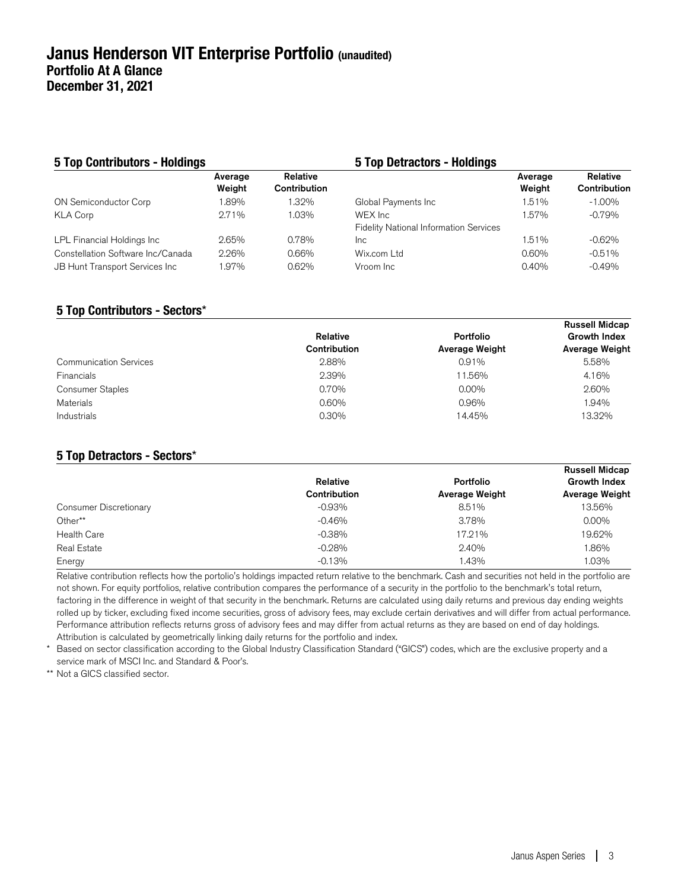| <b>5 Top Contributors - Holdings</b>                                |                   |                          | <b>5 Top Detractors - Holdings</b>                        |                   |                          |
|---------------------------------------------------------------------|-------------------|--------------------------|-----------------------------------------------------------|-------------------|--------------------------|
|                                                                     | Average<br>Weight | Relative<br>Contribution |                                                           | Average<br>Weight | Relative<br>Contribution |
| <b>ON Semiconductor Corp</b>                                        | 1.89%             | 1.32%                    | Global Payments Inc                                       | 1.51%             | $-1.00\%$                |
| <b>KLA Corp</b>                                                     | 2.71%             | 1.03%                    | WEX Inc.<br><b>Fidelity National Information Services</b> | 1.57%             | $-0.79%$                 |
| LPL Financial Holdings Inc                                          | 2.65%             | 0.78%                    | <b>Inc</b>                                                | 1.51%             | $-0.62%$                 |
| Constellation Software Inc/Canada<br>JB Hunt Transport Services Inc | 2.26%<br>1.97%    | 0.66%<br>0.62%           | Wix.com Ltd<br>Vroom Inc.                                 | $0.60\%$<br>0.40% | $-0.51%$<br>$-0.49%$     |
|                                                                     |                   |                          |                                                           |                   |                          |

### **5 Top Contributors - Sectors**\*

|                               |              |                       | <b>Russell Midcap</b> |
|-------------------------------|--------------|-----------------------|-----------------------|
|                               | Relative     | Portfolio             | <b>Growth Index</b>   |
|                               | Contribution | <b>Average Weight</b> | <b>Average Weight</b> |
| <b>Communication Services</b> | 2.88%        | 0.91%                 | 5.58%                 |
| <b>Financials</b>             | 2.39%        | 11.56%                | 4.16%                 |
| <b>Consumer Staples</b>       | 0.70%        | $0.00\%$              | 2.60%                 |
| Materials                     | 0.60%        | 0.96%                 | 1.94%                 |
| Industrials                   | 0.30%        | 14.45%                | 13.32%                |
|                               |              |                       |                       |

### **5 Top Detractors - Sectors**\*

|                        | Relative     | <b>Portfolio</b>      | <b>Russell Midcap</b><br><b>Growth Index</b> |
|------------------------|--------------|-----------------------|----------------------------------------------|
|                        | Contribution | <b>Average Weight</b> | <b>Average Weight</b>                        |
| Consumer Discretionary | $-0.93\%$    | 8.51%                 | 13.56%                                       |
| Other**                | $-0.46%$     | 3.78%                 | $0.00\%$                                     |
| <b>Health Care</b>     | $-0.38%$     | 17.21%                | 19.62%                                       |
| Real Estate            | $-0.28%$     | 2.40%                 | 1.86%                                        |
| Energy                 | $-0.13%$     | 1.43%                 | 1.03%                                        |

Relative contribution reflects how the portolio's holdings impacted return relative to the benchmark. Cash and securities not held in the portfolio are not shown. For equity portfolios, relative contribution compares the performance of a security in the portfolio to the benchmark's total return, factoring in the difference in weight of that security in the benchmark. Returns are calculated using daily returns and previous day ending weights rolled up by ticker, excluding fixed income securities, gross of advisory fees, may exclude certain derivatives and will differ from actual performance. Performance attribution reflects returns gross of advisory fees and may differ from actual returns as they are based on end of day holdings. Attribution is calculated by geometrically linking daily returns for the portfolio and index.

\* Based on sector classification according to the Global Industry Classification Standard ("GICS") codes, which are the exclusive property and a service mark of MSCI Inc. and Standard & Poor's.

\*\* Not a GICS classified sector.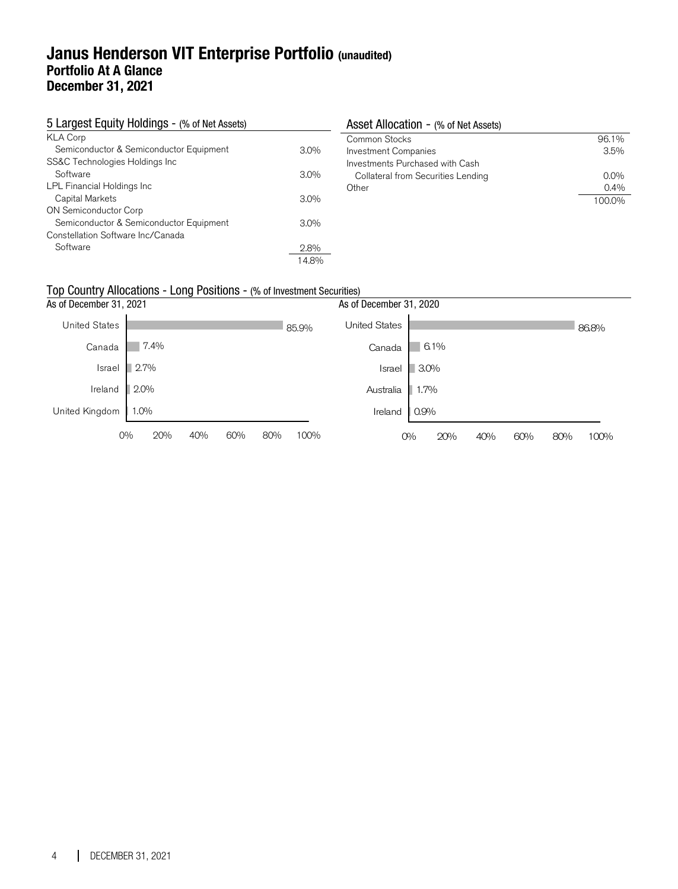### **Janus Henderson VIT Enterprise Portfolio (unaudited) Portfolio At A Glance December 31, 2021**

| 5 Largest Equity Holdings - (% of Net Assets) |         | Asset Allocation - (% of Net Assets) |         |
|-----------------------------------------------|---------|--------------------------------------|---------|
| <b>KLA Corp</b>                               |         | Common Stocks                        | 96.1%   |
| Semiconductor & Semiconductor Equipment       | $3.0\%$ | <b>Investment Companies</b>          | $3.5\%$ |
| SS&C Technologies Holdings Inc                |         | Investments Purchased with Cash      |         |
| Software                                      | $3.0\%$ | Collateral from Securities Lending   | $0.0\%$ |
| LPL Financial Holdings Inc                    |         | Other                                | $0.4\%$ |
| Capital Markets                               | $3.0\%$ |                                      | 100.0%  |
| ON Semiconductor Corp                         |         |                                      |         |
| Semiconductor & Semiconductor Equipment       | $3.0\%$ |                                      |         |
| Constellation Software Inc/Canada             |         |                                      |         |
| Software                                      | 2.8%    |                                      |         |
|                                               | 14.8%   |                                      |         |

### Top Country Allocations - Long Positions - (% of Investment Securities)

| As of December 31, 2021 |      |     |     |     |       | As of December 31, 2020 |         |      |     |     |     |       |
|-------------------------|------|-----|-----|-----|-------|-------------------------|---------|------|-----|-----|-----|-------|
| <b>United States</b>    |      |     |     |     | 85.9% | <b>United States</b>    |         |      |     |     |     | 86.8% |
| Canada                  | 7.4% |     |     |     |       | Canada                  |         | 6.1% |     |     |     |       |
| Israel                  | 2.7% |     |     |     |       | Israel                  | $3.0\%$ |      |     |     |     |       |
| Ireland                 | 2.0% |     |     |     |       | Australia               | $1.7\%$ |      |     |     |     |       |
| United Kingdom          | 1.0% |     |     |     |       | Ireland                 | 0.9%    |      |     |     |     |       |
| $0\%$                   | 20%  | 40% | 60% | 80% | 100%  |                         | $O\%$   | 20%  | 40% | 60% | 80% | 100%  |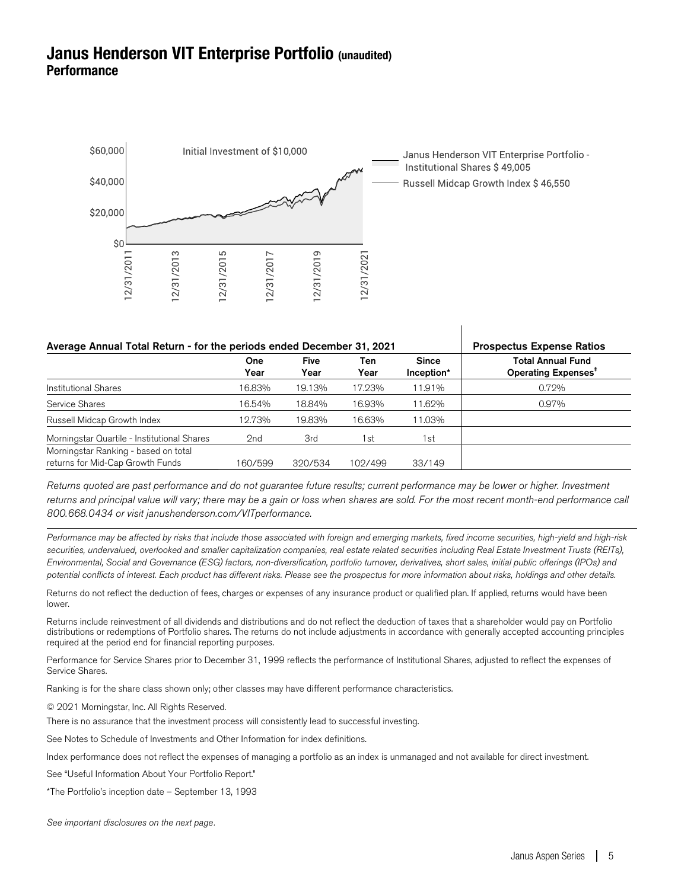### **Janus Henderson VIT Enterprise Portfolio (unaudited) Performance**



| Average Annual Total Return - for the periods ended December 31, 2021 | <b>Prospectus Expense Ratios</b> |                     |             |                            |                                                             |
|-----------------------------------------------------------------------|----------------------------------|---------------------|-------------|----------------------------|-------------------------------------------------------------|
|                                                                       | One<br>Year                      | <b>Five</b><br>Year | Ten<br>Year | <b>Since</b><br>Inception* | <b>Total Annual Fund</b><br>Operating Expenses <sup>#</sup> |
| <b>Institutional Shares</b>                                           | 16.83%                           | 19.13%              | 17.23%      | 11.91%                     | 0.72%                                                       |
| Service Shares                                                        | 16.54%                           | 18.84%              | 16.93%      | 11.62%                     | 0.97%                                                       |
| Russell Midcap Growth Index                                           | 12.73%                           | 19.83%              | 16.63%      | 11.03%                     |                                                             |
| Morningstar Quartile - Institutional Shares                           | 2nd                              | 3rd                 | 1st         | 1st                        |                                                             |
| Morningstar Ranking - based on total                                  |                                  |                     |             |                            |                                                             |
| returns for Mid-Cap Growth Funds                                      | 160/599                          | 320/534             | 102/499     | 33/149                     |                                                             |

Returns quoted are past performance and do not guarantee future results; current performance may be lower or higher. Investment returns and principal value will vary; there may be a gain or loss when shares are sold. For the most recent month-end performance call 800.668.0434 or visit janushenderson.com/VITperformance.

Performance may be affected by risks that include those associated with foreign and emerging markets, fixed income securities, high-yield and high-risk securities, undervalued, overlooked and smaller capitalization companies, real estate related securities including Real Estate Investment Trusts (REITs), Environmental, Social and Governance (ESG) factors, non-diversification, portfolio turnover, derivatives, short sales, initial public offerings (IPOs) and potential conflicts of interest. Each product has different risks. Please see the prospectus for more information about risks, holdings and other details.

Returns do not reflect the deduction of fees, charges or expenses of any insurance product or qualified plan. If applied, returns would have been lower.

Returns include reinvestment of all dividends and distributions and do not reflect the deduction of taxes that a shareholder would pay on Portfolio distributions or redemptions of Portfolio shares. The returns do not include adjustments in accordance with generally accepted accounting principles required at the period end for financial reporting purposes.

Performance for Service Shares prior to December 31, 1999 reflects the performance of Institutional Shares, adjusted to reflect the expenses of Service Shares.

Ranking is for the share class shown only; other classes may have different performance characteristics.

© 2021 Morningstar, Inc. All Rights Reserved.

There is no assurance that the investment process will consistently lead to successful investing.

See Notes to Schedule of Investments and Other Information for index definitions.

Index performance does not reflect the expenses of managing a portfolio as an index is unmanaged and not available for direct investment.

See "Useful Information About Your Portfolio Report."

\*The Portfolio's inception date – September 13, 1993

See important disclosures on the next page.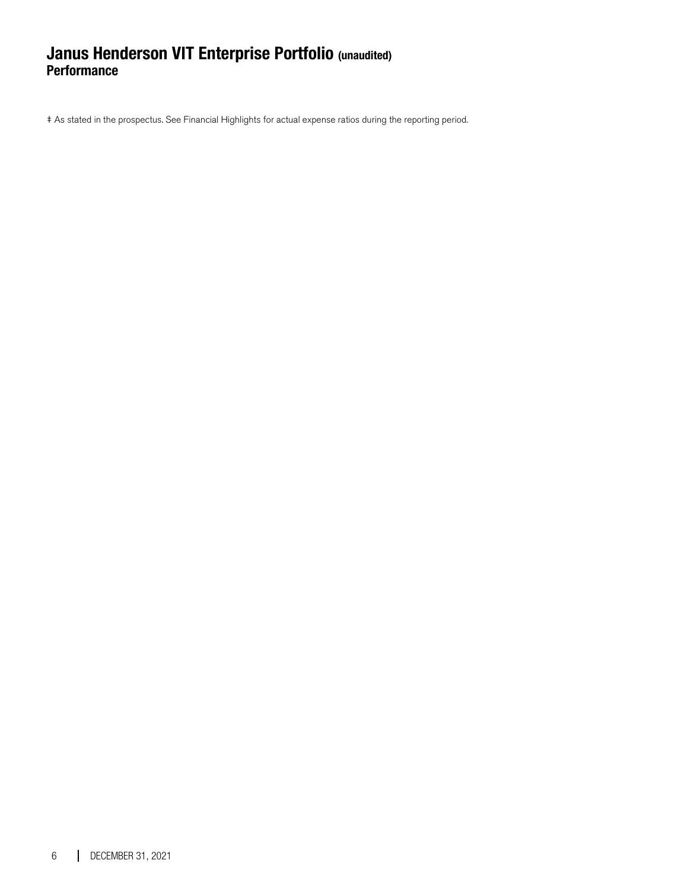### **Janus Henderson VIT Enterprise Portfolio (unaudited) Performance**

‡ As stated in the prospectus. See Financial Highlights for actual expense ratios during the reporting period.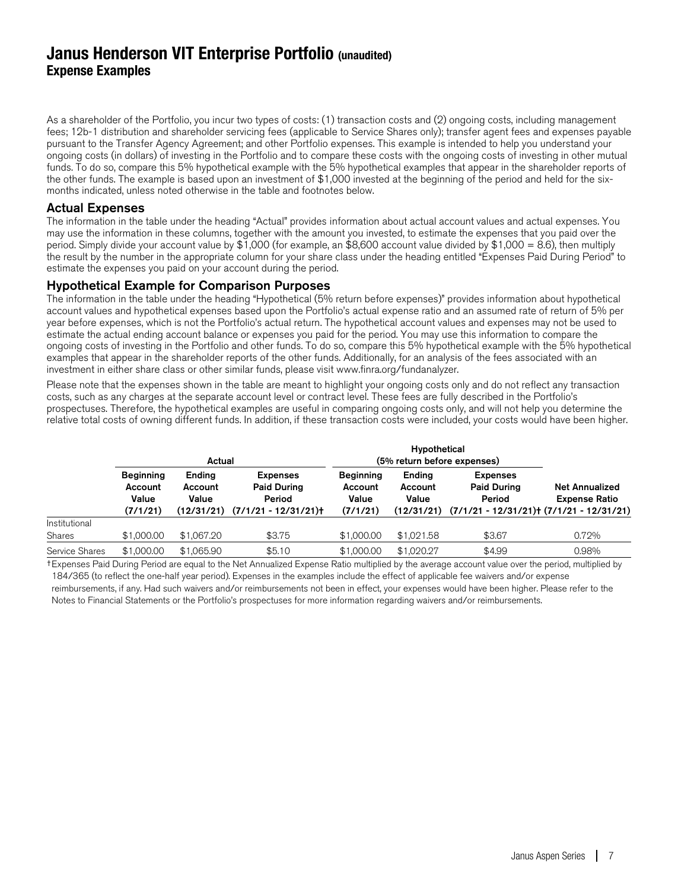### **Janus Henderson VIT Enterprise Portfolio (unaudited) Expense Examples**

As a shareholder of the Portfolio, you incur two types of costs: (1) transaction costs and (2) ongoing costs, including management fees; 12b-1 distribution and shareholder servicing fees (applicable to Service Shares only); transfer agent fees and expenses payable pursuant to the Transfer Agency Agreement; and other Portfolio expenses. This example is intended to help you understand your ongoing costs (in dollars) of investing in the Portfolio and to compare these costs with the ongoing costs of investing in other mutual funds. To do so, compare this 5% hypothetical example with the 5% hypothetical examples that appear in the shareholder reports of the other funds. The example is based upon an investment of \$1,000 invested at the beginning of the period and held for the sixmonths indicated, unless noted otherwise in the table and footnotes below.

### Actual Expenses

The information in the table under the heading "Actual" provides information about actual account values and actual expenses. You may use the information in these columns, together with the amount you invested, to estimate the expenses that you paid over the period. Simply divide your account value by \$1,000 (for example, an \$8,600 account value divided by \$1,000 = 8.6), then multiply the result by the number in the appropriate column for your share class under the heading entitled "Expenses Paid During Period" to estimate the expenses you paid on your account during the period.

### Hypothetical Example for Comparison Purposes

The information in the table under the heading "Hypothetical (5% return before expenses)" provides information about hypothetical account values and hypothetical expenses based upon the Portfolio's actual expense ratio and an assumed rate of return of 5% per year before expenses, which is not the Portfolio's actual return. The hypothetical account values and expenses may not be used to estimate the actual ending account balance or expenses you paid for the period. You may use this information to compare the ongoing costs of investing in the Portfolio and other funds. To do so, compare this 5% hypothetical example with the 5% hypothetical examples that appear in the shareholder reports of the other funds. Additionally, for an analysis of the fees associated with an investment in either share class or other similar funds, please visit www.finra.org/fundanalyzer.

Please note that the expenses shown in the table are meant to highlight your ongoing costs only and do not reflect any transaction costs, such as any charges at the separate account level or contract level. These fees are fully described in the Portfolio's prospectuses. Therefore, the hypothetical examples are useful in comparing ongoing costs only, and will not help you determine the relative total costs of owning different funds. In addition, if these transaction costs were included, your costs would have been higher.

|                | Actual                                           |                                          |                                                                          | (5% return before expenses)                      |                            |                                                                                                             |                                               |
|----------------|--------------------------------------------------|------------------------------------------|--------------------------------------------------------------------------|--------------------------------------------------|----------------------------|-------------------------------------------------------------------------------------------------------------|-----------------------------------------------|
|                | <b>Beginning</b><br>Account<br>Value<br>(7/1/21) | Ending<br>Account<br>Value<br>(12/31/21) | <b>Expenses</b><br><b>Paid During</b><br>Period<br>$(7/1/21 - 12/31/21)$ | <b>Beginning</b><br>Account<br>Value<br>(7/1/21) | Ending<br>Account<br>Value | <b>Expenses</b><br><b>Paid During</b><br>Period<br>$(12/31/21)$ $(7/1/21 - 12/31/21)$ $(7/1/21 - 12/31/21)$ | <b>Net Annualized</b><br><b>Expense Ratio</b> |
| Institutional  |                                                  |                                          |                                                                          |                                                  |                            |                                                                                                             |                                               |
| <b>Shares</b>  | \$1,000.00                                       | \$1,067.20                               | \$3.75                                                                   | \$1,000.00                                       | \$1,021.58                 | \$3.67                                                                                                      | 0.72%                                         |
| Service Shares | \$1,000,00                                       | \$1,065,90                               | \$5.10                                                                   | \$1,000,00                                       | \$1,020.27                 | \$4.99                                                                                                      | 0.98%                                         |

†Expenses Paid During Period are equal to the Net Annualized Expense Ratio multiplied by the average account value over the period, multiplied by 184/365 (to reflect the one-half year period). Expenses in the examples include the effect of applicable fee waivers and/or expense reimbursements, if any. Had such waivers and/or reimbursements not been in effect, your expenses would have been higher. Please refer to the

Notes to Financial Statements or the Portfolio's prospectuses for more information regarding waivers and/or reimbursements.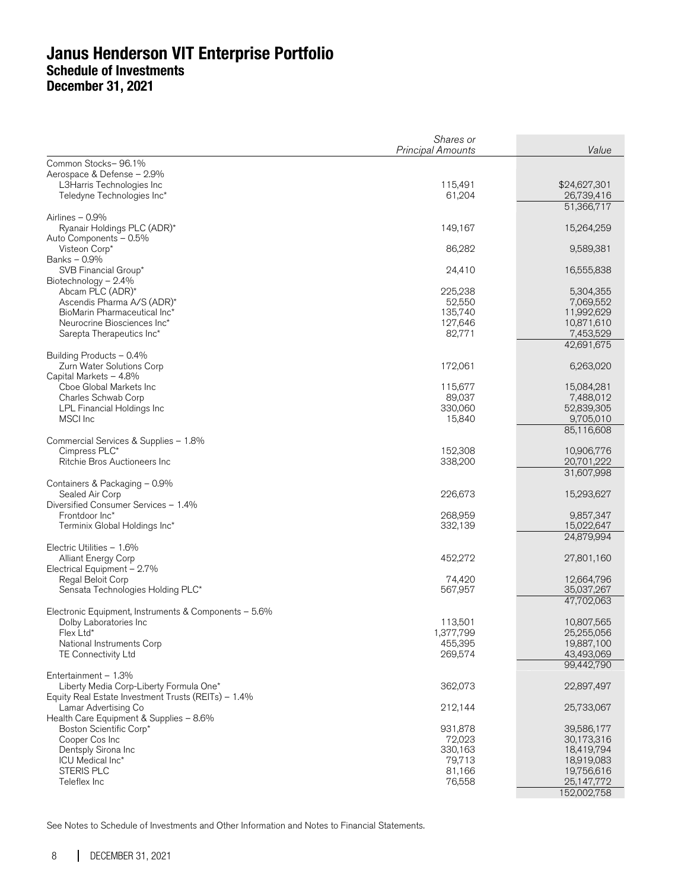|                                                                                                | Shares or<br><b>Principal Amounts</b> | Value                    |
|------------------------------------------------------------------------------------------------|---------------------------------------|--------------------------|
| Common Stocks-96.1%                                                                            |                                       |                          |
| Aerospace & Defense - 2.9%                                                                     |                                       |                          |
| L3Harris Technologies Inc                                                                      | 115,491                               | \$24,627,301             |
| Teledyne Technologies Inc*                                                                     | 61,204                                | 26,739,416               |
|                                                                                                |                                       | 51,366,717               |
| Airlines - 0.9%                                                                                |                                       |                          |
| Ryanair Holdings PLC (ADR)*<br>Auto Components - 0.5%                                          | 149,167                               | 15,264,259               |
| Visteon Corp*                                                                                  | 86,282                                | 9,589,381                |
| Banks - 0.9%                                                                                   |                                       |                          |
| SVB Financial Group*                                                                           | 24,410                                | 16,555,838               |
| Biotechnology $-2.4%$                                                                          |                                       |                          |
| Abcam PLC (ADR)*                                                                               | 225,238                               | 5,304,355                |
| Ascendis Pharma A/S (ADR)*<br>BioMarin Pharmaceutical Inc*                                     | 52,550<br>135,740                     | 7,069,552<br>11,992,629  |
| Neurocrine Biosciences Inc*                                                                    | 127,646                               | 10,871,610               |
| Sarepta Therapeutics Inc*                                                                      | 82,771                                | 7,453,529                |
|                                                                                                |                                       | 42,691,675               |
| Building Products - 0.4%                                                                       |                                       |                          |
| Zurn Water Solutions Corp                                                                      | 172,061                               | 6,263,020                |
| Capital Markets - 4.8%<br>Cboe Global Markets Inc                                              | 115,677                               | 15,084,281               |
| Charles Schwab Corp                                                                            | 89,037                                | 7,488,012                |
| LPL Financial Holdings Inc                                                                     | 330,060                               | 52,839,305               |
| MSCI Inc                                                                                       | 15,840                                | 9,705,010                |
|                                                                                                |                                       | 85,116,608               |
| Commercial Services & Supplies - 1.8%                                                          |                                       |                          |
| Cimpress PLC*                                                                                  | 152,308<br>338,200                    | 10,906,776               |
| Ritchie Bros Auctioneers Inc                                                                   |                                       | 20,701,222<br>31,607,998 |
| Containers & Packaging - 0.9%                                                                  |                                       |                          |
| Sealed Air Corp                                                                                | 226,673                               | 15,293,627               |
| Diversified Consumer Services - 1.4%                                                           |                                       |                          |
| Frontdoor Inc*                                                                                 | 268,959                               | 9,857,347                |
| Terminix Global Holdings Inc*                                                                  | 332,139                               | 15,022,647               |
| Electric Utilities - 1.6%                                                                      |                                       | 24,879,994               |
| Alliant Energy Corp                                                                            | 452,272                               | 27,801,160               |
| Electrical Equipment - 2.7%                                                                    |                                       |                          |
| Regal Beloit Corp                                                                              | 74,420                                | 12,664,796               |
| Sensata Technologies Holding PLC*                                                              | 567,957                               | 35,037,267               |
|                                                                                                |                                       | 47,702,063               |
| Electronic Equipment, Instruments & Components - 5.6%<br>Dolby Laboratories Inc                | 113,501                               | 10,807,565               |
| Flex Ltd*                                                                                      | 1,377,799                             | 25,255,056               |
| National Instruments Corp                                                                      | 455,395                               | 19,887,100               |
| TE Connectivity Ltd                                                                            | 269,574                               | 43,493,069               |
|                                                                                                |                                       | 99,442,790               |
| Entertainment - 1.3%                                                                           |                                       |                          |
| Liberty Media Corp-Liberty Formula One*<br>Equity Real Estate Investment Trusts (REITs) - 1.4% | 362,073                               | 22,897,497               |
| Lamar Advertising Co                                                                           | 212,144                               | 25,733,067               |
| Health Care Equipment & Supplies - 8.6%                                                        |                                       |                          |
| Boston Scientific Corp*                                                                        | 931,878                               | 39,586,177               |
| Cooper Cos Inc                                                                                 | 72,023                                | 30,173,316               |
| Dentsply Sirona Inc                                                                            | 330,163                               | 18,419,794               |
| ICU Medical Inc*<br><b>STERIS PLC</b>                                                          | 79,713<br>81,166                      | 18,919,083<br>19,756,616 |
| Teleflex Inc                                                                                   | 76,558                                | 25,147,772               |
|                                                                                                |                                       | 152,002,758              |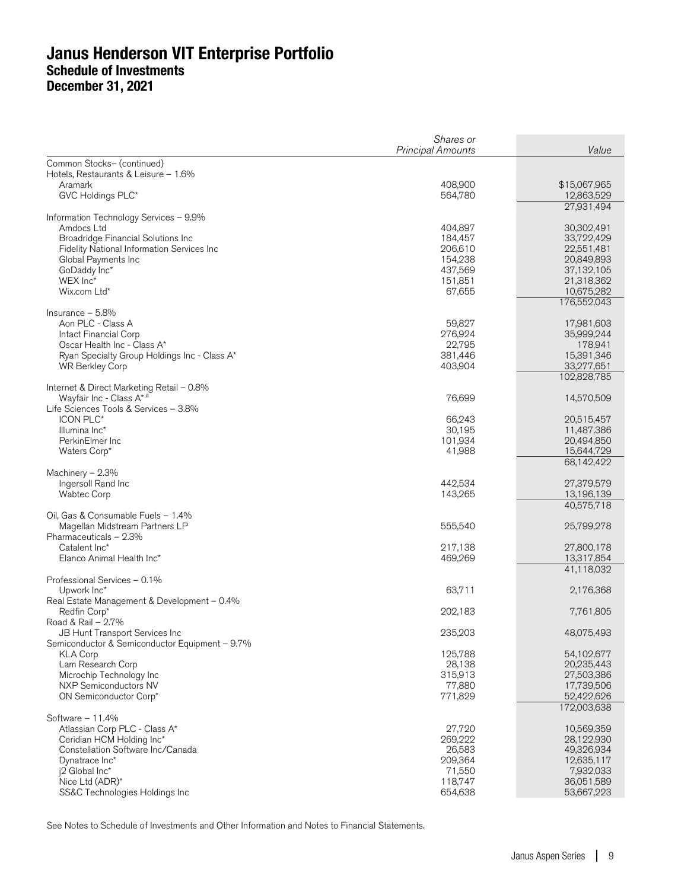|                                                                                  | Shares or                |                          |
|----------------------------------------------------------------------------------|--------------------------|--------------------------|
|                                                                                  | <b>Principal Amounts</b> | Value                    |
| Common Stocks- (continued)<br>Hotels, Restaurants & Leisure - 1.6%               |                          |                          |
| Aramark                                                                          | 408,900                  | \$15,067,965             |
| GVC Holdings PLC*                                                                | 564,780                  | 12,863,529               |
|                                                                                  |                          | 27,931,494               |
| Information Technology Services - 9.9%                                           |                          |                          |
| Amdocs Ltd                                                                       | 404,897                  | 30,302,491               |
| Broadridge Financial Solutions Inc                                               | 184,457                  | 33,722,429<br>22,551,481 |
| Fidelity National Information Services Inc<br>Global Payments Inc                | 206,610<br>154,238       | 20,849,893               |
| GoDaddy Inc*                                                                     | 437,569                  | 37,132,105               |
| WEX Inc*                                                                         | 151,851                  | 21,318,362               |
| Wix.com Ltd*                                                                     | 67,655                   | 10,675,282               |
|                                                                                  |                          | 176,552,043              |
| Insurance $-5.8%$                                                                |                          |                          |
| Aon PLC - Class A<br>Intact Financial Corp                                       | 59,827<br>276,924        | 17,981,603<br>35,999,244 |
| Oscar Health Inc - Class A*                                                      | 22,795                   | 178,941                  |
| Ryan Specialty Group Holdings Inc - Class A*                                     | 381,446                  | 15,391,346               |
| <b>WR Berkley Corp</b>                                                           | 403,904                  | 33,277,651               |
|                                                                                  |                          | 102,828,785              |
| Internet & Direct Marketing Retail - 0.8%                                        |                          |                          |
| Wayfair Inc - Class A*,#<br>Life Sciences Tools & Services - 3.8%                | 76,699                   | 14,570,509               |
| ICON PLC*                                                                        | 66,243                   | 20,515,457               |
| Illumina Inc*                                                                    | 30,195                   | 11,487,386               |
| PerkinElmer Inc                                                                  | 101,934                  | 20,494,850               |
| Waters Corp*                                                                     | 41,988                   | 15,644,729               |
|                                                                                  |                          | 68,142,422               |
| Machinery $-2.3%$                                                                |                          |                          |
| Ingersoll Rand Inc<br><b>Wabtec Corp</b>                                         | 442,534<br>143,265       | 27,379,579<br>13,196,139 |
|                                                                                  |                          | 40,575,718               |
| Oil, Gas & Consumable Fuels - 1.4%                                               |                          |                          |
| Magellan Midstream Partners LP                                                   | 555,540                  | 25,799,278               |
| Pharmaceuticals - 2.3%                                                           |                          |                          |
| Catalent Inc*                                                                    | 217,138                  | 27,800,178               |
| Elanco Animal Health Inc*                                                        | 469,269                  | 13,317,854<br>41,118,032 |
| Professional Services - 0.1%                                                     |                          |                          |
| Upwork Inc*                                                                      | 63,711                   | 2,176,368                |
| Real Estate Management & Development - 0.4%                                      |                          |                          |
| Redfin Corp*                                                                     | 202,183                  | 7,761,805                |
| Road & Rail - 2.7%                                                               |                          |                          |
| JB Hunt Transport Services Inc<br>Semiconductor & Semiconductor Equipment - 9.7% | 235,203                  | 48,075,493               |
| <b>KLA Corp</b>                                                                  | 125,788                  | 54,102,677               |
| Lam Research Corp                                                                | 28,138                   | 20,235,443               |
| Microchip Technology Inc                                                         | 315,913                  | 27,503,386               |
| <b>NXP Semiconductors NV</b>                                                     | 77,880                   | 17,739,506               |
| ON Semiconductor Corp*                                                           | 771,829                  | 52,422,626               |
|                                                                                  |                          | 172,003,638              |
| Software $-11.4%$<br>Atlassian Corp PLC - Class A*                               | 27,720                   | 10,569,359               |
| Ceridian HCM Holding Inc*                                                        | 269,222                  | 28,122,930               |
| Constellation Software Inc/Canada                                                | 26,583                   | 49,326,934               |
| Dynatrace Inc*                                                                   | 209,364                  | 12,635,117               |
| j2 Global Inc*                                                                   | 71,550                   | 7,932,033                |
| Nice Ltd (ADR)*                                                                  | 118,747                  | 36,051,589               |
| SS&C Technologies Holdings Inc                                                   | 654,638                  | 53,667,223               |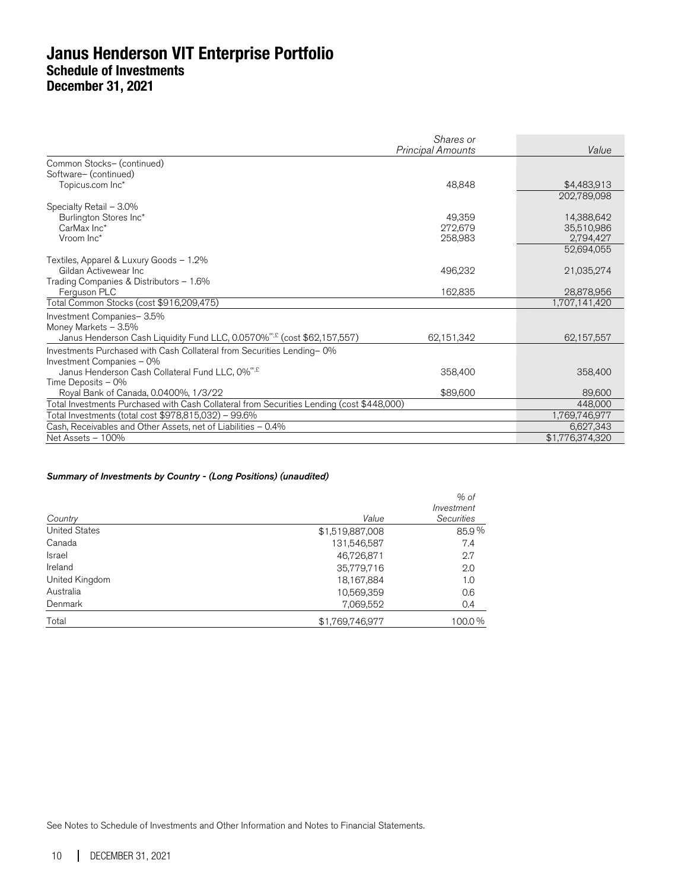|                                                                                           | Shares or<br><b>Principal Amounts</b> | Value           |
|-------------------------------------------------------------------------------------------|---------------------------------------|-----------------|
| Common Stocks- (continued)                                                                |                                       |                 |
| Software- (continued)                                                                     |                                       |                 |
| Topicus.com Inc*                                                                          | 48,848                                | \$4,483,913     |
|                                                                                           |                                       | 202,789,098     |
| Specialty Retail - 3.0%                                                                   |                                       |                 |
| Burlington Stores Inc*                                                                    | 49.359                                | 14,388,642      |
| CarMax Inc*                                                                               | 272,679                               | 35,510,986      |
| Vroom Inc*                                                                                | 258,983                               | 2,794,427       |
|                                                                                           |                                       | 52,694,055      |
| Textiles, Apparel & Luxury Goods - 1.2%                                                   |                                       |                 |
| Gildan Activewear Inc.                                                                    | 496,232                               | 21,035,274      |
| Trading Companies & Distributors - 1.6%                                                   |                                       |                 |
| Ferguson PLC                                                                              | 162,835                               | 28,878,956      |
| Total Common Stocks (cost \$916,209,475)                                                  |                                       | 1,707,141,420   |
| Investment Companies-3.5%                                                                 |                                       |                 |
| Money Markets - 3.5%                                                                      |                                       |                 |
| Janus Henderson Cash Liquidity Fund LLC, 0.0570% <sup>®, £</sup> (cost \$62,157,557)      | 62,151,342                            | 62,157,557      |
| Investments Purchased with Cash Collateral from Securities Lending-0%                     |                                       |                 |
| Investment Companies - 0%                                                                 |                                       |                 |
| Janus Henderson Cash Collateral Fund LLC, 0% <sup>", £</sup>                              | 358,400                               | 358,400         |
| Time Deposits $-0\%$                                                                      |                                       |                 |
| Royal Bank of Canada, 0.0400%, 1/3/22                                                     | \$89,600                              | 89,600          |
| Total Investments Purchased with Cash Collateral from Securities Lending (cost \$448,000) |                                       | 448,000         |
| Total Investments (total cost \$978,815,032) – 99.6%                                      |                                       | 1,769,746,977   |
| Cash, Receivables and Other Assets, net of Liabilities - 0.4%                             |                                       | 6,627,343       |
| Net Assets - 100%                                                                         |                                       | \$1,776,374,320 |

#### Summary of Investments by Country - (Long Positions) (unaudited)

|                      |                 | $%$ of<br>Investment |
|----------------------|-----------------|----------------------|
| Country              | Value           | <b>Securities</b>    |
| <b>United States</b> | \$1,519,887,008 | 85.9%                |
| Canada               | 131,546,587     | 7.4                  |
| Israel               | 46,726,871      | 2.7                  |
| Ireland              | 35,779,716      | 2.0                  |
| United Kingdom       | 18,167,884      | 1.0                  |
| Australia            | 10,569,359      | 0.6                  |
| Denmark              | 7,069,552       | 0.4                  |
| Total                | \$1,769,746,977 | 100.0%               |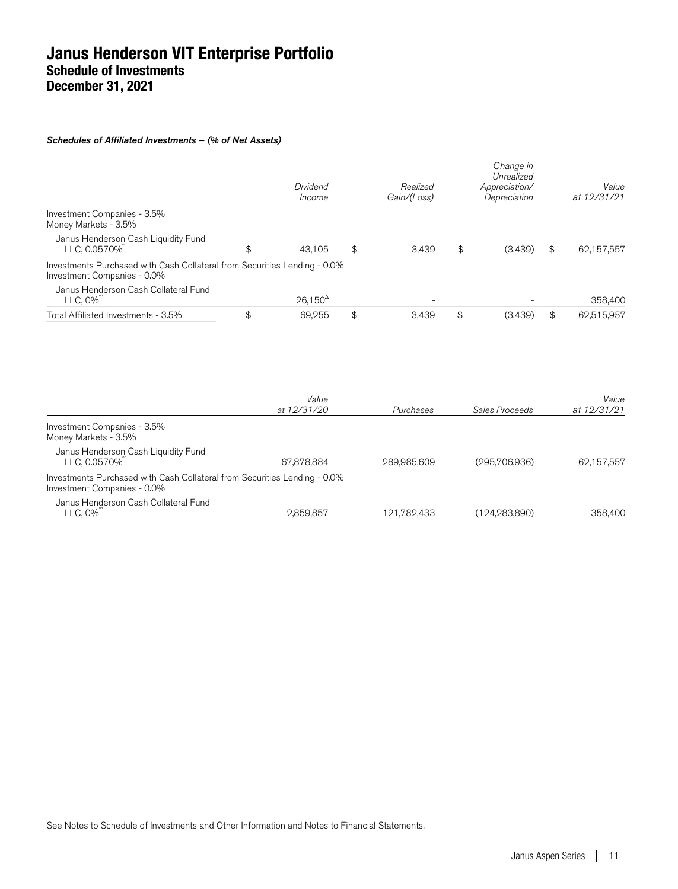#### Schedules of Affiliated Investments – (% of Net Assets)

|                                                                                                          | Gain/(Loss) | Depreciation  | at 12/31/21      |
|----------------------------------------------------------------------------------------------------------|-------------|---------------|------------------|
| Investment Companies - 3.5%<br>Money Markets - 3.5%                                                      |             |               |                  |
| Janus Henderson Cash Liquidity Fund<br>LLC, 0.0570%<br>\$<br>43.105                                      | \$<br>3,439 | \$<br>(3,439) | \$<br>62,157,557 |
| Investments Purchased with Cash Collateral from Securities Lending - 0.0%<br>Investment Companies - 0.0% |             |               |                  |
| Janus Henderson Cash Collateral Fund<br>$26,150^{\circ}$<br>LLC, 0%                                      | -           |               | 358,400          |
| \$<br>69,255<br>Total Affiliated Investments - 3.5%                                                      | \$<br>3.439 | \$<br>(3,439) | \$<br>62,515,957 |

|                                                                                                          | Value       |             |                | Value       |
|----------------------------------------------------------------------------------------------------------|-------------|-------------|----------------|-------------|
|                                                                                                          | at 12/31/20 | Purchases   | Sales Proceeds | at 12/31/21 |
| Investment Companies - 3.5%<br>Money Markets - 3.5%                                                      |             |             |                |             |
| Janus Henderson Cash Liquidity Fund<br>LLC, 0.0570%                                                      | 67,878,884  | 289.985.609 | (295,706,936)  | 62,157,557  |
| Investments Purchased with Cash Collateral from Securities Lending - 0.0%<br>Investment Companies - 0.0% |             |             |                |             |
| Janus Henderson Cash Collateral Fund<br>LLC. 0%                                                          | 2.859.857   | 121.782.433 | (124.283.890)  | 358,400     |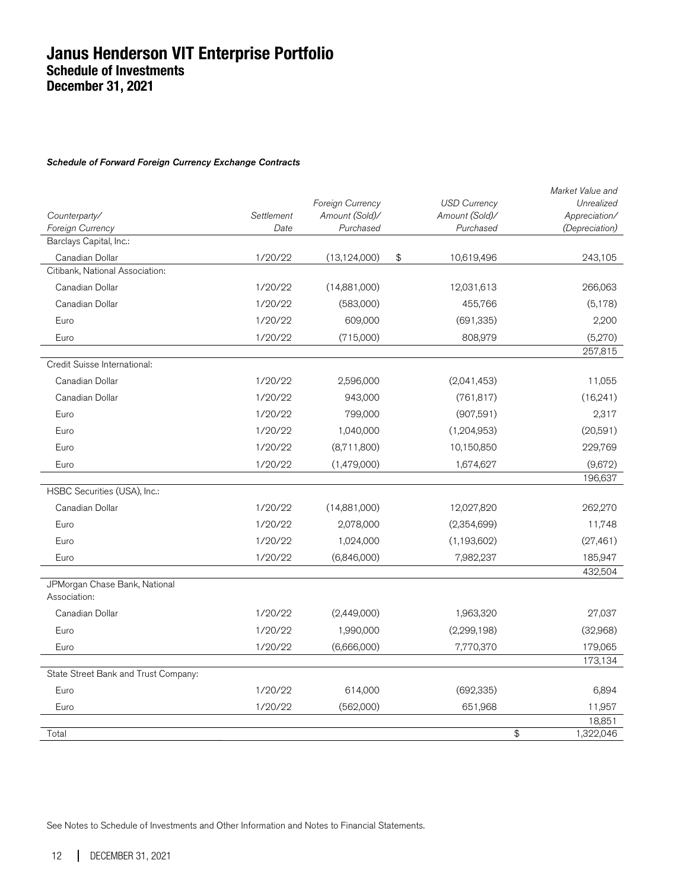#### Schedule of Forward Foreign Currency Exchange Contracts

| Counterparty/<br>Foreign Currency             | Settlement<br>Date | Foreign Currency<br>Amount (Sold)/<br>Purchased | <b>USD Currency</b><br>Amount (Sold)/<br>Purchased | Market Value and<br>Unrealized<br>Appreciation/<br>(Depreciation) |
|-----------------------------------------------|--------------------|-------------------------------------------------|----------------------------------------------------|-------------------------------------------------------------------|
| Barclays Capital, Inc.:                       |                    |                                                 |                                                    |                                                                   |
| Canadian Dollar                               | 1/20/22            | (13, 124, 000)                                  | \$<br>10,619,496                                   | 243,105                                                           |
| Citibank, National Association:               |                    |                                                 |                                                    |                                                                   |
| Canadian Dollar                               | 1/20/22            | (14,881,000)                                    | 12,031,613                                         | 266,063                                                           |
| Canadian Dollar                               | 1/20/22            | (583,000)                                       | 455,766                                            | (5, 178)                                                          |
| Euro                                          | 1/20/22            | 609,000                                         | (691, 335)                                         | 2,200                                                             |
| Euro                                          | 1/20/22            | (715,000)                                       | 808,979                                            | (5,270)                                                           |
|                                               |                    |                                                 |                                                    | 257,815                                                           |
| Credit Suisse International:                  |                    |                                                 |                                                    |                                                                   |
| Canadian Dollar                               | 1/20/22            | 2,596,000                                       | (2,041,453)                                        | 11,055                                                            |
| Canadian Dollar                               | 1/20/22            | 943,000                                         | (761, 817)                                         | (16,241)                                                          |
| Euro                                          | 1/20/22            | 799,000                                         | (907, 591)                                         | 2,317                                                             |
| Euro                                          | 1/20/22            | 1,040,000                                       | (1, 204, 953)                                      | (20,591)                                                          |
| Euro                                          | 1/20/22            | (8,711,800)                                     | 10,150,850                                         | 229,769                                                           |
| Euro                                          | 1/20/22            | (1,479,000)                                     | 1,674,627                                          | (9,672)                                                           |
|                                               |                    |                                                 |                                                    | 196,637                                                           |
| HSBC Securities (USA), Inc.:                  |                    |                                                 |                                                    |                                                                   |
| Canadian Dollar                               | 1/20/22            | (14,881,000)                                    | 12,027,820                                         | 262,270                                                           |
| Euro                                          | 1/20/22            | 2,078,000                                       | (2,354,699)                                        | 11,748                                                            |
| Euro                                          | 1/20/22            | 1,024,000                                       | (1, 193, 602)                                      | (27, 461)                                                         |
| Euro                                          | 1/20/22            | (6,846,000)                                     | 7,982,237                                          | 185,947                                                           |
|                                               |                    |                                                 |                                                    | 432,504                                                           |
| JPMorgan Chase Bank, National<br>Association: |                    |                                                 |                                                    |                                                                   |
| Canadian Dollar                               | 1/20/22            | (2,449,000)                                     | 1,963,320                                          | 27,037                                                            |
| Euro                                          | 1/20/22            | 1,990,000                                       | (2, 299, 198)                                      | (32,968)                                                          |
| Euro                                          | 1/20/22            | (6,666,000)                                     | 7,770,370                                          | 179,065                                                           |
|                                               |                    |                                                 |                                                    | 173,134                                                           |
| State Street Bank and Trust Company:          |                    |                                                 |                                                    |                                                                   |
| Euro                                          | 1/20/22            | 614,000                                         | (692, 335)                                         | 6,894                                                             |
| Euro                                          | 1/20/22            | (562,000)                                       | 651,968                                            | 11,957                                                            |
|                                               |                    |                                                 |                                                    | 18,851                                                            |
| Total                                         |                    |                                                 | \$                                                 | 1,322,046                                                         |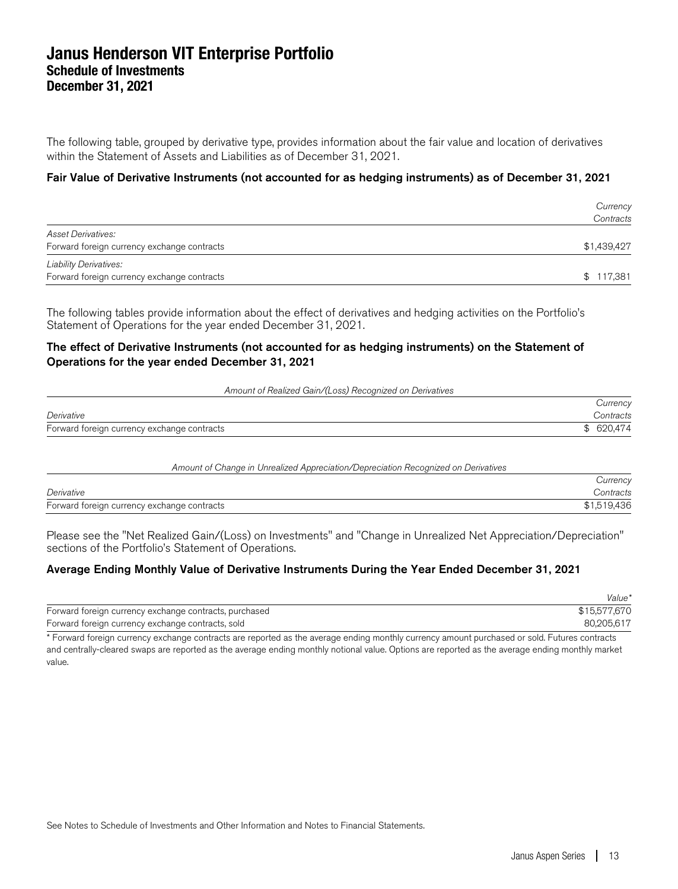The following table, grouped by derivative type, provides information about the fair value and location of derivatives within the Statement of Assets and Liabilities as of December 31, 2021.

#### Fair Value of Derivative Instruments (not accounted for as hedging instruments) as of December 31, 2021

|                                                                              | Currency<br>Contracts |
|------------------------------------------------------------------------------|-----------------------|
| <b>Asset Derivatives:</b><br>Forward foreign currency exchange contracts     | \$1,439,427           |
| <b>Liability Derivatives:</b><br>Forward foreign currency exchange contracts | \$117,381             |

The following tables provide information about the effect of derivatives and hedging activities on the Portfolio's Statement of Operations for the year ended December 31, 2021.

#### The effect of Derivative Instruments (not accounted for as hedging instruments) on the Statement of Operations for the year ended December 31, 2021

#### Amount of Realized Gain/(Loss) Recognized on Derivatives

|                                             | Currency   |
|---------------------------------------------|------------|
| Derivative                                  | Contracts  |
| Forward foreign currency exchange contracts | \$ 620,474 |

| Amount of Change in Unrealized Appreciation/Depreciation Recognized on Derivatives |             |
|------------------------------------------------------------------------------------|-------------|
|                                                                                    | Currency    |
| Derivative                                                                         | Contracts   |
| Forward foreign currency exchange contracts                                        | \$1,519,436 |

Please see the "Net Realized Gain/(Loss) on Investments" and "Change in Unrealized Net Appreciation/Depreciation" sections of the Portfolio's Statement of Operations.

#### Average Ending Monthly Value of Derivative Instruments During the Year Ended December 31, 2021

|                                                        | Value*       |
|--------------------------------------------------------|--------------|
| Forward foreign currency exchange contracts, purchased | \$15,577,670 |
| Forward foreign currency exchange contracts, sold      | 80.205.617   |

\* Forward foreign currency exchange contracts are reported as the average ending monthly currency amount purchased or sold. Futures contracts and centrally-cleared swaps are reported as the average ending monthly notional value. Options are reported as the average ending monthly market value.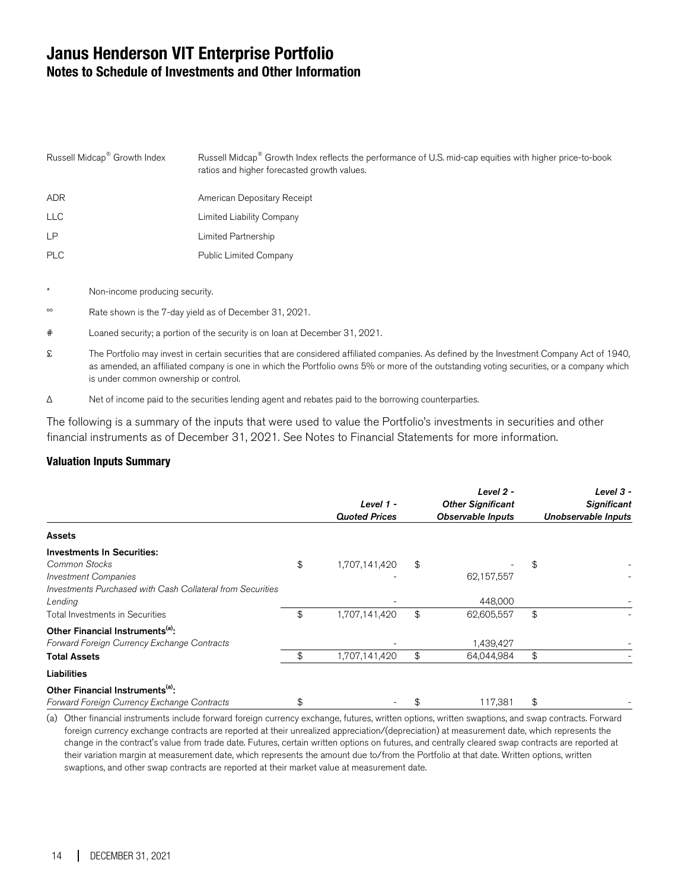### **Janus Henderson VIT Enterprise Portfolio Notes to Schedule of Investments and Other Information**

| Russell Midcap <sup>®</sup> Growth Index | Russell Midcap® Growth Index reflects the performance of U.S. mid-cap equities with higher price-to-book<br>ratios and higher forecasted growth values. |
|------------------------------------------|---------------------------------------------------------------------------------------------------------------------------------------------------------|
| <b>ADR</b>                               | American Depositary Receipt                                                                                                                             |
| <b>LLC</b>                               | Limited Liability Company                                                                                                                               |
| <b>LP</b>                                | Limited Partnership                                                                                                                                     |
| <b>PLC</b>                               | <b>Public Limited Company</b>                                                                                                                           |
|                                          |                                                                                                                                                         |

- Non-income producing security.
- ºº Rate shown is the 7-day yield as of December 31, 2021.
- # Loaned security; a portion of the security is on loan at December 31, 2021.
- £ The Portfolio may invest in certain securities that are considered affiliated companies. As defined by the Investment Company Act of 1940, as amended, an affiliated company is one in which the Portfolio owns 5% or more of the outstanding voting securities, or a company which is under common ownership or control.
- Δ Net of income paid to the securities lending agent and rebates paid to the borrowing counterparties.

The following is a summary of the inputs that were used to value the Portfolio's investments in securities and other financial instruments as of December 31, 2021. See Notes to Financial Statements for more information.

#### **Valuation Inputs Summary**

|                                                                                                                                                 | Level 1 -<br><b>Quoted Prices</b> | Level 2 -<br><b>Other Significant</b><br><b>Observable Inputs</b> | Level 3 -<br><b>Significant</b><br>Unobservable Inputs |
|-------------------------------------------------------------------------------------------------------------------------------------------------|-----------------------------------|-------------------------------------------------------------------|--------------------------------------------------------|
| <b>Assets</b>                                                                                                                                   |                                   |                                                                   |                                                        |
| <b>Investments In Securities:</b><br>Common Stocks<br><b>Investment Companies</b><br>Investments Purchased with Cash Collateral from Securities | \$<br>1,707,141,420               | \$<br>62,157,557                                                  | \$                                                     |
| Lending<br>Total Investments in Securities                                                                                                      | \$<br>1,707,141,420               | \$<br>448,000<br>62,605,557                                       | \$                                                     |
| Other Financial Instruments <sup>(a)</sup> :<br>Forward Foreign Currency Exchange Contracts<br><b>Total Assets</b>                              | \$<br>1,707,141,420               | \$<br>1,439,427<br>64,044,984                                     | \$                                                     |
| Liabilities                                                                                                                                     |                                   |                                                                   |                                                        |
| Other Financial Instruments <sup>(a)</sup> :<br>Forward Foreign Currency Exchange Contracts                                                     | \$                                | 117,381                                                           | \$                                                     |

(a) Other financial instruments include forward foreign currency exchange, futures, written options, written swaptions, and swap contracts. Forward foreign currency exchange contracts are reported at their unrealized appreciation/(depreciation) at measurement date, which represents the change in the contract's value from trade date. Futures, certain written options on futures, and centrally cleared swap contracts are reported at their variation margin at measurement date, which represents the amount due to/from the Portfolio at that date. Written options, written swaptions, and other swap contracts are reported at their market value at measurement date.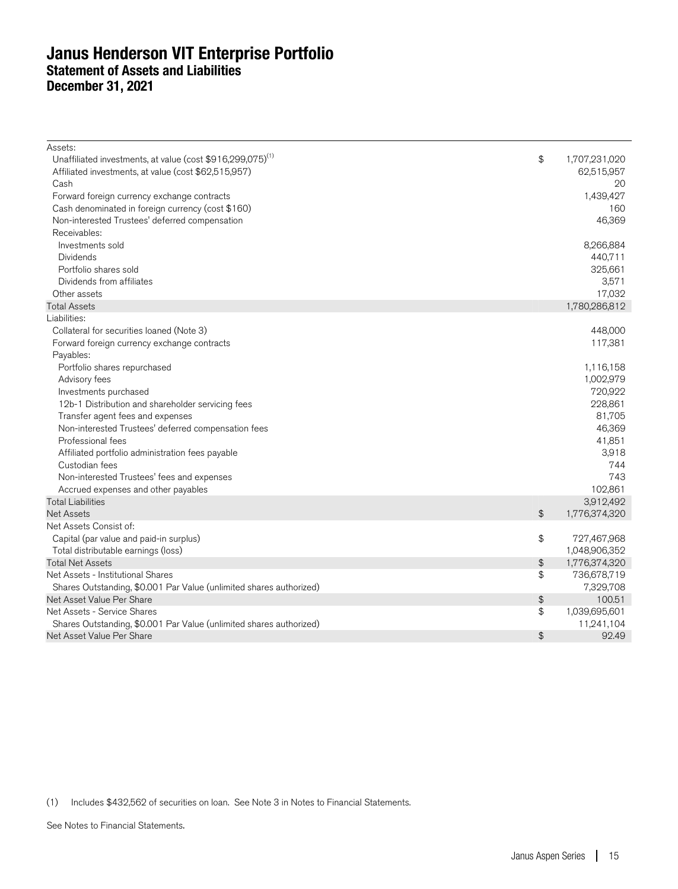### **Janus Henderson VIT Enterprise Portfolio Statement of Assets and Liabilities December 31, 2021**

| Assets:                                                                |                        |               |
|------------------------------------------------------------------------|------------------------|---------------|
| Unaffiliated investments, at value (cost \$916,299,075) <sup>(1)</sup> | \$                     | 1,707,231,020 |
| Affiliated investments, at value (cost \$62,515,957)                   |                        | 62,515,957    |
| Cash                                                                   |                        | 20            |
| Forward foreign currency exchange contracts                            |                        | 1,439,427     |
| Cash denominated in foreign currency (cost \$160)                      |                        | 160           |
| Non-interested Trustees' deferred compensation                         |                        | 46,369        |
| Receivables:                                                           |                        |               |
| Investments sold                                                       |                        | 8,266,884     |
| <b>Dividends</b>                                                       |                        | 440,711       |
| Portfolio shares sold                                                  |                        | 325,661       |
| Dividends from affiliates                                              |                        | 3,571         |
| Other assets                                                           |                        | 17,032        |
| <b>Total Assets</b>                                                    |                        | 1,780,286,812 |
| Liabilities:                                                           |                        |               |
| Collateral for securities loaned (Note 3)                              |                        | 448,000       |
| Forward foreign currency exchange contracts                            |                        | 117,381       |
| Payables:                                                              |                        |               |
| Portfolio shares repurchased                                           |                        | 1,116,158     |
| Advisory fees                                                          |                        | 1,002,979     |
| Investments purchased                                                  |                        | 720,922       |
| 12b-1 Distribution and shareholder servicing fees                      |                        | 228,861       |
| Transfer agent fees and expenses                                       |                        | 81,705        |
| Non-interested Trustees' deferred compensation fees                    |                        | 46,369        |
| Professional fees                                                      |                        | 41,851        |
| Affiliated portfolio administration fees payable                       |                        | 3,918         |
| Custodian fees                                                         |                        | 744           |
| Non-interested Trustees' fees and expenses                             |                        | 743           |
| Accrued expenses and other payables                                    |                        | 102,861       |
| <b>Total Liabilities</b>                                               |                        | 3,912,492     |
| <b>Net Assets</b>                                                      | \$                     | 1,776,374,320 |
| Net Assets Consist of:                                                 |                        |               |
| Capital (par value and paid-in surplus)                                | \$                     | 727,467,968   |
| Total distributable earnings (loss)                                    |                        | 1,048,906,352 |
| <b>Total Net Assets</b>                                                | \$                     | 1,776,374,320 |
| Net Assets - Institutional Shares                                      | \$                     | 736,678,719   |
| Shares Outstanding, \$0.001 Par Value (unlimited shares authorized)    |                        | 7,329,708     |
| Net Asset Value Per Share                                              | $\boldsymbol{\varphi}$ | 100.51        |
| Net Assets - Service Shares                                            | \$                     | 1,039,695,601 |
| Shares Outstanding, \$0.001 Par Value (unlimited shares authorized)    |                        | 11,241,104    |
| Net Asset Value Per Share                                              | $\frac{4}{5}$          | 92.49         |

(1) Includes \$432,562 of securities on loan. See Note 3 in Notes to Financial Statements.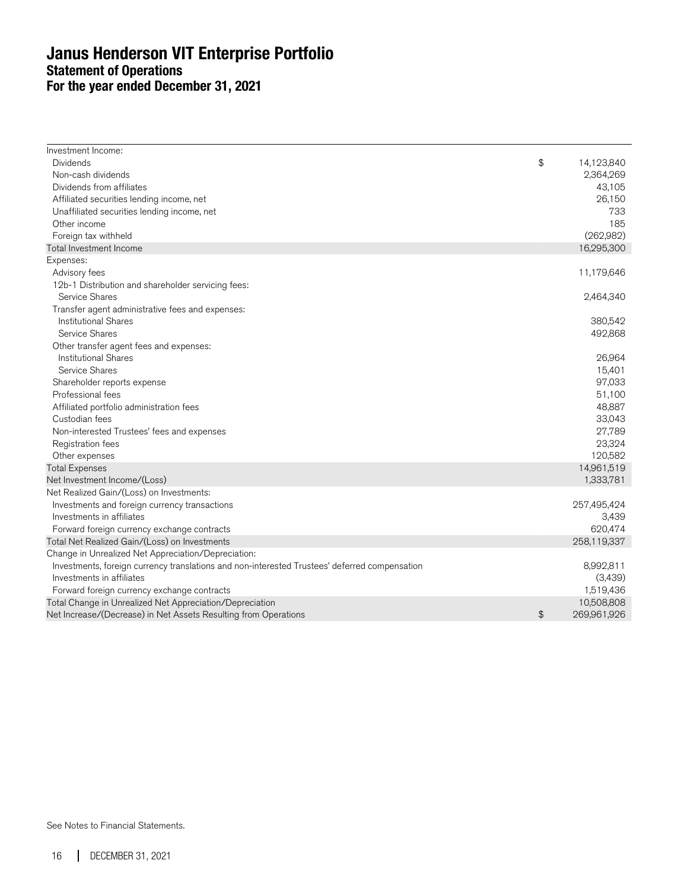### **Janus Henderson VIT Enterprise Portfolio Statement of Operations For the year ended December 31, 2021**

| Investment Income:                                                                            |               |             |
|-----------------------------------------------------------------------------------------------|---------------|-------------|
| <b>Dividends</b>                                                                              | \$            | 14,123,840  |
| Non-cash dividends                                                                            |               | 2,364,269   |
| Dividends from affiliates                                                                     |               | 43,105      |
| Affiliated securities lending income, net                                                     |               | 26,150      |
| Unaffiliated securities lending income, net                                                   |               | 733         |
| Other income                                                                                  |               | 185         |
| Foreign tax withheld                                                                          |               | (262,982)   |
| Total Investment Income                                                                       |               | 16,295,300  |
| Expenses:                                                                                     |               |             |
| Advisory fees                                                                                 |               | 11,179,646  |
| 12b-1 Distribution and shareholder servicing fees:                                            |               |             |
| Service Shares                                                                                |               | 2,464,340   |
| Transfer agent administrative fees and expenses:                                              |               |             |
| <b>Institutional Shares</b>                                                                   |               | 380,542     |
| Service Shares                                                                                |               | 492,868     |
| Other transfer agent fees and expenses:                                                       |               |             |
| Institutional Shares                                                                          |               | 26,964      |
| Service Shares                                                                                |               | 15,401      |
| Shareholder reports expense                                                                   |               | 97,033      |
| Professional fees                                                                             |               | 51,100      |
| Affiliated portfolio administration fees                                                      |               | 48,887      |
| Custodian fees                                                                                |               | 33,043      |
| Non-interested Trustees' fees and expenses                                                    |               | 27,789      |
| Registration fees                                                                             |               | 23,324      |
| Other expenses                                                                                |               | 120,582     |
| <b>Total Expenses</b>                                                                         |               | 14,961,519  |
| Net Investment Income/(Loss)                                                                  |               | 1,333,781   |
| Net Realized Gain/(Loss) on Investments:                                                      |               |             |
| Investments and foreign currency transactions                                                 |               | 257,495,424 |
| Investments in affiliates                                                                     |               | 3,439       |
| Forward foreign currency exchange contracts                                                   |               | 620,474     |
| Total Net Realized Gain/(Loss) on Investments                                                 |               | 258,119,337 |
| Change in Unrealized Net Appreciation/Depreciation:                                           |               |             |
| Investments, foreign currency translations and non-interested Trustees' deferred compensation |               | 8,992,811   |
| Investments in affiliates                                                                     |               | (3,439)     |
| Forward foreign currency exchange contracts                                                   |               | 1,519,436   |
| Total Change in Unrealized Net Appreciation/Depreciation                                      |               | 10,508,808  |
| Net Increase/(Decrease) in Net Assets Resulting from Operations                               | $\frac{1}{2}$ | 269,961,926 |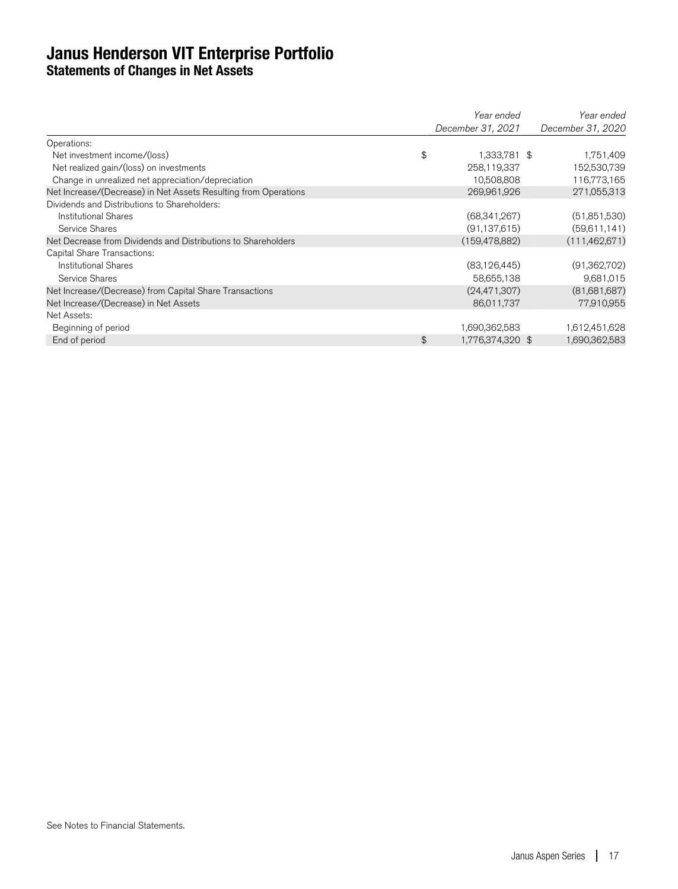### **Janus Henderson VIT Enterprise Portfolio Statements of Changes in Net Assets**

|                                                                 | Year ended        | Year ended        |
|-----------------------------------------------------------------|-------------------|-------------------|
|                                                                 | December 31, 2021 | December 31, 2020 |
| Operations:                                                     |                   |                   |
| \$<br>Net investment income/(loss)                              | 1,333,781 \$      | 1,751,409         |
| Net realized gain/(loss) on investments                         | 258,119,337       | 152,530,739       |
| Change in unrealized net appreciation/depreciation              | 10,508,808        | 116,773,165       |
| Net Increase/(Decrease) in Net Assets Resulting from Operations | 269,961,926       | 271,055,313       |
| Dividends and Distributions to Shareholders:                    |                   |                   |
| Institutional Shares                                            | (68,341,267)      | (51,851,530)      |
| Service Shares                                                  | (91, 137, 615)    | (59,611,141)      |
| Net Decrease from Dividends and Distributions to Shareholders   | (159,478,882)     | (111, 462, 671)   |
| Capital Share Transactions:                                     |                   |                   |
| <b>Institutional Shares</b>                                     | (83, 126, 445)    | (91,362,702)      |
| Service Shares                                                  | 58,655,138        | 9,681,015         |
| Net Increase/(Decrease) from Capital Share Transactions         | (24, 471, 307)    | (81,681,687)      |
| Net Increase/(Decrease) in Net Assets                           | 86,011,737        | 77,910,955        |
| Net Assets:                                                     |                   |                   |
| Beginning of period                                             | 1,690,362,583     | 1,612,451,628     |
| \$<br>End of period                                             | 1,776,374,320 \$  | 1,690,362,583     |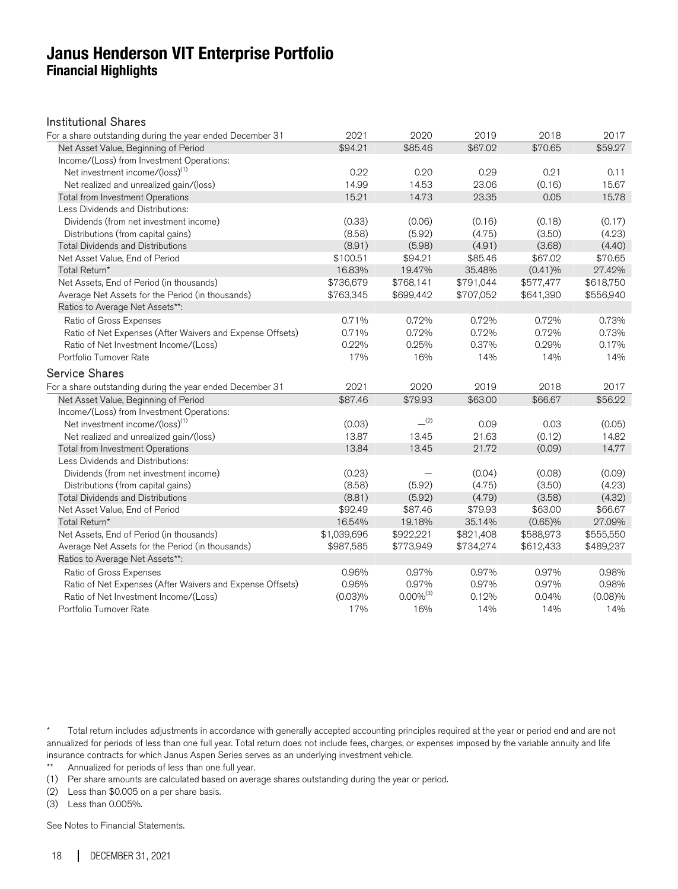### **Janus Henderson VIT Enterprise Portfolio Financial Highlights**

#### Institutional Shares

| For a share outstanding during the year ended December 31 | 2021        | 2020           | 2019      | 2018       | 2017      |
|-----------------------------------------------------------|-------------|----------------|-----------|------------|-----------|
| Net Asset Value, Beginning of Period                      | \$94.21     | \$85.46        | \$67.02   | \$70.65    | \$59.27   |
| Income/(Loss) from Investment Operations:                 |             |                |           |            |           |
| Net investment income/(loss) <sup>(1)</sup>               | 0.22        | 0.20           | 0.29      | 0.21       | 0.11      |
| Net realized and unrealized gain/(loss)                   | 14.99       | 14.53          | 23.06     | (0.16)     | 15.67     |
| Total from Investment Operations                          | 15.21       | 14.73          | 23.35     | 0.05       | 15.78     |
| Less Dividends and Distributions:                         |             |                |           |            |           |
| Dividends (from net investment income)                    | (0.33)      | (0.06)         | (0.16)    | (0.18)     | (0.17)    |
| Distributions (from capital gains)                        | (8.58)      | (5.92)         | (4.75)    | (3.50)     | (4.23)    |
| <b>Total Dividends and Distributions</b>                  | (8.91)      | (5.98)         | (4.91)    | (3.68)     | (4.40)    |
| Net Asset Value, End of Period                            | \$100.51    | \$94.21        | \$85.46   | \$67.02    | \$70.65   |
| Total Return*                                             | 16.83%      | 19.47%         | 35.48%    | $(0.41)\%$ | 27.42%    |
| Net Assets, End of Period (in thousands)                  | \$736,679   | \$768,141      | \$791,044 | \$577,477  | \$618,750 |
| Average Net Assets for the Period (in thousands)          | \$763,345   | \$699,442      | \$707,052 | \$641,390  | \$556,940 |
| Ratios to Average Net Assets**:                           |             |                |           |            |           |
| Ratio of Gross Expenses                                   | 0.71%       | 0.72%          | 0.72%     | 0.72%      | 0.73%     |
| Ratio of Net Expenses (After Waivers and Expense Offsets) | 0.71%       | 0.72%          | 0.72%     | 0.72%      | 0.73%     |
| Ratio of Net Investment Income/(Loss)                     | 0.22%       | 0.25%          | 0.37%     | 0.29%      | 0.17%     |
| Portfolio Turnover Rate                                   | 17%         | 16%            | 14%       | 14%        | 14%       |
| <b>Service Shares</b>                                     |             |                |           |            |           |
| For a share outstanding during the year ended December 31 | 2021        | 2020           | 2019      | 2018       | 2017      |
| Net Asset Value, Beginning of Period                      | \$87.46     | \$79.93        | \$63.00   | \$66.67    | \$56.22   |
| Income/(Loss) from Investment Operations:                 |             |                |           |            |           |
| Net investment income/(loss) <sup>(1)</sup>               | (0.03)      | (2)            | 0.09      | 0.03       | (0.05)    |
| Net realized and unrealized gain/(loss)                   | 13.87       | 13.45          | 21.63     | (0.12)     | 14.82     |
| Total from Investment Operations                          | 13.84       | 13.45          | 21.72     | (0.09)     | 14.77     |
| Less Dividends and Distributions:                         |             |                |           |            |           |
| Dividends (from net investment income)                    | (0.23)      |                | (0.04)    | (0.08)     | (0.09)    |
| Distributions (from capital gains)                        | (8.58)      | (5.92)         | (4.75)    | (3.50)     | (4.23)    |
| <b>Total Dividends and Distributions</b>                  | (8.81)      | (5.92)         | (4.79)    | (3.58)     | (4.32)    |
| Net Asset Value, End of Period                            | \$92.49     | \$87.46        | \$79.93   | \$63.00    | \$66.67   |
| Total Return*                                             | 16.54%      | 19.18%         | 35.14%    | (0.65)%    | 27.09%    |
| Net Assets, End of Period (in thousands)                  | \$1,039,696 | \$922,221      | \$821,408 | \$588,973  | \$555,550 |
| Average Net Assets for the Period (in thousands)          | \$987,585   | \$773,949      | \$734,274 | \$612,433  | \$489,237 |
|                                                           |             |                |           |            |           |
| Ratios to Average Net Assets**:                           |             |                |           |            |           |
| Ratio of Gross Expenses                                   | 0.96%       | 0.97%          | 0.97%     | 0.97%      | 0.98%     |
| Ratio of Net Expenses (After Waivers and Expense Offsets) | 0.96%       | 0.97%          | 0.97%     | 0.97%      | 0.98%     |
| Ratio of Net Investment Income/(Loss)                     | (0.03)%     | $0.00\%^{(3)}$ | 0.12%     | 0.04%      | (0.08)%   |
| Portfolio Turnover Rate                                   | 17%         | 16%            | 14%       | 14%        | 14%       |

\* Total return includes adjustments in accordance with generally accepted accounting principles required at the year or period end and are not annualized for periods of less than one full year. Total return does not include fees, charges, or expenses imposed by the variable annuity and life insurance contracts for which Janus Aspen Series serves as an underlying investment vehicle.<br>\*\* Annualized for periods of less than one full year

Annualized for periods of less than one full year.

(1) Per share amounts are calculated based on average shares outstanding during the year or period.

(2) Less than \$0.005 on a per share basis.

(3) Less than 0.005%.

See Notes to Financial Statements.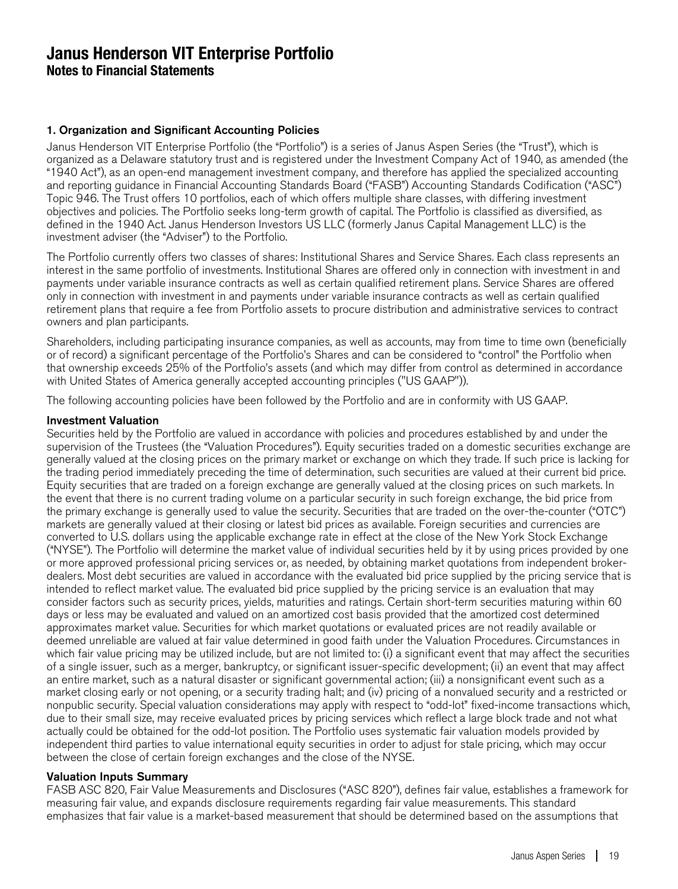#### 1. Organization and Significant Accounting Policies

Janus Henderson VIT Enterprise Portfolio (the "Portfolio") is a series of Janus Aspen Series (the "Trust"), which is organized as a Delaware statutory trust and is registered under the Investment Company Act of 1940, as amended (the "1940 Act"), as an open-end management investment company, and therefore has applied the specialized accounting and reporting guidance in Financial Accounting Standards Board ("FASB") Accounting Standards Codification ("ASC") Topic 946. The Trust offers 10 portfolios, each of which offers multiple share classes, with differing investment objectives and policies. The Portfolio seeks long-term growth of capital. The Portfolio is classified as diversified, as defined in the 1940 Act. Janus Henderson Investors US LLC (formerly Janus Capital Management LLC) is the investment adviser (the "Adviser") to the Portfolio.

The Portfolio currently offers two classes of shares: Institutional Shares and Service Shares. Each class represents an interest in the same portfolio of investments. Institutional Shares are offered only in connection with investment in and payments under variable insurance contracts as well as certain qualified retirement plans. Service Shares are offered only in connection with investment in and payments under variable insurance contracts as well as certain qualified retirement plans that require a fee from Portfolio assets to procure distribution and administrative services to contract owners and plan participants.

Shareholders, including participating insurance companies, as well as accounts, may from time to time own (beneficially or of record) a significant percentage of the Portfolio's Shares and can be considered to "control" the Portfolio when that ownership exceeds 25% of the Portfolio's assets (and which may differ from control as determined in accordance with United States of America generally accepted accounting principles ("US GAAP")).

The following accounting policies have been followed by the Portfolio and are in conformity with US GAAP.

#### Investment Valuation

Securities held by the Portfolio are valued in accordance with policies and procedures established by and under the supervision of the Trustees (the "Valuation Procedures"). Equity securities traded on a domestic securities exchange are generally valued at the closing prices on the primary market or exchange on which they trade. If such price is lacking for the trading period immediately preceding the time of determination, such securities are valued at their current bid price. Equity securities that are traded on a foreign exchange are generally valued at the closing prices on such markets. In the event that there is no current trading volume on a particular security in such foreign exchange, the bid price from the primary exchange is generally used to value the security. Securities that are traded on the over-the-counter ("OTC") markets are generally valued at their closing or latest bid prices as available. Foreign securities and currencies are converted to U.S. dollars using the applicable exchange rate in effect at the close of the New York Stock Exchange ("NYSE"). The Portfolio will determine the market value of individual securities held by it by using prices provided by one or more approved professional pricing services or, as needed, by obtaining market quotations from independent brokerdealers. Most debt securities are valued in accordance with the evaluated bid price supplied by the pricing service that is intended to reflect market value. The evaluated bid price supplied by the pricing service is an evaluation that may consider factors such as security prices, yields, maturities and ratings. Certain short-term securities maturing within 60 days or less may be evaluated and valued on an amortized cost basis provided that the amortized cost determined approximates market value. Securities for which market quotations or evaluated prices are not readily available or deemed unreliable are valued at fair value determined in good faith under the Valuation Procedures. Circumstances in which fair value pricing may be utilized include, but are not limited to: (i) a significant event that may affect the securities of a single issuer, such as a merger, bankruptcy, or significant issuer-specific development; (ii) an event that may affect an entire market, such as a natural disaster or significant governmental action; (iii) a nonsignificant event such as a market closing early or not opening, or a security trading halt; and (iv) pricing of a nonvalued security and a restricted or nonpublic security. Special valuation considerations may apply with respect to "odd-lot" fixed-income transactions which, due to their small size, may receive evaluated prices by pricing services which reflect a large block trade and not what actually could be obtained for the odd-lot position. The Portfolio uses systematic fair valuation models provided by independent third parties to value international equity securities in order to adjust for stale pricing, which may occur between the close of certain foreign exchanges and the close of the NYSE.

#### Valuation Inputs Summary

FASB ASC 820, Fair Value Measurements and Disclosures ("ASC 820"), defines fair value, establishes a framework for measuring fair value, and expands disclosure requirements regarding fair value measurements. This standard emphasizes that fair value is a market-based measurement that should be determined based on the assumptions that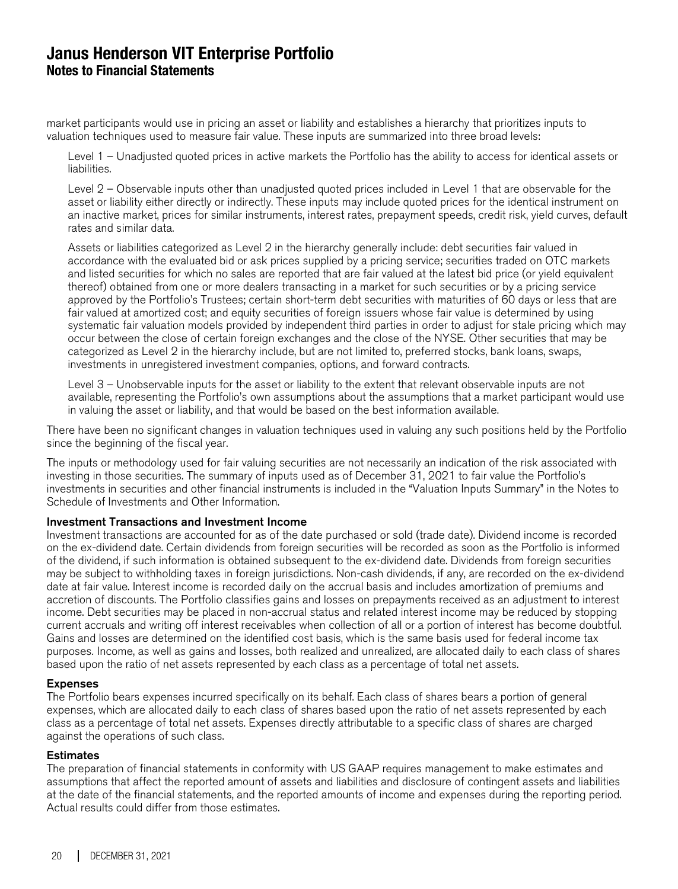market participants would use in pricing an asset or liability and establishes a hierarchy that prioritizes inputs to valuation techniques used to measure fair value. These inputs are summarized into three broad levels:

Level 1 – Unadjusted quoted prices in active markets the Portfolio has the ability to access for identical assets or liabilities.

Level 2 – Observable inputs other than unadjusted quoted prices included in Level 1 that are observable for the asset or liability either directly or indirectly. These inputs may include quoted prices for the identical instrument on an inactive market, prices for similar instruments, interest rates, prepayment speeds, credit risk, yield curves, default rates and similar data.

Assets or liabilities categorized as Level 2 in the hierarchy generally include: debt securities fair valued in accordance with the evaluated bid or ask prices supplied by a pricing service; securities traded on OTC markets and listed securities for which no sales are reported that are fair valued at the latest bid price (or yield equivalent thereof) obtained from one or more dealers transacting in a market for such securities or by a pricing service approved by the Portfolio's Trustees; certain short-term debt securities with maturities of 60 days or less that are fair valued at amortized cost; and equity securities of foreign issuers whose fair value is determined by using systematic fair valuation models provided by independent third parties in order to adjust for stale pricing which may occur between the close of certain foreign exchanges and the close of the NYSE. Other securities that may be categorized as Level 2 in the hierarchy include, but are not limited to, preferred stocks, bank loans, swaps, investments in unregistered investment companies, options, and forward contracts.

Level 3 – Unobservable inputs for the asset or liability to the extent that relevant observable inputs are not available, representing the Portfolio's own assumptions about the assumptions that a market participant would use in valuing the asset or liability, and that would be based on the best information available.

There have been no significant changes in valuation techniques used in valuing any such positions held by the Portfolio since the beginning of the fiscal year.

The inputs or methodology used for fair valuing securities are not necessarily an indication of the risk associated with investing in those securities. The summary of inputs used as of December 31, 2021 to fair value the Portfolio's investments in securities and other financial instruments is included in the "Valuation Inputs Summary" in the Notes to Schedule of Investments and Other Information.

#### Investment Transactions and Investment Income

Investment transactions are accounted for as of the date purchased or sold (trade date). Dividend income is recorded on the ex-dividend date. Certain dividends from foreign securities will be recorded as soon as the Portfolio is informed of the dividend, if such information is obtained subsequent to the ex-dividend date. Dividends from foreign securities may be subject to withholding taxes in foreign jurisdictions. Non-cash dividends, if any, are recorded on the ex-dividend date at fair value. Interest income is recorded daily on the accrual basis and includes amortization of premiums and accretion of discounts. The Portfolio classifies gains and losses on prepayments received as an adjustment to interest income. Debt securities may be placed in non-accrual status and related interest income may be reduced by stopping current accruals and writing off interest receivables when collection of all or a portion of interest has become doubtful. Gains and losses are determined on the identified cost basis, which is the same basis used for federal income tax purposes. Income, as well as gains and losses, both realized and unrealized, are allocated daily to each class of shares based upon the ratio of net assets represented by each class as a percentage of total net assets.

#### Expenses

The Portfolio bears expenses incurred specifically on its behalf. Each class of shares bears a portion of general expenses, which are allocated daily to each class of shares based upon the ratio of net assets represented by each class as a percentage of total net assets. Expenses directly attributable to a specific class of shares are charged against the operations of such class.

#### **Estimates**

The preparation of financial statements in conformity with US GAAP requires management to make estimates and assumptions that affect the reported amount of assets and liabilities and disclosure of contingent assets and liabilities at the date of the financial statements, and the reported amounts of income and expenses during the reporting period. Actual results could differ from those estimates.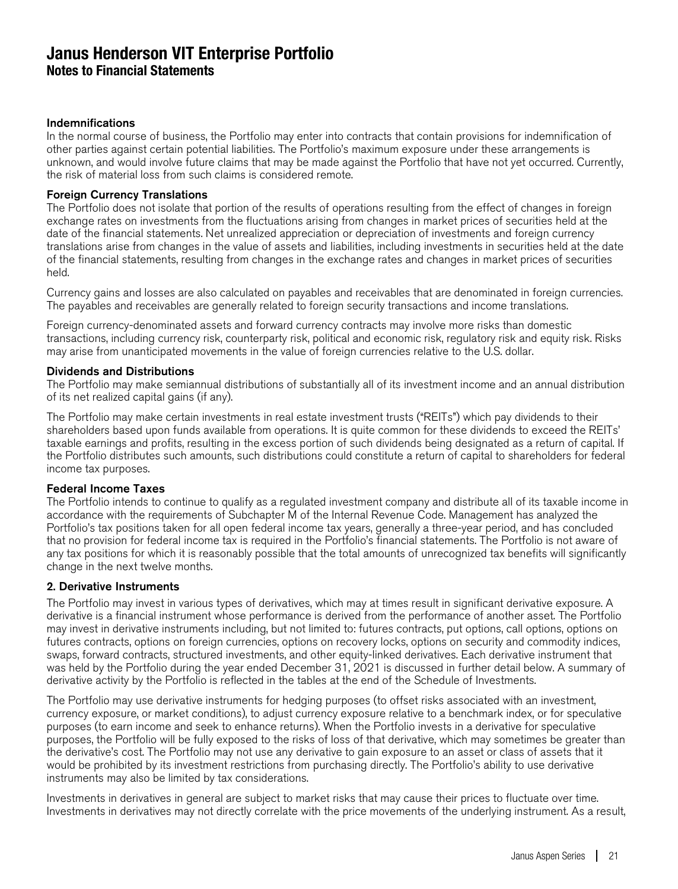#### Indemnifications

In the normal course of business, the Portfolio may enter into contracts that contain provisions for indemnification of other parties against certain potential liabilities. The Portfolio's maximum exposure under these arrangements is unknown, and would involve future claims that may be made against the Portfolio that have not yet occurred. Currently, the risk of material loss from such claims is considered remote.

#### Foreign Currency Translations

The Portfolio does not isolate that portion of the results of operations resulting from the effect of changes in foreign exchange rates on investments from the fluctuations arising from changes in market prices of securities held at the date of the financial statements. Net unrealized appreciation or depreciation of investments and foreign currency translations arise from changes in the value of assets and liabilities, including investments in securities held at the date of the financial statements, resulting from changes in the exchange rates and changes in market prices of securities held.

Currency gains and losses are also calculated on payables and receivables that are denominated in foreign currencies. The payables and receivables are generally related to foreign security transactions and income translations.

Foreign currency-denominated assets and forward currency contracts may involve more risks than domestic transactions, including currency risk, counterparty risk, political and economic risk, regulatory risk and equity risk. Risks may arise from unanticipated movements in the value of foreign currencies relative to the U.S. dollar.

#### Dividends and Distributions

The Portfolio may make semiannual distributions of substantially all of its investment income and an annual distribution of its net realized capital gains (if any).

The Portfolio may make certain investments in real estate investment trusts ("REITs") which pay dividends to their shareholders based upon funds available from operations. It is quite common for these dividends to exceed the REITs' taxable earnings and profits, resulting in the excess portion of such dividends being designated as a return of capital. If the Portfolio distributes such amounts, such distributions could constitute a return of capital to shareholders for federal income tax purposes.

#### Federal Income Taxes

The Portfolio intends to continue to qualify as a regulated investment company and distribute all of its taxable income in accordance with the requirements of Subchapter M of the Internal Revenue Code. Management has analyzed the Portfolio's tax positions taken for all open federal income tax years, generally a three-year period, and has concluded that no provision for federal income tax is required in the Portfolio's financial statements. The Portfolio is not aware of any tax positions for which it is reasonably possible that the total amounts of unrecognized tax benefits will significantly change in the next twelve months.

#### 2. Derivative Instruments

The Portfolio may invest in various types of derivatives, which may at times result in significant derivative exposure. A derivative is a financial instrument whose performance is derived from the performance of another asset. The Portfolio may invest in derivative instruments including, but not limited to: futures contracts, put options, call options, options on futures contracts, options on foreign currencies, options on recovery locks, options on security and commodity indices, swaps, forward contracts, structured investments, and other equity-linked derivatives. Each derivative instrument that was held by the Portfolio during the year ended December 31, 2021 is discussed in further detail below. A summary of derivative activity by the Portfolio is reflected in the tables at the end of the Schedule of Investments.

The Portfolio may use derivative instruments for hedging purposes (to offset risks associated with an investment, currency exposure, or market conditions), to adjust currency exposure relative to a benchmark index, or for speculative purposes (to earn income and seek to enhance returns). When the Portfolio invests in a derivative for speculative purposes, the Portfolio will be fully exposed to the risks of loss of that derivative, which may sometimes be greater than the derivative's cost. The Portfolio may not use any derivative to gain exposure to an asset or class of assets that it would be prohibited by its investment restrictions from purchasing directly. The Portfolio's ability to use derivative instruments may also be limited by tax considerations.

Investments in derivatives in general are subject to market risks that may cause their prices to fluctuate over time. Investments in derivatives may not directly correlate with the price movements of the underlying instrument. As a result,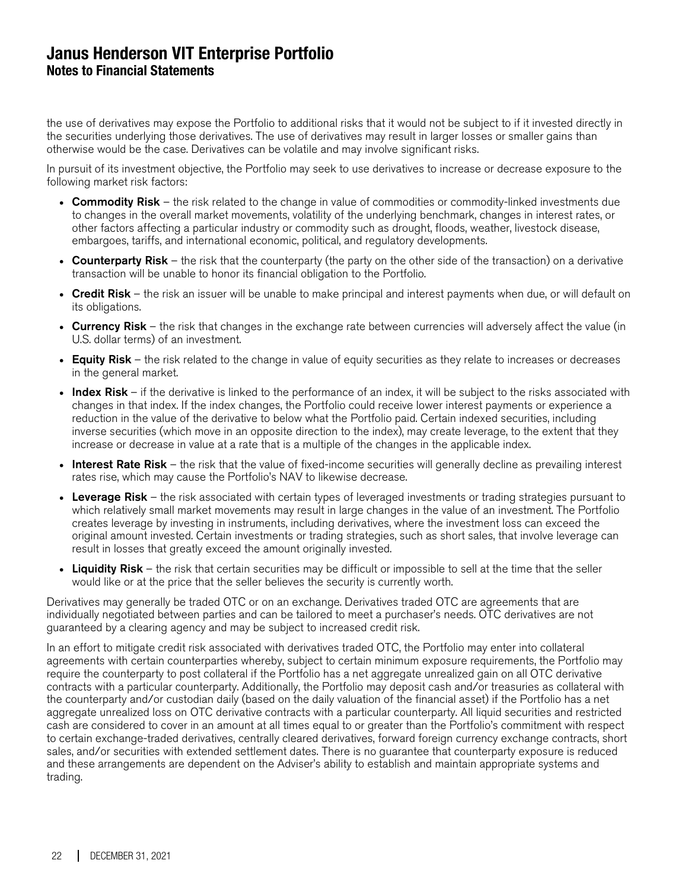the use of derivatives may expose the Portfolio to additional risks that it would not be subject to if it invested directly in the securities underlying those derivatives. The use of derivatives may result in larger losses or smaller gains than otherwise would be the case. Derivatives can be volatile and may involve significant risks.

In pursuit of its investment objective, the Portfolio may seek to use derivatives to increase or decrease exposure to the following market risk factors:

- Commodity Risk the risk related to the change in value of commodities or commodity-linked investments due to changes in the overall market movements, volatility of the underlying benchmark, changes in interest rates, or other factors affecting a particular industry or commodity such as drought, floods, weather, livestock disease, embargoes, tariffs, and international economic, political, and regulatory developments.
- Counterparty Risk the risk that the counterparty (the party on the other side of the transaction) on a derivative transaction will be unable to honor its financial obligation to the Portfolio.
- Credit Risk the risk an issuer will be unable to make principal and interest payments when due, or will default on its obligations.
- Currency Risk the risk that changes in the exchange rate between currencies will adversely affect the value (in U.S. dollar terms) of an investment.
- Equity Risk the risk related to the change in value of equity securities as they relate to increases or decreases in the general market.
- Index Risk if the derivative is linked to the performance of an index, it will be subject to the risks associated with changes in that index. If the index changes, the Portfolio could receive lower interest payments or experience a reduction in the value of the derivative to below what the Portfolio paid. Certain indexed securities, including inverse securities (which move in an opposite direction to the index), may create leverage, to the extent that they increase or decrease in value at a rate that is a multiple of the changes in the applicable index.
- Interest Rate Risk the risk that the value of fixed-income securities will generally decline as prevailing interest rates rise, which may cause the Portfolio's NAV to likewise decrease.
- Leverage Risk the risk associated with certain types of leveraged investments or trading strategies pursuant to which relatively small market movements may result in large changes in the value of an investment. The Portfolio creates leverage by investing in instruments, including derivatives, where the investment loss can exceed the original amount invested. Certain investments or trading strategies, such as short sales, that involve leverage can result in losses that greatly exceed the amount originally invested.
- Liquidity Risk the risk that certain securities may be difficult or impossible to sell at the time that the seller would like or at the price that the seller believes the security is currently worth.

Derivatives may generally be traded OTC or on an exchange. Derivatives traded OTC are agreements that are individually negotiated between parties and can be tailored to meet a purchaser's needs. OTC derivatives are not guaranteed by a clearing agency and may be subject to increased credit risk.

In an effort to mitigate credit risk associated with derivatives traded OTC, the Portfolio may enter into collateral agreements with certain counterparties whereby, subject to certain minimum exposure requirements, the Portfolio may require the counterparty to post collateral if the Portfolio has a net aggregate unrealized gain on all OTC derivative contracts with a particular counterparty. Additionally, the Portfolio may deposit cash and/or treasuries as collateral with the counterparty and/or custodian daily (based on the daily valuation of the financial asset) if the Portfolio has a net aggregate unrealized loss on OTC derivative contracts with a particular counterparty. All liquid securities and restricted cash are considered to cover in an amount at all times equal to or greater than the Portfolio's commitment with respect to certain exchange-traded derivatives, centrally cleared derivatives, forward foreign currency exchange contracts, short sales, and/or securities with extended settlement dates. There is no guarantee that counterparty exposure is reduced and these arrangements are dependent on the Adviser's ability to establish and maintain appropriate systems and trading.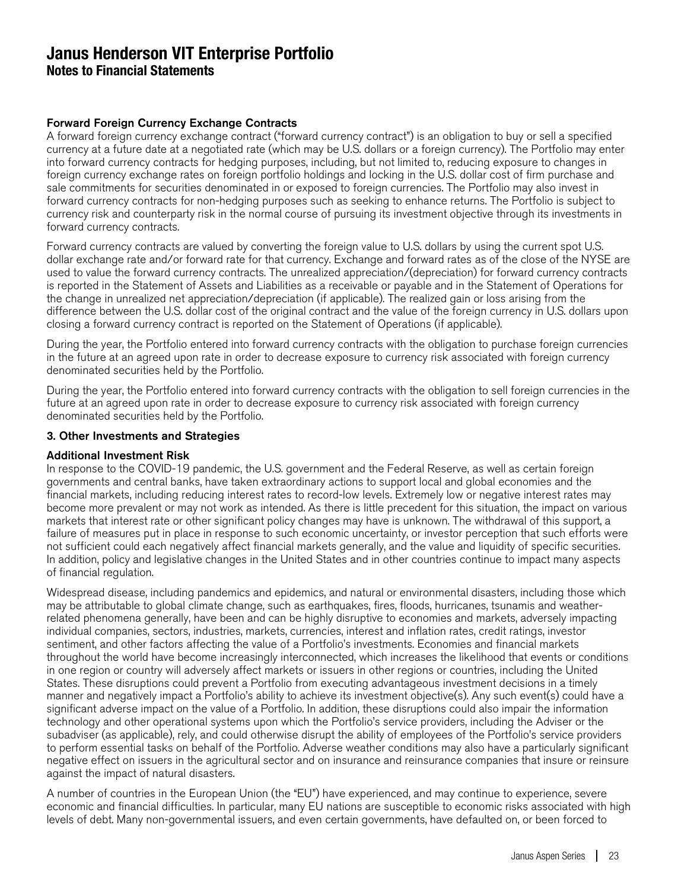### Forward Foreign Currency Exchange Contracts

A forward foreign currency exchange contract ("forward currency contract") is an obligation to buy or sell a specified currency at a future date at a negotiated rate (which may be U.S. dollars or a foreign currency). The Portfolio may enter into forward currency contracts for hedging purposes, including, but not limited to, reducing exposure to changes in foreign currency exchange rates on foreign portfolio holdings and locking in the U.S. dollar cost of firm purchase and sale commitments for securities denominated in or exposed to foreign currencies. The Portfolio may also invest in forward currency contracts for non-hedging purposes such as seeking to enhance returns. The Portfolio is subject to currency risk and counterparty risk in the normal course of pursuing its investment objective through its investments in forward currency contracts.

Forward currency contracts are valued by converting the foreign value to U.S. dollars by using the current spot U.S. dollar exchange rate and/or forward rate for that currency. Exchange and forward rates as of the close of the NYSE are used to value the forward currency contracts. The unrealized appreciation/(depreciation) for forward currency contracts is reported in the Statement of Assets and Liabilities as a receivable or payable and in the Statement of Operations for the change in unrealized net appreciation/depreciation (if applicable). The realized gain or loss arising from the difference between the U.S. dollar cost of the original contract and the value of the foreign currency in U.S. dollars upon closing a forward currency contract is reported on the Statement of Operations (if applicable).

During the year, the Portfolio entered into forward currency contracts with the obligation to purchase foreign currencies in the future at an agreed upon rate in order to decrease exposure to currency risk associated with foreign currency denominated securities held by the Portfolio.

During the year, the Portfolio entered into forward currency contracts with the obligation to sell foreign currencies in the future at an agreed upon rate in order to decrease exposure to currency risk associated with foreign currency denominated securities held by the Portfolio.

#### 3. Other Investments and Strategies

#### Additional Investment Risk

In response to the COVID-19 pandemic, the U.S. government and the Federal Reserve, as well as certain foreign governments and central banks, have taken extraordinary actions to support local and global economies and the financial markets, including reducing interest rates to record-low levels. Extremely low or negative interest rates may become more prevalent or may not work as intended. As there is little precedent for this situation, the impact on various markets that interest rate or other significant policy changes may have is unknown. The withdrawal of this support, a failure of measures put in place in response to such economic uncertainty, or investor perception that such efforts were not sufficient could each negatively affect financial markets generally, and the value and liquidity of specific securities. In addition, policy and legislative changes in the United States and in other countries continue to impact many aspects of financial regulation.

Widespread disease, including pandemics and epidemics, and natural or environmental disasters, including those which may be attributable to global climate change, such as earthquakes, fires, floods, hurricanes, tsunamis and weatherrelated phenomena generally, have been and can be highly disruptive to economies and markets, adversely impacting individual companies, sectors, industries, markets, currencies, interest and inflation rates, credit ratings, investor sentiment, and other factors affecting the value of a Portfolio's investments. Economies and financial markets throughout the world have become increasingly interconnected, which increases the likelihood that events or conditions in one region or country will adversely affect markets or issuers in other regions or countries, including the United States. These disruptions could prevent a Portfolio from executing advantageous investment decisions in a timely manner and negatively impact a Portfolio's ability to achieve its investment objective(s). Any such event(s) could have a significant adverse impact on the value of a Portfolio. In addition, these disruptions could also impair the information technology and other operational systems upon which the Portfolio's service providers, including the Adviser or the subadviser (as applicable), rely, and could otherwise disrupt the ability of employees of the Portfolio's service providers to perform essential tasks on behalf of the Portfolio. Adverse weather conditions may also have a particularly significant negative effect on issuers in the agricultural sector and on insurance and reinsurance companies that insure or reinsure against the impact of natural disasters.

A number of countries in the European Union (the "EU") have experienced, and may continue to experience, severe economic and financial difficulties. In particular, many EU nations are susceptible to economic risks associated with high levels of debt. Many non-governmental issuers, and even certain governments, have defaulted on, or been forced to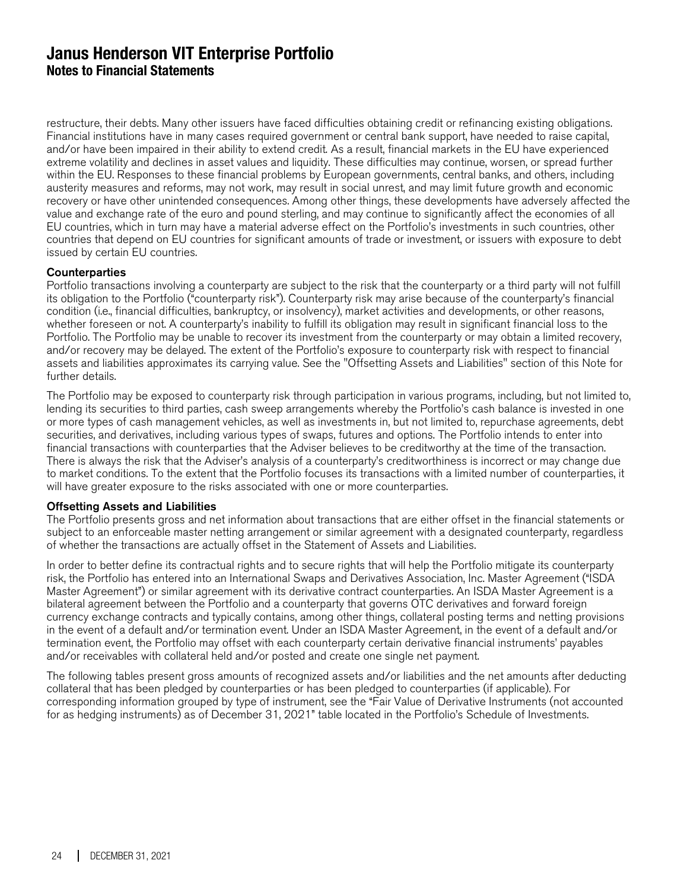restructure, their debts. Many other issuers have faced difficulties obtaining credit or refinancing existing obligations. Financial institutions have in many cases required government or central bank support, have needed to raise capital, and/or have been impaired in their ability to extend credit. As a result, financial markets in the EU have experienced extreme volatility and declines in asset values and liquidity. These difficulties may continue, worsen, or spread further within the EU. Responses to these financial problems by European governments, central banks, and others, including austerity measures and reforms, may not work, may result in social unrest, and may limit future growth and economic recovery or have other unintended consequences. Among other things, these developments have adversely affected the value and exchange rate of the euro and pound sterling, and may continue to significantly affect the economies of all EU countries, which in turn may have a material adverse effect on the Portfolio's investments in such countries, other countries that depend on EU countries for significant amounts of trade or investment, or issuers with exposure to debt issued by certain EU countries.

#### **Counterparties**

Portfolio transactions involving a counterparty are subject to the risk that the counterparty or a third party will not fulfill its obligation to the Portfolio ("counterparty risk"). Counterparty risk may arise because of the counterparty's financial condition (i.e., financial difficulties, bankruptcy, or insolvency), market activities and developments, or other reasons, whether foreseen or not. A counterparty's inability to fulfill its obligation may result in significant financial loss to the Portfolio. The Portfolio may be unable to recover its investment from the counterparty or may obtain a limited recovery, and/or recovery may be delayed. The extent of the Portfolio's exposure to counterparty risk with respect to financial assets and liabilities approximates its carrying value. See the "Offsetting Assets and Liabilities" section of this Note for further details.

The Portfolio may be exposed to counterparty risk through participation in various programs, including, but not limited to, lending its securities to third parties, cash sweep arrangements whereby the Portfolio's cash balance is invested in one or more types of cash management vehicles, as well as investments in, but not limited to, repurchase agreements, debt securities, and derivatives, including various types of swaps, futures and options. The Portfolio intends to enter into financial transactions with counterparties that the Adviser believes to be creditworthy at the time of the transaction. There is always the risk that the Adviser's analysis of a counterparty's creditworthiness is incorrect or may change due to market conditions. To the extent that the Portfolio focuses its transactions with a limited number of counterparties, it will have greater exposure to the risks associated with one or more counterparties.

#### Offsetting Assets and Liabilities

The Portfolio presents gross and net information about transactions that are either offset in the financial statements or subject to an enforceable master netting arrangement or similar agreement with a designated counterparty, regardless of whether the transactions are actually offset in the Statement of Assets and Liabilities.

In order to better define its contractual rights and to secure rights that will help the Portfolio mitigate its counterparty risk, the Portfolio has entered into an International Swaps and Derivatives Association, Inc. Master Agreement ("ISDA Master Agreement") or similar agreement with its derivative contract counterparties. An ISDA Master Agreement is a bilateral agreement between the Portfolio and a counterparty that governs OTC derivatives and forward foreign currency exchange contracts and typically contains, among other things, collateral posting terms and netting provisions in the event of a default and/or termination event. Under an ISDA Master Agreement, in the event of a default and/or termination event, the Portfolio may offset with each counterparty certain derivative financial instruments' payables and/or receivables with collateral held and/or posted and create one single net payment.

The following tables present gross amounts of recognized assets and/or liabilities and the net amounts after deducting collateral that has been pledged by counterparties or has been pledged to counterparties (if applicable). For corresponding information grouped by type of instrument, see the "Fair Value of Derivative Instruments (not accounted for as hedging instruments) as of December 31, 2021" table located in the Portfolio's Schedule of Investments.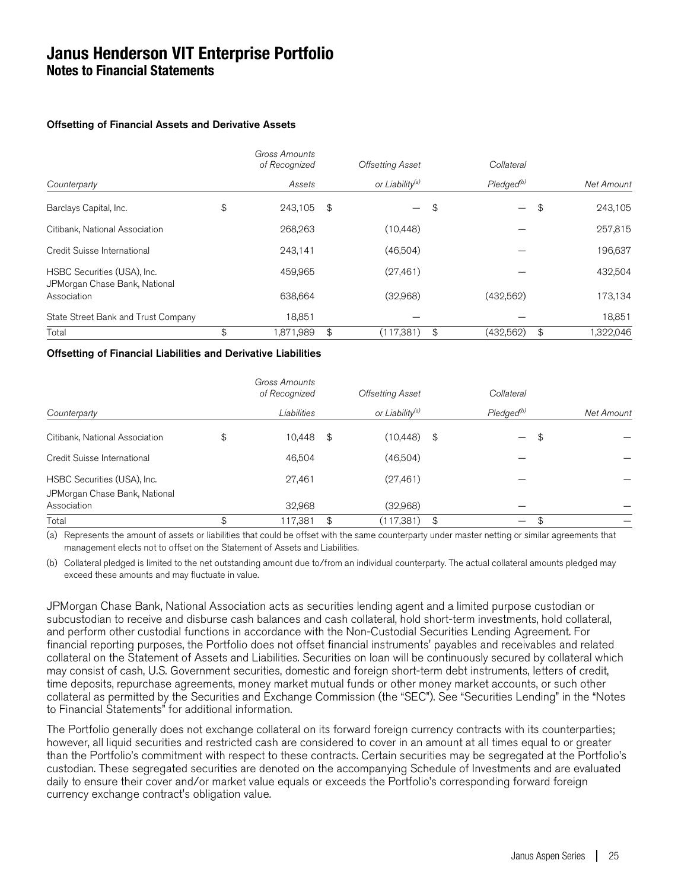#### Offsetting of Financial Assets and Derivative Assets

|                                                              | Gross Amounts<br>of Recognized |                | <b>Offsetting Asset</b>     | Collateral             |            |          |
|--------------------------------------------------------------|--------------------------------|----------------|-----------------------------|------------------------|------------|----------|
| Counterparty                                                 | Assets                         |                | or Liability <sup>(a)</sup> | Pledged <sup>(b)</sup> | Net Amount |          |
| Barclays Capital, Inc.                                       | \$<br>243.105                  | $\mathfrak{S}$ |                             | \$                     | \$         | 243,105  |
| Citibank, National Association                               | 268,263                        |                | (10, 448)                   |                        |            | 257,815  |
| Credit Suisse International                                  | 243,141                        |                | (46,504)                    |                        |            | 196,637  |
| HSBC Securities (USA), Inc.<br>JPMorgan Chase Bank, National | 459,965                        |                | (27, 461)                   |                        |            | 432,504  |
| Association                                                  | 638,664                        |                | (32,968)                    | (432,562)              |            | 173,134  |
| State Street Bank and Trust Company                          | 18.851                         |                |                             |                        |            | 18,851   |
| Total                                                        | \$<br>871.989                  | \$             | (117.381)                   | \$<br>(432.562)        | \$         | .322.046 |

#### Offsetting of Financial Liabilities and Derivative Liabilities

|                                                              |     | Gross Amounts<br>of Recognized | <b>Offsetting Asset</b>     | Collateral                     |            |
|--------------------------------------------------------------|-----|--------------------------------|-----------------------------|--------------------------------|------------|
| Counterparty                                                 |     | Liabilities                    | or Liability <sup>(a)</sup> | $P$ ledged $^{(b)}$            | Net Amount |
| Citibank, National Association                               | \$  | 10,448 \$                      | (10, 448)                   | \$<br>$\overline{\phantom{0}}$ | \$         |
| Credit Suisse International                                  |     | 46,504                         | (46,504)                    |                                |            |
| HSBC Securities (USA), Inc.<br>JPMorgan Chase Bank, National |     | 27,461                         | (27, 461)                   |                                |            |
| Association                                                  |     | 32,968                         | (32,968)                    |                                |            |
| Total                                                        | \$. | 117,381                        | \$<br>(117,381)             | \$<br>—                        | \$         |

(a) Represents the amount of assets or liabilities that could be offset with the same counterparty under master netting or similar agreements that management elects not to offset on the Statement of Assets and Liabilities.

(b) Collateral pledged is limited to the net outstanding amount due to/from an individual counterparty. The actual collateral amounts pledged may exceed these amounts and may fluctuate in value.

JPMorgan Chase Bank, National Association acts as securities lending agent and a limited purpose custodian or subcustodian to receive and disburse cash balances and cash collateral, hold short-term investments, hold collateral, and perform other custodial functions in accordance with the Non-Custodial Securities Lending Agreement. For financial reporting purposes, the Portfolio does not offset financial instruments' payables and receivables and related collateral on the Statement of Assets and Liabilities. Securities on loan will be continuously secured by collateral which may consist of cash, U.S. Government securities, domestic and foreign short-term debt instruments, letters of credit, time deposits, repurchase agreements, money market mutual funds or other money market accounts, or such other collateral as permitted by the Securities and Exchange Commission (the "SEC"). See "Securities Lending" in the "Notes to Financial Statements" for additional information.

The Portfolio generally does not exchange collateral on its forward foreign currency contracts with its counterparties; however, all liquid securities and restricted cash are considered to cover in an amount at all times equal to or greater than the Portfolio's commitment with respect to these contracts. Certain securities may be segregated at the Portfolio's custodian. These segregated securities are denoted on the accompanying Schedule of Investments and are evaluated daily to ensure their cover and/or market value equals or exceeds the Portfolio's corresponding forward foreign currency exchange contract's obligation value.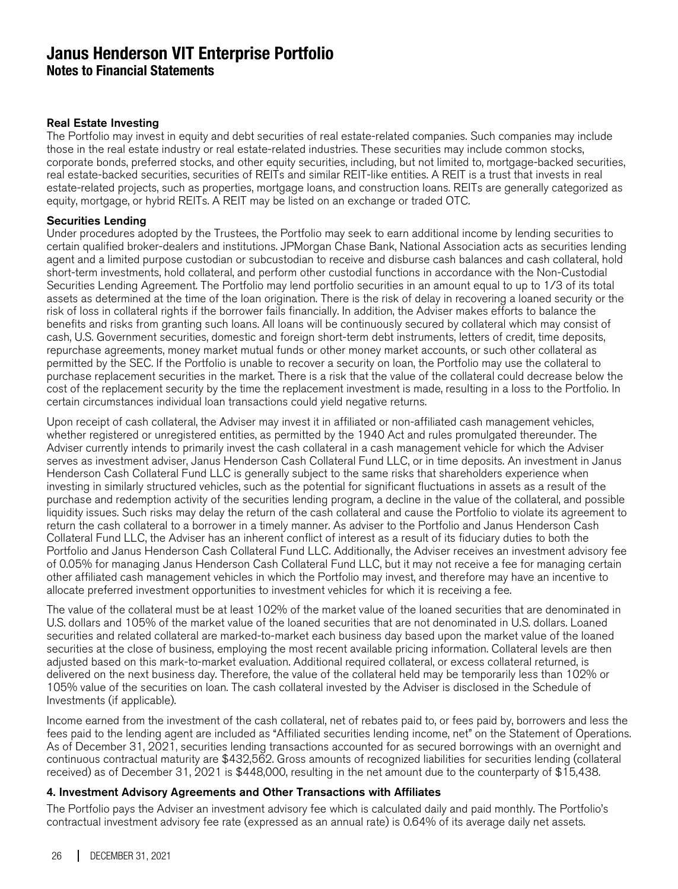#### Real Estate Investing

The Portfolio may invest in equity and debt securities of real estate-related companies. Such companies may include those in the real estate industry or real estate-related industries. These securities may include common stocks, corporate bonds, preferred stocks, and other equity securities, including, but not limited to, mortgage-backed securities, real estate-backed securities, securities of REITs and similar REIT-like entities. A REIT is a trust that invests in real estate-related projects, such as properties, mortgage loans, and construction loans. REITs are generally categorized as equity, mortgage, or hybrid REITs. A REIT may be listed on an exchange or traded OTC.

#### Securities Lending

Under procedures adopted by the Trustees, the Portfolio may seek to earn additional income by lending securities to certain qualified broker-dealers and institutions. JPMorgan Chase Bank, National Association acts as securities lending agent and a limited purpose custodian or subcustodian to receive and disburse cash balances and cash collateral, hold short-term investments, hold collateral, and perform other custodial functions in accordance with the Non-Custodial Securities Lending Agreement. The Portfolio may lend portfolio securities in an amount equal to up to 1/3 of its total assets as determined at the time of the loan origination. There is the risk of delay in recovering a loaned security or the risk of loss in collateral rights if the borrower fails financially. In addition, the Adviser makes efforts to balance the benefits and risks from granting such loans. All loans will be continuously secured by collateral which may consist of cash, U.S. Government securities, domestic and foreign short-term debt instruments, letters of credit, time deposits, repurchase agreements, money market mutual funds or other money market accounts, or such other collateral as permitted by the SEC. If the Portfolio is unable to recover a security on loan, the Portfolio may use the collateral to purchase replacement securities in the market. There is a risk that the value of the collateral could decrease below the cost of the replacement security by the time the replacement investment is made, resulting in a loss to the Portfolio. In certain circumstances individual loan transactions could yield negative returns.

Upon receipt of cash collateral, the Adviser may invest it in affiliated or non-affiliated cash management vehicles, whether registered or unregistered entities, as permitted by the 1940 Act and rules promulgated thereunder. The Adviser currently intends to primarily invest the cash collateral in a cash management vehicle for which the Adviser serves as investment adviser, Janus Henderson Cash Collateral Fund LLC, or in time deposits. An investment in Janus Henderson Cash Collateral Fund LLC is generally subject to the same risks that shareholders experience when investing in similarly structured vehicles, such as the potential for significant fluctuations in assets as a result of the purchase and redemption activity of the securities lending program, a decline in the value of the collateral, and possible liquidity issues. Such risks may delay the return of the cash collateral and cause the Portfolio to violate its agreement to return the cash collateral to a borrower in a timely manner. As adviser to the Portfolio and Janus Henderson Cash Collateral Fund LLC, the Adviser has an inherent conflict of interest as a result of its fiduciary duties to both the Portfolio and Janus Henderson Cash Collateral Fund LLC. Additionally, the Adviser receives an investment advisory fee of 0.05% for managing Janus Henderson Cash Collateral Fund LLC, but it may not receive a fee for managing certain other affiliated cash management vehicles in which the Portfolio may invest, and therefore may have an incentive to allocate preferred investment opportunities to investment vehicles for which it is receiving a fee.

The value of the collateral must be at least 102% of the market value of the loaned securities that are denominated in U.S. dollars and 105% of the market value of the loaned securities that are not denominated in U.S. dollars. Loaned securities and related collateral are marked-to-market each business day based upon the market value of the loaned securities at the close of business, employing the most recent available pricing information. Collateral levels are then adjusted based on this mark-to-market evaluation. Additional required collateral, or excess collateral returned, is delivered on the next business day. Therefore, the value of the collateral held may be temporarily less than 102% or 105% value of the securities on loan. The cash collateral invested by the Adviser is disclosed in the Schedule of Investments (if applicable).

Income earned from the investment of the cash collateral, net of rebates paid to, or fees paid by, borrowers and less the fees paid to the lending agent are included as "Affiliated securities lending income, net" on the Statement of Operations. As of December 31, 2021, securities lending transactions accounted for as secured borrowings with an overnight and continuous contractual maturity are \$432,562. Gross amounts of recognized liabilities for securities lending (collateral received) as of December 31, 2021 is \$448,000, resulting in the net amount due to the counterparty of \$15,438.

#### 4. Investment Advisory Agreements and Other Transactions with Affiliates

The Portfolio pays the Adviser an investment advisory fee which is calculated daily and paid monthly. The Portfolio's contractual investment advisory fee rate (expressed as an annual rate) is 0.64% of its average daily net assets.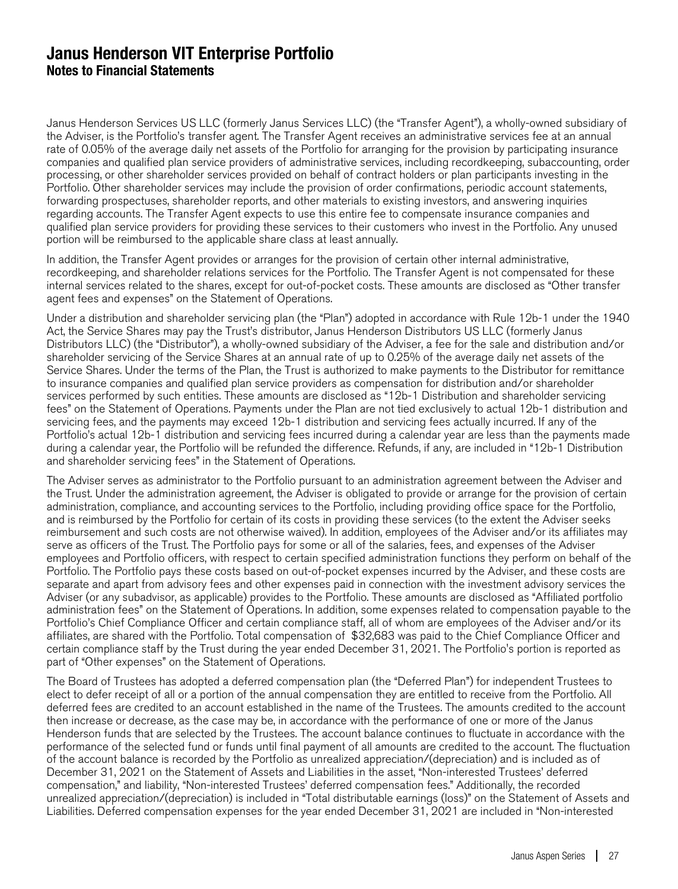Janus Henderson Services US LLC (formerly Janus Services LLC) (the "Transfer Agent"), a wholly-owned subsidiary of the Adviser, is the Portfolio's transfer agent. The Transfer Agent receives an administrative services fee at an annual rate of 0.05% of the average daily net assets of the Portfolio for arranging for the provision by participating insurance companies and qualified plan service providers of administrative services, including recordkeeping, subaccounting, order processing, or other shareholder services provided on behalf of contract holders or plan participants investing in the Portfolio. Other shareholder services may include the provision of order confirmations, periodic account statements, forwarding prospectuses, shareholder reports, and other materials to existing investors, and answering inquiries regarding accounts. The Transfer Agent expects to use this entire fee to compensate insurance companies and qualified plan service providers for providing these services to their customers who invest in the Portfolio. Any unused portion will be reimbursed to the applicable share class at least annually.

In addition, the Transfer Agent provides or arranges for the provision of certain other internal administrative, recordkeeping, and shareholder relations services for the Portfolio. The Transfer Agent is not compensated for these internal services related to the shares, except for out-of-pocket costs. These amounts are disclosed as "Other transfer agent fees and expenses" on the Statement of Operations.

Under a distribution and shareholder servicing plan (the "Plan") adopted in accordance with Rule 12b-1 under the 1940 Act, the Service Shares may pay the Trust's distributor, Janus Henderson Distributors US LLC (formerly Janus Distributors LLC) (the "Distributor"), a wholly-owned subsidiary of the Adviser, a fee for the sale and distribution and/or shareholder servicing of the Service Shares at an annual rate of up to 0.25% of the average daily net assets of the Service Shares. Under the terms of the Plan, the Trust is authorized to make payments to the Distributor for remittance to insurance companies and qualified plan service providers as compensation for distribution and/or shareholder services performed by such entities. These amounts are disclosed as "12b-1 Distribution and shareholder servicing fees" on the Statement of Operations. Payments under the Plan are not tied exclusively to actual 12b-1 distribution and servicing fees, and the payments may exceed 12b-1 distribution and servicing fees actually incurred. If any of the Portfolio's actual 12b-1 distribution and servicing fees incurred during a calendar year are less than the payments made during a calendar year, the Portfolio will be refunded the difference. Refunds, if any, are included in "12b-1 Distribution and shareholder servicing fees" in the Statement of Operations.

The Adviser serves as administrator to the Portfolio pursuant to an administration agreement between the Adviser and the Trust. Under the administration agreement, the Adviser is obligated to provide or arrange for the provision of certain administration, compliance, and accounting services to the Portfolio, including providing office space for the Portfolio, and is reimbursed by the Portfolio for certain of its costs in providing these services (to the extent the Adviser seeks reimbursement and such costs are not otherwise waived). In addition, employees of the Adviser and/or its affiliates may serve as officers of the Trust. The Portfolio pays for some or all of the salaries, fees, and expenses of the Adviser employees and Portfolio officers, with respect to certain specified administration functions they perform on behalf of the Portfolio. The Portfolio pays these costs based on out-of-pocket expenses incurred by the Adviser, and these costs are separate and apart from advisory fees and other expenses paid in connection with the investment advisory services the Adviser (or any subadvisor, as applicable) provides to the Portfolio. These amounts are disclosed as "Affiliated portfolio administration fees" on the Statement of Operations. In addition, some expenses related to compensation payable to the Portfolio's Chief Compliance Officer and certain compliance staff, all of whom are employees of the Adviser and/or its affiliates, are shared with the Portfolio. Total compensation of \$32,683 was paid to the Chief Compliance Officer and certain compliance staff by the Trust during the year ended December 31, 2021. The Portfolio's portion is reported as part of "Other expenses" on the Statement of Operations.

The Board of Trustees has adopted a deferred compensation plan (the "Deferred Plan") for independent Trustees to elect to defer receipt of all or a portion of the annual compensation they are entitled to receive from the Portfolio. All deferred fees are credited to an account established in the name of the Trustees. The amounts credited to the account then increase or decrease, as the case may be, in accordance with the performance of one or more of the Janus Henderson funds that are selected by the Trustees. The account balance continues to fluctuate in accordance with the performance of the selected fund or funds until final payment of all amounts are credited to the account. The fluctuation of the account balance is recorded by the Portfolio as unrealized appreciation/(depreciation) and is included as of December 31, 2021 on the Statement of Assets and Liabilities in the asset, "Non-interested Trustees' deferred compensation," and liability, "Non-interested Trustees' deferred compensation fees." Additionally, the recorded unrealized appreciation/(depreciation) is included in "Total distributable earnings (loss)" on the Statement of Assets and Liabilities. Deferred compensation expenses for the year ended December 31, 2021 are included in "Non-interested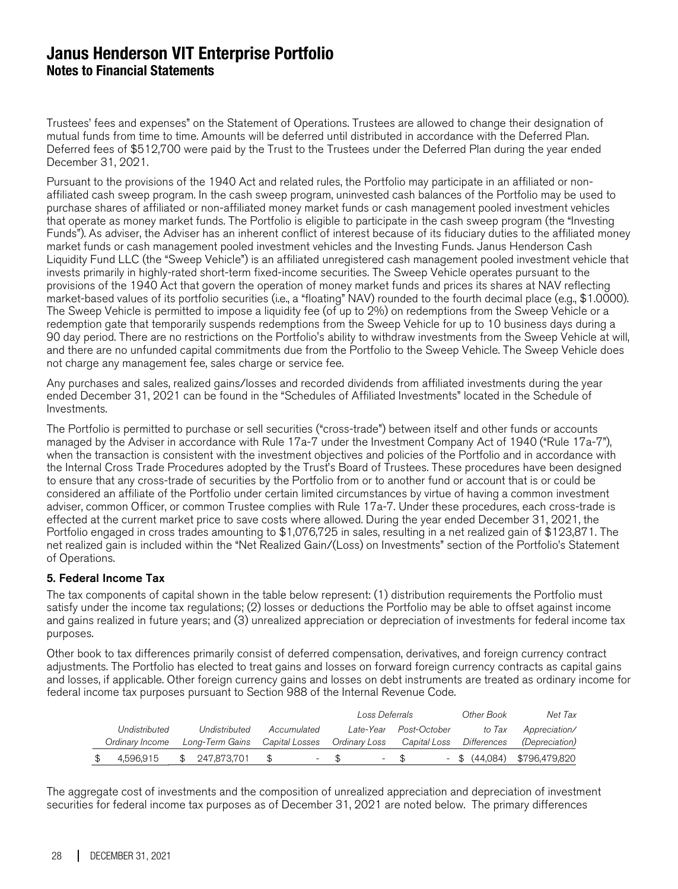Trustees' fees and expenses" on the Statement of Operations. Trustees are allowed to change their designation of mutual funds from time to time. Amounts will be deferred until distributed in accordance with the Deferred Plan. Deferred fees of \$512,700 were paid by the Trust to the Trustees under the Deferred Plan during the year ended December 31, 2021.

Pursuant to the provisions of the 1940 Act and related rules, the Portfolio may participate in an affiliated or nonaffiliated cash sweep program. In the cash sweep program, uninvested cash balances of the Portfolio may be used to purchase shares of affiliated or non-affiliated money market funds or cash management pooled investment vehicles that operate as money market funds. The Portfolio is eligible to participate in the cash sweep program (the "Investing Funds"). As adviser, the Adviser has an inherent conflict of interest because of its fiduciary duties to the affiliated money market funds or cash management pooled investment vehicles and the Investing Funds. Janus Henderson Cash Liquidity Fund LLC (the "Sweep Vehicle") is an affiliated unregistered cash management pooled investment vehicle that invests primarily in highly-rated short-term fixed-income securities. The Sweep Vehicle operates pursuant to the provisions of the 1940 Act that govern the operation of money market funds and prices its shares at NAV reflecting market-based values of its portfolio securities (i.e., a "floating" NAV) rounded to the fourth decimal place (e.g., \$1.0000). The Sweep Vehicle is permitted to impose a liquidity fee (of up to 2%) on redemptions from the Sweep Vehicle or a redemption gate that temporarily suspends redemptions from the Sweep Vehicle for up to 10 business days during a 90 day period. There are no restrictions on the Portfolio's ability to withdraw investments from the Sweep Vehicle at will, and there are no unfunded capital commitments due from the Portfolio to the Sweep Vehicle. The Sweep Vehicle does not charge any management fee, sales charge or service fee.

Any purchases and sales, realized gains/losses and recorded dividends from affiliated investments during the year ended December 31, 2021 can be found in the "Schedules of Affiliated Investments" located in the Schedule of Investments.

The Portfolio is permitted to purchase or sell securities ("cross-trade") between itself and other funds or accounts managed by the Adviser in accordance with Rule 17a-7 under the Investment Company Act of 1940 ("Rule 17a-7"), when the transaction is consistent with the investment objectives and policies of the Portfolio and in accordance with the Internal Cross Trade Procedures adopted by the Trust's Board of Trustees. These procedures have been designed to ensure that any cross-trade of securities by the Portfolio from or to another fund or account that is or could be considered an affiliate of the Portfolio under certain limited circumstances by virtue of having a common investment adviser, common Officer, or common Trustee complies with Rule 17a-7. Under these procedures, each cross-trade is effected at the current market price to save costs where allowed. During the year ended December 31, 2021, the Portfolio engaged in cross trades amounting to \$1,076,725 in sales, resulting in a net realized gain of \$123,871. The net realized gain is included within the "Net Realized Gain/(Loss) on Investments" section of the Portfolio's Statement of Operations.

#### 5. Federal Income Tax

The tax components of capital shown in the table below represent: (1) distribution requirements the Portfolio must satisfy under the income tax regulations; (2) losses or deductions the Portfolio may be able to offset against income and gains realized in future years; and (3) unrealized appreciation or depreciation of investments for federal income tax purposes.

Other book to tax differences primarily consist of deferred compensation, derivatives, and foreign currency contract adjustments. The Portfolio has elected to treat gains and losses on forward foreign currency contracts as capital gains and losses, if applicable. Other foreign currency gains and losses on debt instruments are treated as ordinary income for federal income tax purposes pursuant to Section 988 of the Internal Revenue Code.

|                 |                                |      |                          |      | Loss Deferrals |              | Other Book                             | Net Tax                       |
|-----------------|--------------------------------|------|--------------------------|------|----------------|--------------|----------------------------------------|-------------------------------|
| Undistributed   | Undistributed                  |      | Accumulated              |      | Late-Year      | Post-October | to Tax                                 | Appreciation/                 |
| Ordinary Income | Long-Term Gains Capital Losses |      |                          |      |                |              | Ordinary Loss Capital Loss Differences | <i>(Depreciation)</i>         |
| 4.596.915       | \$ 247,873,701                 | - SS | $\overline{\phantom{a}}$ | - \$ |                | $-$ \$       |                                        | $-$ \$ (44,084) \$796,479,820 |

The aggregate cost of investments and the composition of unrealized appreciation and depreciation of investment securities for federal income tax purposes as of December 31, 2021 are noted below. The primary differences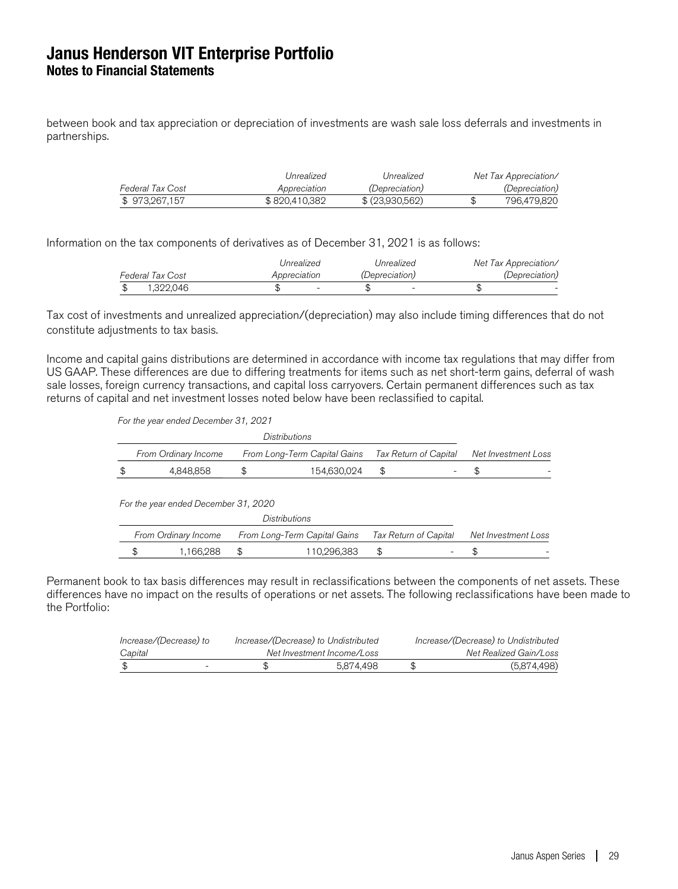between book and tax appreciation or depreciation of investments are wash sale loss deferrals and investments in partnerships.

|                  | Unrealized    | Unrealized            | Net Tax Appreciation/ |
|------------------|---------------|-----------------------|-----------------------|
| Federal Tax Cost | Appreciation  | <i>(Depreciation)</i> | <i>(Depreciation)</i> |
| \$973,267,157    | \$820,410,382 | \$ (23.930.562)       | 796.479.820           |

Information on the tax components of derivatives as of December 31, 2021 is as follows:

|                         | Unrealized   | Unrealized            | Net Tax Appreciation/ |
|-------------------------|--------------|-----------------------|-----------------------|
| <b>Federal Tax Cost</b> | Appreciation | <i>(Depreciation)</i> | <i>(Depreciation)</i> |
| 1.322.046               |              |                       |                       |

Tax cost of investments and unrealized appreciation/(depreciation) may also include timing differences that do not constitute adjustments to tax basis.

Income and capital gains distributions are determined in accordance with income tax regulations that may differ from US GAAP. These differences are due to differing treatments for items such as net short-term gains, deferral of wash sale losses, foreign currency transactions, and capital loss carryovers. Certain permanent differences such as tax returns of capital and net investment losses noted below have been reclassified to capital.

For the year ended December 31, 2021

|                                                                               |                                      |    | Distributions                |    |                       |                     |                     |
|-------------------------------------------------------------------------------|--------------------------------------|----|------------------------------|----|-----------------------|---------------------|---------------------|
| Tax Return of Capital<br>From Long-Term Capital Gains<br>From Ordinary Income |                                      |    |                              |    |                       |                     | Net Investment Loss |
|                                                                               | 4,848,858                            | \$ | 154,630,024                  | \$ |                       | \$                  |                     |
|                                                                               | For the year ended December 31, 2020 |    |                              |    |                       |                     |                     |
|                                                                               |                                      |    | Distributions                |    |                       |                     |                     |
|                                                                               | From Ordinary Income                 |    | From Long-Term Capital Gains |    | Tax Return of Capital | Net Investment Loss |                     |
|                                                                               | 1.166.288                            | \$ | 110.296.383                  | \$ |                       |                     |                     |

Permanent book to tax basis differences may result in reclassifications between the components of net assets. These differences have no impact on the results of operations or net assets. The following reclassifications have been made to the Portfolio:

| Increase/(Decrease) to   | Increase/(Decrease) to Undistributed | Increase/(Decrease) to Undistributed |
|--------------------------|--------------------------------------|--------------------------------------|
| Capital                  | Net Investment Income/Loss           | Net Realized Gain/Loss               |
| $\overline{\phantom{0}}$ | 5.874.498                            | (5,874,498)                          |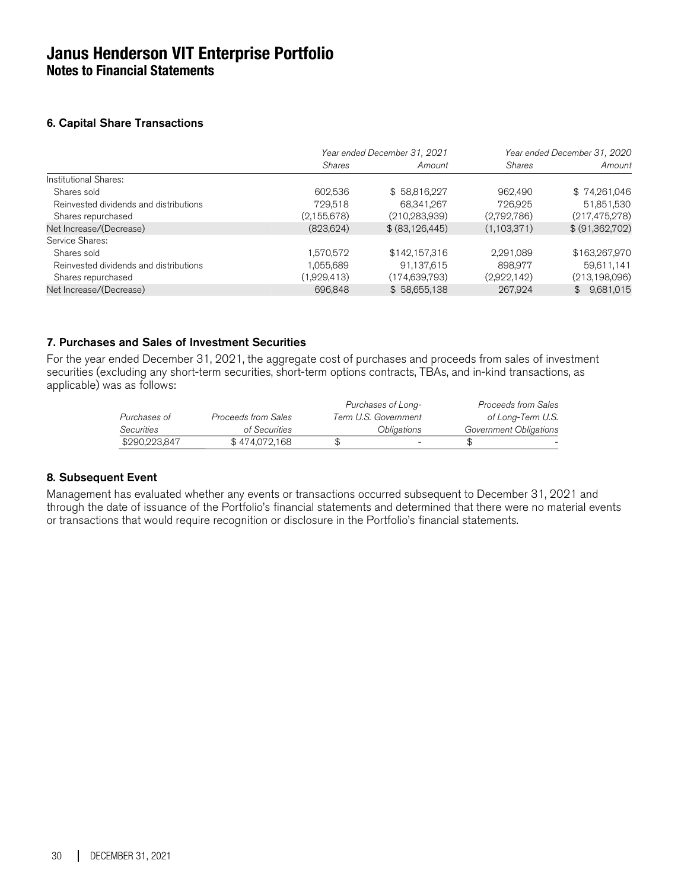**Notes to Financial Statements**

### 6. Capital Share Transactions

|                                        | Year ended December 31, 2021 |                   |               | Year ended December 31, 2020 |
|----------------------------------------|------------------------------|-------------------|---------------|------------------------------|
|                                        | <b>Shares</b>                | Amount            | <b>Shares</b> | Amount                       |
| Institutional Shares:                  |                              |                   |               |                              |
| Shares sold                            | 602,536                      | \$58,816,227      | 962,490       | \$74,261,046                 |
| Reinvested dividends and distributions | 729,518                      | 68,341,267        | 726.925       | 51,851,530                   |
| Shares repurchased                     | (2, 155, 678)                | (210, 283, 939)   | (2,792,786)   | (217, 475, 278)              |
| Net Increase/(Decrease)                | (823, 624)                   | \$ (83, 126, 445) | (1,103,371)   | \$ (91,362,702)              |
| Service Shares:                        |                              |                   |               |                              |
| Shares sold                            | 1,570,572                    | \$142,157,316     | 2,291,089     | \$163,267,970                |
| Reinvested dividends and distributions | 1,055,689                    | 91,137,615        | 898.977       | 59.611.141                   |
| Shares repurchased                     | (1,929,413)                  | (174, 639, 793)   | (2,922,142)   | (213, 198, 096)              |
| Net Increase/(Decrease)                | 696,848                      | \$58,655,138      | 267,924       | \$9,681,015                  |

### 7. Purchases and Sales of Investment Securities

For the year ended December 31, 2021, the aggregate cost of purchases and proceeds from sales of investment securities (excluding any short-term securities, short-term options contracts, TBAs, and in-kind transactions, as applicable) was as follows:

|               |                     | Purchases of Long-       | Proceeds from Sales    |  |
|---------------|---------------------|--------------------------|------------------------|--|
| Purchases of  | Proceeds from Sales | Term U.S. Government     | of Long-Term U.S.      |  |
| Securities    | of Securities       | Obligations              | Government Obligations |  |
| \$290.223.847 | \$474,072,168       | $\overline{\phantom{0}}$ |                        |  |

#### 8. Subsequent Event

Management has evaluated whether any events or transactions occurred subsequent to December 31, 2021 and through the date of issuance of the Portfolio's financial statements and determined that there were no material events or transactions that would require recognition or disclosure in the Portfolio's financial statements.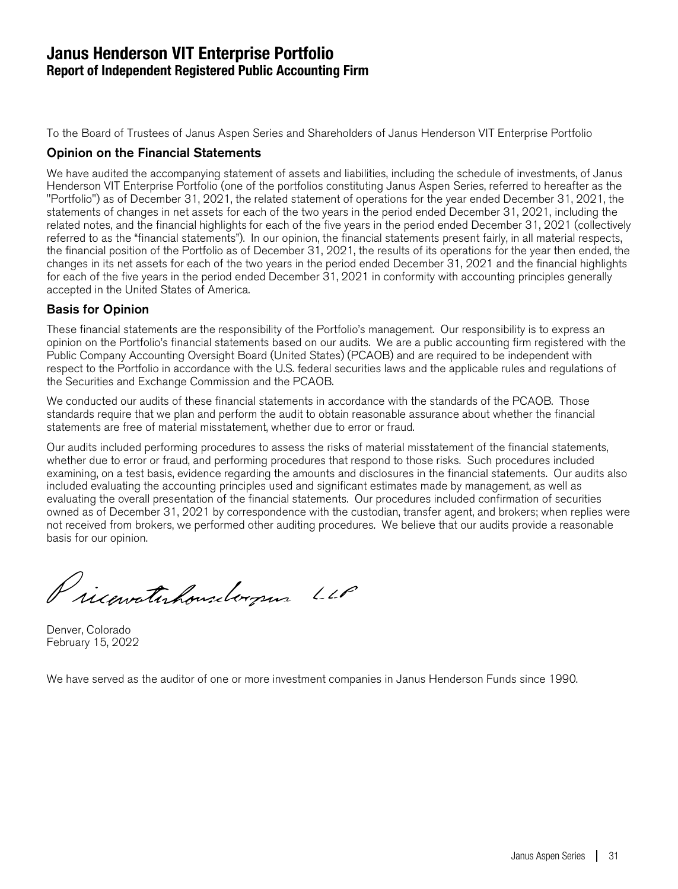### **Janus Henderson VIT Enterprise Portfolio Report of Independent Registered Public Accounting Firm**

To the Board of Trustees of Janus Aspen Series and Shareholders of Janus Henderson VIT Enterprise Portfolio

### Opinion on the Financial Statements

We have audited the accompanying statement of assets and liabilities, including the schedule of investments, of Janus Henderson VIT Enterprise Portfolio (one of the portfolios constituting Janus Aspen Series, referred to hereafter as the "Portfolio") as of December 31, 2021, the related statement of operations for the year ended December 31, 2021, the statements of changes in net assets for each of the two years in the period ended December 31, 2021, including the related notes, and the financial highlights for each of the five years in the period ended December 31, 2021 (collectively referred to as the "financial statements"). In our opinion, the financial statements present fairly, in all material respects, the financial position of the Portfolio as of December 31, 2021, the results of its operations for the year then ended, the changes in its net assets for each of the two years in the period ended December 31, 2021 and the financial highlights for each of the five years in the period ended December 31, 2021 in conformity with accounting principles generally accepted in the United States of America.

### Basis for Opinion

These financial statements are the responsibility of the Portfolio's management. Our responsibility is to express an opinion on the Portfolio's financial statements based on our audits. We are a public accounting firm registered with the Public Company Accounting Oversight Board (United States) (PCAOB) and are required to be independent with respect to the Portfolio in accordance with the U.S. federal securities laws and the applicable rules and regulations of the Securities and Exchange Commission and the PCAOB.

We conducted our audits of these financial statements in accordance with the standards of the PCAOB. Those standards require that we plan and perform the audit to obtain reasonable assurance about whether the financial statements are free of material misstatement, whether due to error or fraud.

Our audits included performing procedures to assess the risks of material misstatement of the financial statements, whether due to error or fraud, and performing procedures that respond to those risks. Such procedures included examining, on a test basis, evidence regarding the amounts and disclosures in the financial statements. Our audits also included evaluating the accounting principles used and significant estimates made by management, as well as evaluating the overall presentation of the financial statements. Our procedures included confirmation of securities owned as of December 31, 2021 by correspondence with the custodian, transfer agent, and brokers; when replies were not received from brokers, we performed other auditing procedures. We believe that our audits provide a reasonable basis for our opinion.

Pricavatishousedergus LLP

Denver, Colorado February 15, 2022

We have served as the auditor of one or more investment companies in Janus Henderson Funds since 1990.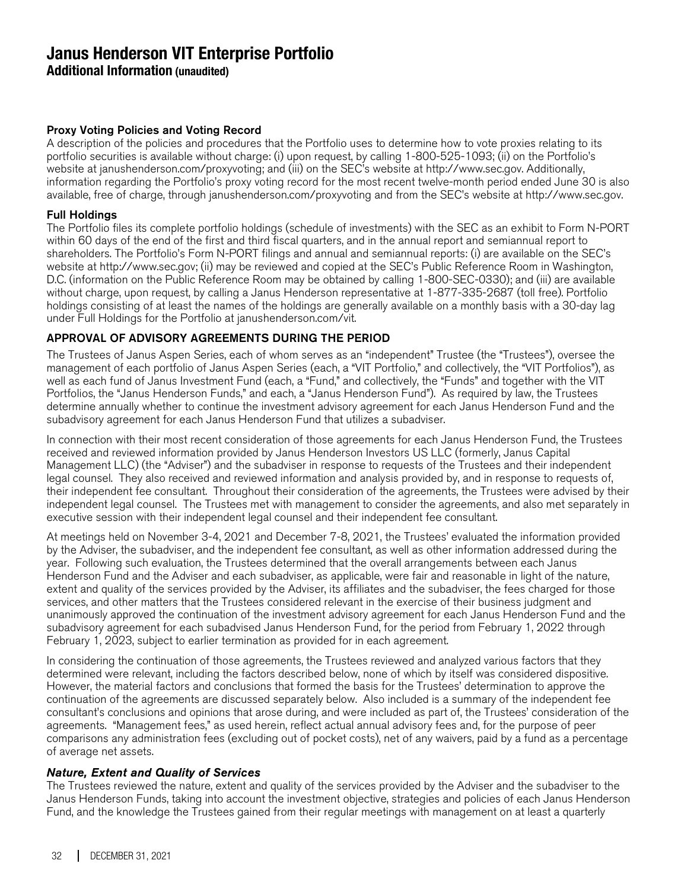**Additional Information (unaudited)**

### Proxy Voting Policies and Voting Record

A description of the policies and procedures that the Portfolio uses to determine how to vote proxies relating to its portfolio securities is available without charge: (i) upon request, by calling 1-800-525-1093; (ii) on the Portfolio's website at janushenderson.com/proxyvoting; and (iii) on the SEC's website at http://www.sec.gov. Additionally, information regarding the Portfolio's proxy voting record for the most recent twelve-month period ended June 30 is also available, free of charge, through janushenderson.com/proxyvoting and from the SEC's website at http://www.sec.gov.

### Full Holdings

The Portfolio files its complete portfolio holdings (schedule of investments) with the SEC as an exhibit to Form N-PORT within 60 days of the end of the first and third fiscal quarters, and in the annual report and semiannual report to shareholders. The Portfolio's Form N-PORT filings and annual and semiannual reports: (i) are available on the SEC's website at http://www.sec.gov; (ii) may be reviewed and copied at the SEC's Public Reference Room in Washington, D.C. (information on the Public Reference Room may be obtained by calling 1-800-SEC-0330); and (iii) are available without charge, upon request, by calling a Janus Henderson representative at 1-877-335-2687 (toll free). Portfolio holdings consisting of at least the names of the holdings are generally available on a monthly basis with a 30-day lag under Full Holdings for the Portfolio at janushenderson.com/vit.

### APPROVAL OF ADVISORY AGREEMENTS DURING THE PERIOD

The Trustees of Janus Aspen Series, each of whom serves as an "independent" Trustee (the "Trustees"), oversee the management of each portfolio of Janus Aspen Series (each, a "VIT Portfolio," and collectively, the "VIT Portfolios"), as well as each fund of Janus Investment Fund (each, a "Fund," and collectively, the "Funds" and together with the VIT Portfolios, the "Janus Henderson Funds," and each, a "Janus Henderson Fund"). As required by law, the Trustees determine annually whether to continue the investment advisory agreement for each Janus Henderson Fund and the subadvisory agreement for each Janus Henderson Fund that utilizes a subadviser.

In connection with their most recent consideration of those agreements for each Janus Henderson Fund, the Trustees received and reviewed information provided by Janus Henderson Investors US LLC (formerly, Janus Capital Management LLC) (the "Adviser") and the subadviser in response to requests of the Trustees and their independent legal counsel. They also received and reviewed information and analysis provided by, and in response to requests of, their independent fee consultant. Throughout their consideration of the agreements, the Trustees were advised by their independent legal counsel. The Trustees met with management to consider the agreements, and also met separately in executive session with their independent legal counsel and their independent fee consultant.

At meetings held on November 3-4, 2021 and December 7-8, 2021, the Trustees' evaluated the information provided by the Adviser, the subadviser, and the independent fee consultant, as well as other information addressed during the year. Following such evaluation, the Trustees determined that the overall arrangements between each Janus Henderson Fund and the Adviser and each subadviser, as applicable, were fair and reasonable in light of the nature, extent and quality of the services provided by the Adviser, its affiliates and the subadviser, the fees charged for those services, and other matters that the Trustees considered relevant in the exercise of their business judgment and unanimously approved the continuation of the investment advisory agreement for each Janus Henderson Fund and the subadvisory agreement for each subadvised Janus Henderson Fund, for the period from February 1, 2022 through February 1, 2023, subject to earlier termination as provided for in each agreement.

In considering the continuation of those agreements, the Trustees reviewed and analyzed various factors that they determined were relevant, including the factors described below, none of which by itself was considered dispositive. However, the material factors and conclusions that formed the basis for the Trustees' determination to approve the continuation of the agreements are discussed separately below. Also included is a summary of the independent fee consultant's conclusions and opinions that arose during, and were included as part of, the Trustees' consideration of the agreements. "Management fees," as used herein, reflect actual annual advisory fees and, for the purpose of peer comparisons any administration fees (excluding out of pocket costs), net of any waivers, paid by a fund as a percentage of average net assets.

#### Nature, Extent and Quality of Services

The Trustees reviewed the nature, extent and quality of the services provided by the Adviser and the subadviser to the Janus Henderson Funds, taking into account the investment objective, strategies and policies of each Janus Henderson Fund, and the knowledge the Trustees gained from their regular meetings with management on at least a quarterly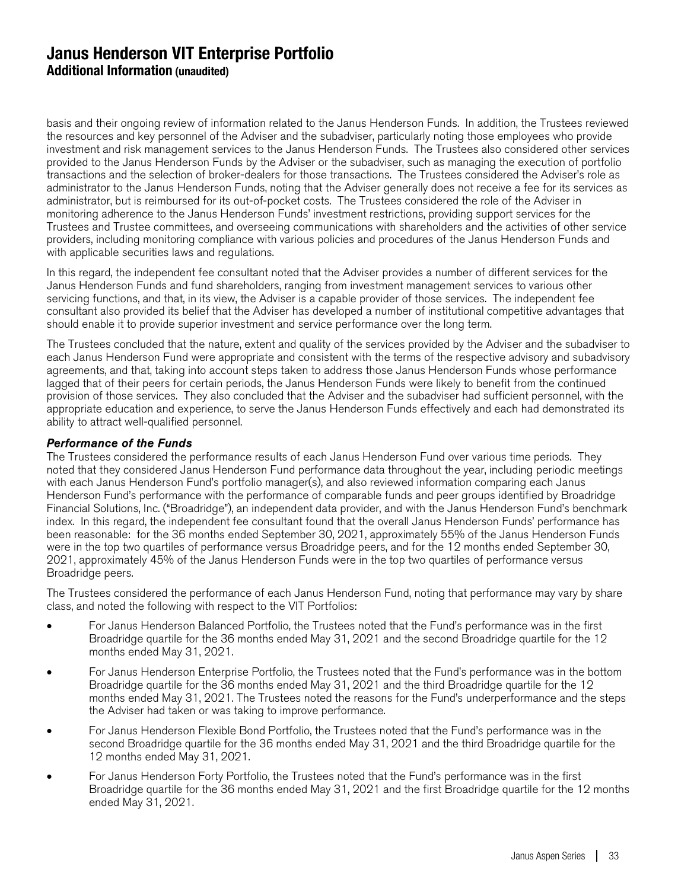basis and their ongoing review of information related to the Janus Henderson Funds. In addition, the Trustees reviewed the resources and key personnel of the Adviser and the subadviser, particularly noting those employees who provide investment and risk management services to the Janus Henderson Funds. The Trustees also considered other services provided to the Janus Henderson Funds by the Adviser or the subadviser, such as managing the execution of portfolio transactions and the selection of broker-dealers for those transactions. The Trustees considered the Adviser's role as administrator to the Janus Henderson Funds, noting that the Adviser generally does not receive a fee for its services as administrator, but is reimbursed for its out-of-pocket costs. The Trustees considered the role of the Adviser in monitoring adherence to the Janus Henderson Funds' investment restrictions, providing support services for the Trustees and Trustee committees, and overseeing communications with shareholders and the activities of other service providers, including monitoring compliance with various policies and procedures of the Janus Henderson Funds and with applicable securities laws and regulations.

In this regard, the independent fee consultant noted that the Adviser provides a number of different services for the Janus Henderson Funds and fund shareholders, ranging from investment management services to various other servicing functions, and that, in its view, the Adviser is a capable provider of those services. The independent fee consultant also provided its belief that the Adviser has developed a number of institutional competitive advantages that should enable it to provide superior investment and service performance over the long term.

The Trustees concluded that the nature, extent and quality of the services provided by the Adviser and the subadviser to each Janus Henderson Fund were appropriate and consistent with the terms of the respective advisory and subadvisory agreements, and that, taking into account steps taken to address those Janus Henderson Funds whose performance lagged that of their peers for certain periods, the Janus Henderson Funds were likely to benefit from the continued provision of those services. They also concluded that the Adviser and the subadviser had sufficient personnel, with the appropriate education and experience, to serve the Janus Henderson Funds effectively and each had demonstrated its ability to attract well-qualified personnel.

#### Performance of the Funds

The Trustees considered the performance results of each Janus Henderson Fund over various time periods. They noted that they considered Janus Henderson Fund performance data throughout the year, including periodic meetings with each Janus Henderson Fund's portfolio manager(s), and also reviewed information comparing each Janus Henderson Fund's performance with the performance of comparable funds and peer groups identified by Broadridge Financial Solutions, Inc. ("Broadridge"), an independent data provider, and with the Janus Henderson Fund's benchmark index. In this regard, the independent fee consultant found that the overall Janus Henderson Funds' performance has been reasonable: for the 36 months ended September 30, 2021, approximately 55% of the Janus Henderson Funds were in the top two quartiles of performance versus Broadridge peers, and for the 12 months ended September 30, 2021, approximately 45% of the Janus Henderson Funds were in the top two quartiles of performance versus Broadridge peers.

The Trustees considered the performance of each Janus Henderson Fund, noting that performance may vary by share class, and noted the following with respect to the VIT Portfolios:

- For Janus Henderson Balanced Portfolio, the Trustees noted that the Fund's performance was in the first Broadridge quartile for the 36 months ended May 31, 2021 and the second Broadridge quartile for the 12 months ended May 31, 2021.
- For Janus Henderson Enterprise Portfolio, the Trustees noted that the Fund's performance was in the bottom Broadridge quartile for the 36 months ended May 31, 2021 and the third Broadridge quartile for the 12 months ended May 31, 2021. The Trustees noted the reasons for the Fund's underperformance and the steps the Adviser had taken or was taking to improve performance.
- For Janus Henderson Flexible Bond Portfolio, the Trustees noted that the Fund's performance was in the second Broadridge quartile for the 36 months ended May 31, 2021 and the third Broadridge quartile for the 12 months ended May 31, 2021.
- For Janus Henderson Forty Portfolio, the Trustees noted that the Fund's performance was in the first Broadridge quartile for the 36 months ended May 31, 2021 and the first Broadridge quartile for the 12 months ended May 31, 2021.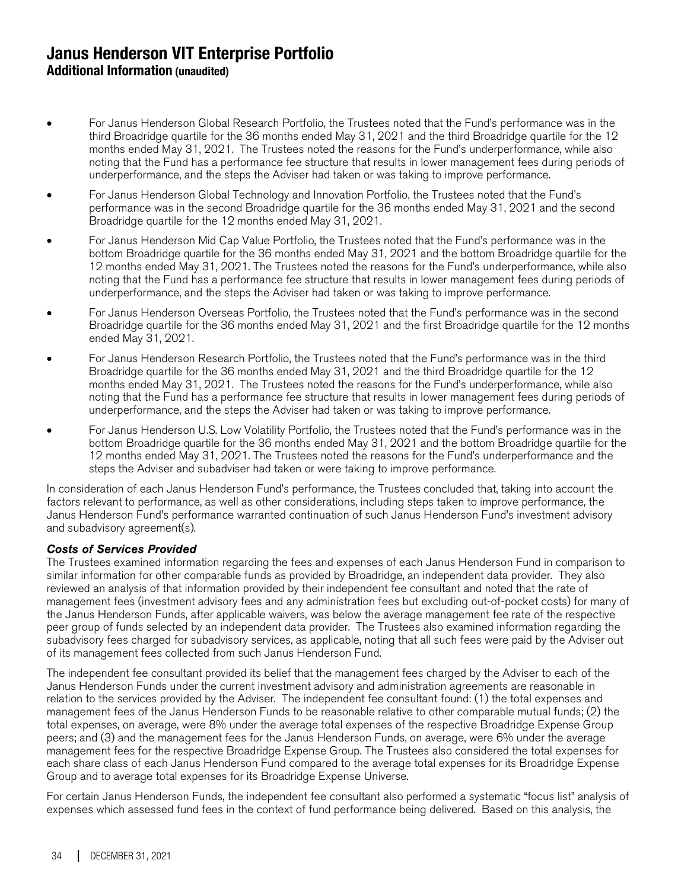- For Janus Henderson Global Research Portfolio, the Trustees noted that the Fund's performance was in the third Broadridge quartile for the 36 months ended May 31, 2021 and the third Broadridge quartile for the 12 months ended May 31, 2021. The Trustees noted the reasons for the Fund's underperformance, while also noting that the Fund has a performance fee structure that results in lower management fees during periods of underperformance, and the steps the Adviser had taken or was taking to improve performance.
- For Janus Henderson Global Technology and Innovation Portfolio, the Trustees noted that the Fund's performance was in the second Broadridge quartile for the 36 months ended May 31, 2021 and the second Broadridge quartile for the 12 months ended May 31, 2021.
- For Janus Henderson Mid Cap Value Portfolio, the Trustees noted that the Fund's performance was in the bottom Broadridge quartile for the 36 months ended May 31, 2021 and the bottom Broadridge quartile for the 12 months ended May 31, 2021. The Trustees noted the reasons for the Fund's underperformance, while also noting that the Fund has a performance fee structure that results in lower management fees during periods of underperformance, and the steps the Adviser had taken or was taking to improve performance.
- For Janus Henderson Overseas Portfolio, the Trustees noted that the Fund's performance was in the second Broadridge quartile for the 36 months ended May 31, 2021 and the first Broadridge quartile for the 12 months ended May 31, 2021.
- For Janus Henderson Research Portfolio, the Trustees noted that the Fund's performance was in the third Broadridge quartile for the 36 months ended May 31, 2021 and the third Broadridge quartile for the 12 months ended May 31, 2021. The Trustees noted the reasons for the Fund's underperformance, while also noting that the Fund has a performance fee structure that results in lower management fees during periods of underperformance, and the steps the Adviser had taken or was taking to improve performance.
- For Janus Henderson U.S. Low Volatility Portfolio, the Trustees noted that the Fund's performance was in the bottom Broadridge quartile for the 36 months ended May 31, 2021 and the bottom Broadridge quartile for the 12 months ended May 31, 2021. The Trustees noted the reasons for the Fund's underperformance and the steps the Adviser and subadviser had taken or were taking to improve performance.

In consideration of each Janus Henderson Fund's performance, the Trustees concluded that, taking into account the factors relevant to performance, as well as other considerations, including steps taken to improve performance, the Janus Henderson Fund's performance warranted continuation of such Janus Henderson Fund's investment advisory and subadvisory agreement(s).

### Costs of Services Provided

The Trustees examined information regarding the fees and expenses of each Janus Henderson Fund in comparison to similar information for other comparable funds as provided by Broadridge, an independent data provider. They also reviewed an analysis of that information provided by their independent fee consultant and noted that the rate of management fees (investment advisory fees and any administration fees but excluding out-of-pocket costs) for many of the Janus Henderson Funds, after applicable waivers, was below the average management fee rate of the respective peer group of funds selected by an independent data provider. The Trustees also examined information regarding the subadvisory fees charged for subadvisory services, as applicable, noting that all such fees were paid by the Adviser out of its management fees collected from such Janus Henderson Fund.

The independent fee consultant provided its belief that the management fees charged by the Adviser to each of the Janus Henderson Funds under the current investment advisory and administration agreements are reasonable in relation to the services provided by the Adviser. The independent fee consultant found: (1) the total expenses and management fees of the Janus Henderson Funds to be reasonable relative to other comparable mutual funds; (2) the total expenses, on average, were 8% under the average total expenses of the respective Broadridge Expense Group peers; and (3) and the management fees for the Janus Henderson Funds, on average, were 6% under the average management fees for the respective Broadridge Expense Group. The Trustees also considered the total expenses for each share class of each Janus Henderson Fund compared to the average total expenses for its Broadridge Expense Group and to average total expenses for its Broadridge Expense Universe.

For certain Janus Henderson Funds, the independent fee consultant also performed a systematic "focus list" analysis of expenses which assessed fund fees in the context of fund performance being delivered. Based on this analysis, the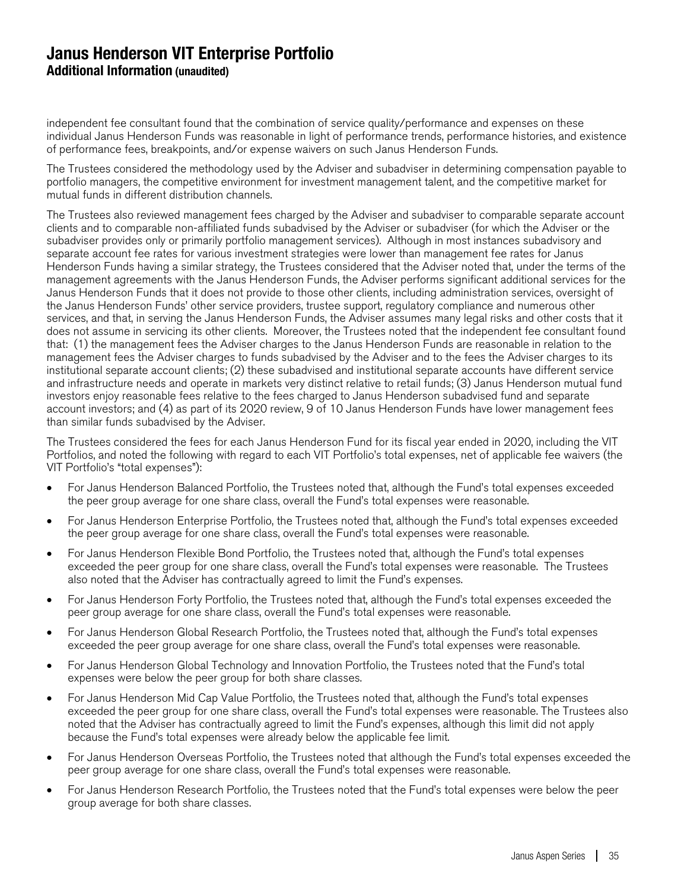independent fee consultant found that the combination of service quality/performance and expenses on these individual Janus Henderson Funds was reasonable in light of performance trends, performance histories, and existence of performance fees, breakpoints, and/or expense waivers on such Janus Henderson Funds.

The Trustees considered the methodology used by the Adviser and subadviser in determining compensation payable to portfolio managers, the competitive environment for investment management talent, and the competitive market for mutual funds in different distribution channels.

The Trustees also reviewed management fees charged by the Adviser and subadviser to comparable separate account clients and to comparable non-affiliated funds subadvised by the Adviser or subadviser (for which the Adviser or the subadviser provides only or primarily portfolio management services). Although in most instances subadvisory and separate account fee rates for various investment strategies were lower than management fee rates for Janus Henderson Funds having a similar strategy, the Trustees considered that the Adviser noted that, under the terms of the management agreements with the Janus Henderson Funds, the Adviser performs significant additional services for the Janus Henderson Funds that it does not provide to those other clients, including administration services, oversight of the Janus Henderson Funds' other service providers, trustee support, regulatory compliance and numerous other services, and that, in serving the Janus Henderson Funds, the Adviser assumes many legal risks and other costs that it does not assume in servicing its other clients. Moreover, the Trustees noted that the independent fee consultant found that: (1) the management fees the Adviser charges to the Janus Henderson Funds are reasonable in relation to the management fees the Adviser charges to funds subadvised by the Adviser and to the fees the Adviser charges to its institutional separate account clients; (2) these subadvised and institutional separate accounts have different service and infrastructure needs and operate in markets very distinct relative to retail funds; (3) Janus Henderson mutual fund investors enjoy reasonable fees relative to the fees charged to Janus Henderson subadvised fund and separate account investors; and (4) as part of its 2020 review, 9 of 10 Janus Henderson Funds have lower management fees than similar funds subadvised by the Adviser.

The Trustees considered the fees for each Janus Henderson Fund for its fiscal year ended in 2020, including the VIT Portfolios, and noted the following with regard to each VIT Portfolio's total expenses, net of applicable fee waivers (the VIT Portfolio's "total expenses"):

- For Janus Henderson Balanced Portfolio, the Trustees noted that, although the Fund's total expenses exceeded the peer group average for one share class, overall the Fund's total expenses were reasonable.
- For Janus Henderson Enterprise Portfolio, the Trustees noted that, although the Fund's total expenses exceeded the peer group average for one share class, overall the Fund's total expenses were reasonable.
- For Janus Henderson Flexible Bond Portfolio, the Trustees noted that, although the Fund's total expenses exceeded the peer group for one share class, overall the Fund's total expenses were reasonable. The Trustees also noted that the Adviser has contractually agreed to limit the Fund's expenses.
- For Janus Henderson Forty Portfolio, the Trustees noted that, although the Fund's total expenses exceeded the peer group average for one share class, overall the Fund's total expenses were reasonable.
- For Janus Henderson Global Research Portfolio, the Trustees noted that, although the Fund's total expenses exceeded the peer group average for one share class, overall the Fund's total expenses were reasonable.
- For Janus Henderson Global Technology and Innovation Portfolio, the Trustees noted that the Fund's total expenses were below the peer group for both share classes.
- For Janus Henderson Mid Cap Value Portfolio, the Trustees noted that, although the Fund's total expenses exceeded the peer group for one share class, overall the Fund's total expenses were reasonable. The Trustees also noted that the Adviser has contractually agreed to limit the Fund's expenses, although this limit did not apply because the Fund's total expenses were already below the applicable fee limit.
- For Janus Henderson Overseas Portfolio, the Trustees noted that although the Fund's total expenses exceeded the peer group average for one share class, overall the Fund's total expenses were reasonable.
- For Janus Henderson Research Portfolio, the Trustees noted that the Fund's total expenses were below the peer group average for both share classes.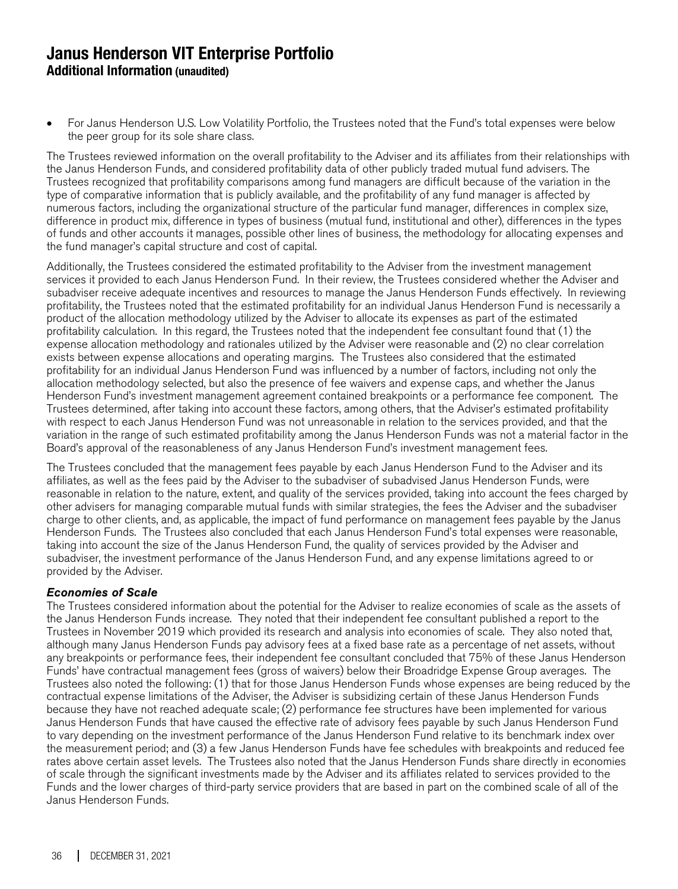• For Janus Henderson U.S. Low Volatility Portfolio, the Trustees noted that the Fund's total expenses were below the peer group for its sole share class.

The Trustees reviewed information on the overall profitability to the Adviser and its affiliates from their relationships with the Janus Henderson Funds, and considered profitability data of other publicly traded mutual fund advisers. The Trustees recognized that profitability comparisons among fund managers are difficult because of the variation in the type of comparative information that is publicly available, and the profitability of any fund manager is affected by numerous factors, including the organizational structure of the particular fund manager, differences in complex size, difference in product mix, difference in types of business (mutual fund, institutional and other), differences in the types of funds and other accounts it manages, possible other lines of business, the methodology for allocating expenses and the fund manager's capital structure and cost of capital.

Additionally, the Trustees considered the estimated profitability to the Adviser from the investment management services it provided to each Janus Henderson Fund. In their review, the Trustees considered whether the Adviser and subadviser receive adequate incentives and resources to manage the Janus Henderson Funds effectively. In reviewing profitability, the Trustees noted that the estimated profitability for an individual Janus Henderson Fund is necessarily a product of the allocation methodology utilized by the Adviser to allocate its expenses as part of the estimated profitability calculation. In this regard, the Trustees noted that the independent fee consultant found that (1) the expense allocation methodology and rationales utilized by the Adviser were reasonable and (2) no clear correlation exists between expense allocations and operating margins. The Trustees also considered that the estimated profitability for an individual Janus Henderson Fund was influenced by a number of factors, including not only the allocation methodology selected, but also the presence of fee waivers and expense caps, and whether the Janus Henderson Fund's investment management agreement contained breakpoints or a performance fee component. The Trustees determined, after taking into account these factors, among others, that the Adviser's estimated profitability with respect to each Janus Henderson Fund was not unreasonable in relation to the services provided, and that the variation in the range of such estimated profitability among the Janus Henderson Funds was not a material factor in the Board's approval of the reasonableness of any Janus Henderson Fund's investment management fees.

The Trustees concluded that the management fees payable by each Janus Henderson Fund to the Adviser and its affiliates, as well as the fees paid by the Adviser to the subadviser of subadvised Janus Henderson Funds, were reasonable in relation to the nature, extent, and quality of the services provided, taking into account the fees charged by other advisers for managing comparable mutual funds with similar strategies, the fees the Adviser and the subadviser charge to other clients, and, as applicable, the impact of fund performance on management fees payable by the Janus Henderson Funds. The Trustees also concluded that each Janus Henderson Fund's total expenses were reasonable, taking into account the size of the Janus Henderson Fund, the quality of services provided by the Adviser and subadviser, the investment performance of the Janus Henderson Fund, and any expense limitations agreed to or provided by the Adviser.

#### Economies of Scale

The Trustees considered information about the potential for the Adviser to realize economies of scale as the assets of the Janus Henderson Funds increase. They noted that their independent fee consultant published a report to the Trustees in November 2019 which provided its research and analysis into economies of scale. They also noted that, although many Janus Henderson Funds pay advisory fees at a fixed base rate as a percentage of net assets, without any breakpoints or performance fees, their independent fee consultant concluded that 75% of these Janus Henderson Funds' have contractual management fees (gross of waivers) below their Broadridge Expense Group averages. The Trustees also noted the following: (1) that for those Janus Henderson Funds whose expenses are being reduced by the contractual expense limitations of the Adviser, the Adviser is subsidizing certain of these Janus Henderson Funds because they have not reached adequate scale; (2) performance fee structures have been implemented for various Janus Henderson Funds that have caused the effective rate of advisory fees payable by such Janus Henderson Fund to vary depending on the investment performance of the Janus Henderson Fund relative to its benchmark index over the measurement period; and (3) a few Janus Henderson Funds have fee schedules with breakpoints and reduced fee rates above certain asset levels. The Trustees also noted that the Janus Henderson Funds share directly in economies of scale through the significant investments made by the Adviser and its affiliates related to services provided to the Funds and the lower charges of third-party service providers that are based in part on the combined scale of all of the Janus Henderson Funds.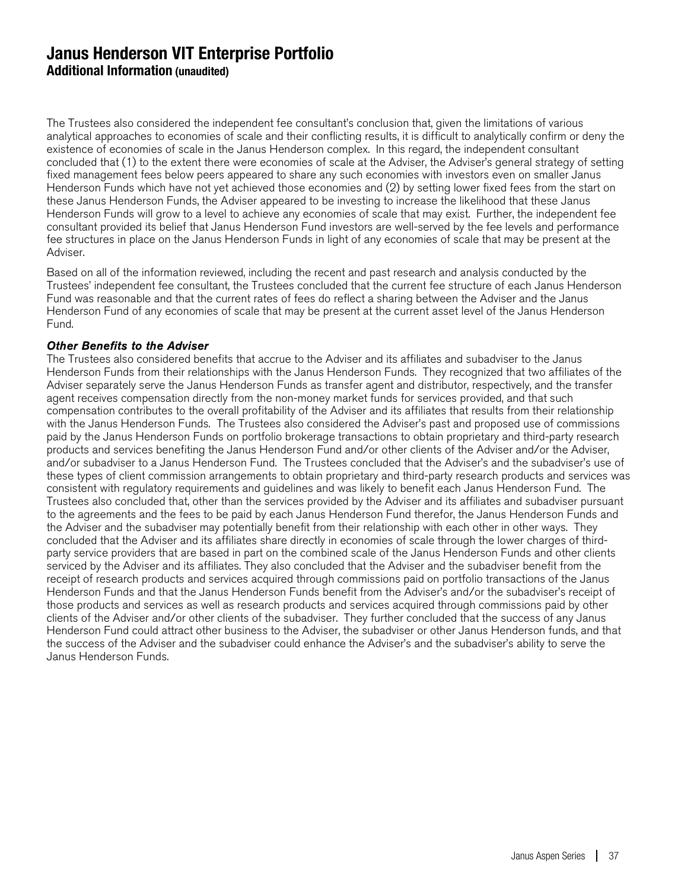The Trustees also considered the independent fee consultant's conclusion that, given the limitations of various analytical approaches to economies of scale and their conflicting results, it is difficult to analytically confirm or deny the existence of economies of scale in the Janus Henderson complex. In this regard, the independent consultant concluded that (1) to the extent there were economies of scale at the Adviser, the Adviser's general strategy of setting fixed management fees below peers appeared to share any such economies with investors even on smaller Janus Henderson Funds which have not yet achieved those economies and (2) by setting lower fixed fees from the start on these Janus Henderson Funds, the Adviser appeared to be investing to increase the likelihood that these Janus Henderson Funds will grow to a level to achieve any economies of scale that may exist. Further, the independent fee consultant provided its belief that Janus Henderson Fund investors are well-served by the fee levels and performance fee structures in place on the Janus Henderson Funds in light of any economies of scale that may be present at the Adviser.

Based on all of the information reviewed, including the recent and past research and analysis conducted by the Trustees' independent fee consultant, the Trustees concluded that the current fee structure of each Janus Henderson Fund was reasonable and that the current rates of fees do reflect a sharing between the Adviser and the Janus Henderson Fund of any economies of scale that may be present at the current asset level of the Janus Henderson Fund.

#### Other Benefits to the Adviser

The Trustees also considered benefits that accrue to the Adviser and its affiliates and subadviser to the Janus Henderson Funds from their relationships with the Janus Henderson Funds. They recognized that two affiliates of the Adviser separately serve the Janus Henderson Funds as transfer agent and distributor, respectively, and the transfer agent receives compensation directly from the non-money market funds for services provided, and that such compensation contributes to the overall profitability of the Adviser and its affiliates that results from their relationship with the Janus Henderson Funds. The Trustees also considered the Adviser's past and proposed use of commissions paid by the Janus Henderson Funds on portfolio brokerage transactions to obtain proprietary and third-party research products and services benefiting the Janus Henderson Fund and/or other clients of the Adviser and/or the Adviser, and/or subadviser to a Janus Henderson Fund. The Trustees concluded that the Adviser's and the subadviser's use of these types of client commission arrangements to obtain proprietary and third-party research products and services was consistent with regulatory requirements and guidelines and was likely to benefit each Janus Henderson Fund. The Trustees also concluded that, other than the services provided by the Adviser and its affiliates and subadviser pursuant to the agreements and the fees to be paid by each Janus Henderson Fund therefor, the Janus Henderson Funds and the Adviser and the subadviser may potentially benefit from their relationship with each other in other ways. They concluded that the Adviser and its affiliates share directly in economies of scale through the lower charges of thirdparty service providers that are based in part on the combined scale of the Janus Henderson Funds and other clients serviced by the Adviser and its affiliates. They also concluded that the Adviser and the subadviser benefit from the receipt of research products and services acquired through commissions paid on portfolio transactions of the Janus Henderson Funds and that the Janus Henderson Funds benefit from the Adviser's and/or the subadviser's receipt of those products and services as well as research products and services acquired through commissions paid by other clients of the Adviser and/or other clients of the subadviser. They further concluded that the success of any Janus Henderson Fund could attract other business to the Adviser, the subadviser or other Janus Henderson funds, and that the success of the Adviser and the subadviser could enhance the Adviser's and the subadviser's ability to serve the Janus Henderson Funds.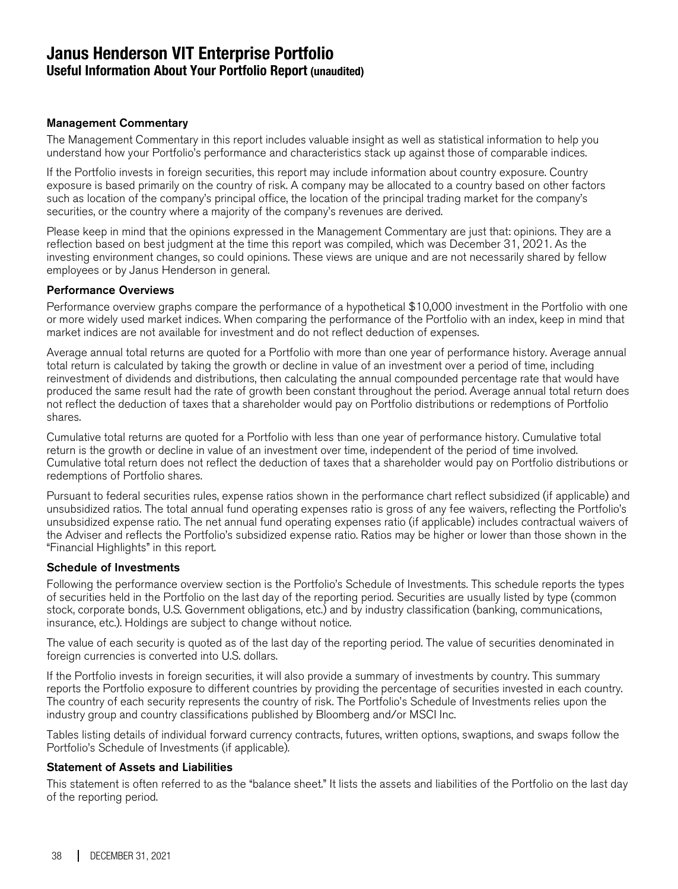### **Janus Henderson VIT Enterprise Portfolio Useful Information About Your Portfolio Report (unaudited)**

#### Management Commentary

The Management Commentary in this report includes valuable insight as well as statistical information to help you understand how your Portfolio's performance and characteristics stack up against those of comparable indices.

If the Portfolio invests in foreign securities, this report may include information about country exposure. Country exposure is based primarily on the country of risk. A company may be allocated to a country based on other factors such as location of the company's principal office, the location of the principal trading market for the company's securities, or the country where a majority of the company's revenues are derived.

Please keep in mind that the opinions expressed in the Management Commentary are just that: opinions. They are a reflection based on best judgment at the time this report was compiled, which was December 31, 2021. As the investing environment changes, so could opinions. These views are unique and are not necessarily shared by fellow employees or by Janus Henderson in general.

#### Performance Overviews

Performance overview graphs compare the performance of a hypothetical \$10,000 investment in the Portfolio with one or more widely used market indices. When comparing the performance of the Portfolio with an index, keep in mind that market indices are not available for investment and do not reflect deduction of expenses.

Average annual total returns are quoted for a Portfolio with more than one year of performance history. Average annual total return is calculated by taking the growth or decline in value of an investment over a period of time, including reinvestment of dividends and distributions, then calculating the annual compounded percentage rate that would have produced the same result had the rate of growth been constant throughout the period. Average annual total return does not reflect the deduction of taxes that a shareholder would pay on Portfolio distributions or redemptions of Portfolio shares.

Cumulative total returns are quoted for a Portfolio with less than one year of performance history. Cumulative total return is the growth or decline in value of an investment over time, independent of the period of time involved. Cumulative total return does not reflect the deduction of taxes that a shareholder would pay on Portfolio distributions or redemptions of Portfolio shares.

Pursuant to federal securities rules, expense ratios shown in the performance chart reflect subsidized (if applicable) and unsubsidized ratios. The total annual fund operating expenses ratio is gross of any fee waivers, reflecting the Portfolio's unsubsidized expense ratio. The net annual fund operating expenses ratio (if applicable) includes contractual waivers of the Adviser and reflects the Portfolio's subsidized expense ratio. Ratios may be higher or lower than those shown in the "Financial Highlights" in this report.

#### Schedule of Investments

Following the performance overview section is the Portfolio's Schedule of Investments. This schedule reports the types of securities held in the Portfolio on the last day of the reporting period. Securities are usually listed by type (common stock, corporate bonds, U.S. Government obligations, etc.) and by industry classification (banking, communications, insurance, etc.). Holdings are subject to change without notice.

The value of each security is quoted as of the last day of the reporting period. The value of securities denominated in foreign currencies is converted into U.S. dollars.

If the Portfolio invests in foreign securities, it will also provide a summary of investments by country. This summary reports the Portfolio exposure to different countries by providing the percentage of securities invested in each country. The country of each security represents the country of risk. The Portfolio's Schedule of Investments relies upon the industry group and country classifications published by Bloomberg and/or MSCI Inc.

Tables listing details of individual forward currency contracts, futures, written options, swaptions, and swaps follow the Portfolio's Schedule of Investments (if applicable).

#### Statement of Assets and Liabilities

This statement is often referred to as the "balance sheet." It lists the assets and liabilities of the Portfolio on the last day of the reporting period.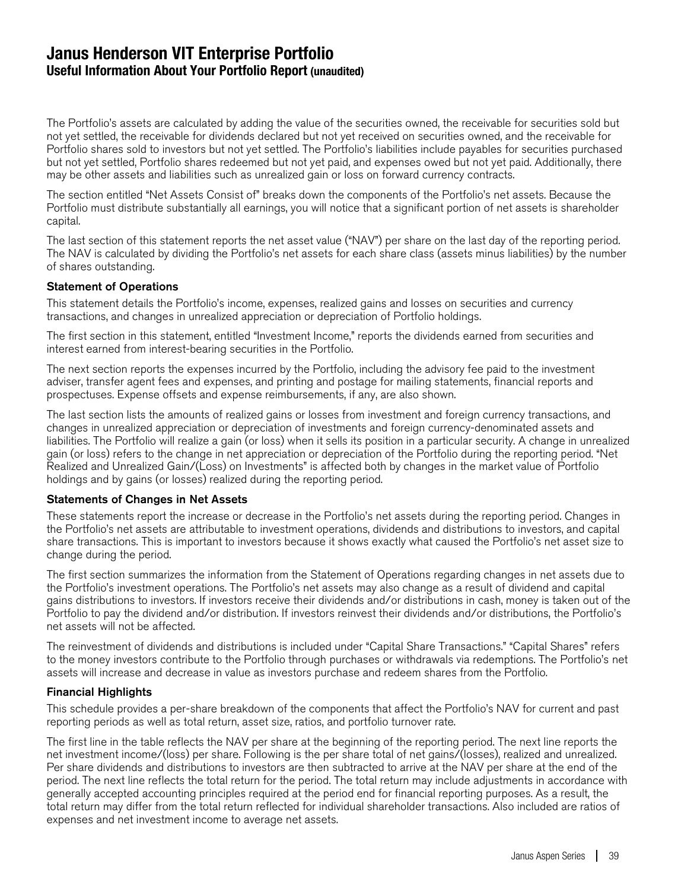### **Janus Henderson VIT Enterprise Portfolio Useful Information About Your Portfolio Report (unaudited)**

The Portfolio's assets are calculated by adding the value of the securities owned, the receivable for securities sold but not yet settled, the receivable for dividends declared but not yet received on securities owned, and the receivable for Portfolio shares sold to investors but not yet settled. The Portfolio's liabilities include payables for securities purchased but not yet settled, Portfolio shares redeemed but not yet paid, and expenses owed but not yet paid. Additionally, there may be other assets and liabilities such as unrealized gain or loss on forward currency contracts.

The section entitled "Net Assets Consist of" breaks down the components of the Portfolio's net assets. Because the Portfolio must distribute substantially all earnings, you will notice that a significant portion of net assets is shareholder capital.

The last section of this statement reports the net asset value ("NAV") per share on the last day of the reporting period. The NAV is calculated by dividing the Portfolio's net assets for each share class (assets minus liabilities) by the number of shares outstanding.

#### Statement of Operations

This statement details the Portfolio's income, expenses, realized gains and losses on securities and currency transactions, and changes in unrealized appreciation or depreciation of Portfolio holdings.

The first section in this statement, entitled "Investment Income," reports the dividends earned from securities and interest earned from interest-bearing securities in the Portfolio.

The next section reports the expenses incurred by the Portfolio, including the advisory fee paid to the investment adviser, transfer agent fees and expenses, and printing and postage for mailing statements, financial reports and prospectuses. Expense offsets and expense reimbursements, if any, are also shown.

The last section lists the amounts of realized gains or losses from investment and foreign currency transactions, and changes in unrealized appreciation or depreciation of investments and foreign currency-denominated assets and liabilities. The Portfolio will realize a gain (or loss) when it sells its position in a particular security. A change in unrealized gain (or loss) refers to the change in net appreciation or depreciation of the Portfolio during the reporting period. "Net Realized and Unrealized Gain/(Loss) on Investments" is affected both by changes in the market value of Portfolio holdings and by gains (or losses) realized during the reporting period.

#### Statements of Changes in Net Assets

These statements report the increase or decrease in the Portfolio's net assets during the reporting period. Changes in the Portfolio's net assets are attributable to investment operations, dividends and distributions to investors, and capital share transactions. This is important to investors because it shows exactly what caused the Portfolio's net asset size to change during the period.

The first section summarizes the information from the Statement of Operations regarding changes in net assets due to the Portfolio's investment operations. The Portfolio's net assets may also change as a result of dividend and capital gains distributions to investors. If investors receive their dividends and/or distributions in cash, money is taken out of the Portfolio to pay the dividend and/or distribution. If investors reinvest their dividends and/or distributions, the Portfolio's net assets will not be affected.

The reinvestment of dividends and distributions is included under "Capital Share Transactions." "Capital Shares" refers to the money investors contribute to the Portfolio through purchases or withdrawals via redemptions. The Portfolio's net assets will increase and decrease in value as investors purchase and redeem shares from the Portfolio.

#### Financial Highlights

This schedule provides a per-share breakdown of the components that affect the Portfolio's NAV for current and past reporting periods as well as total return, asset size, ratios, and portfolio turnover rate.

The first line in the table reflects the NAV per share at the beginning of the reporting period. The next line reports the net investment income/(loss) per share. Following is the per share total of net gains/(losses), realized and unrealized. Per share dividends and distributions to investors are then subtracted to arrive at the NAV per share at the end of the period. The next line reflects the total return for the period. The total return may include adjustments in accordance with generally accepted accounting principles required at the period end for financial reporting purposes. As a result, the total return may differ from the total return reflected for individual shareholder transactions. Also included are ratios of expenses and net investment income to average net assets.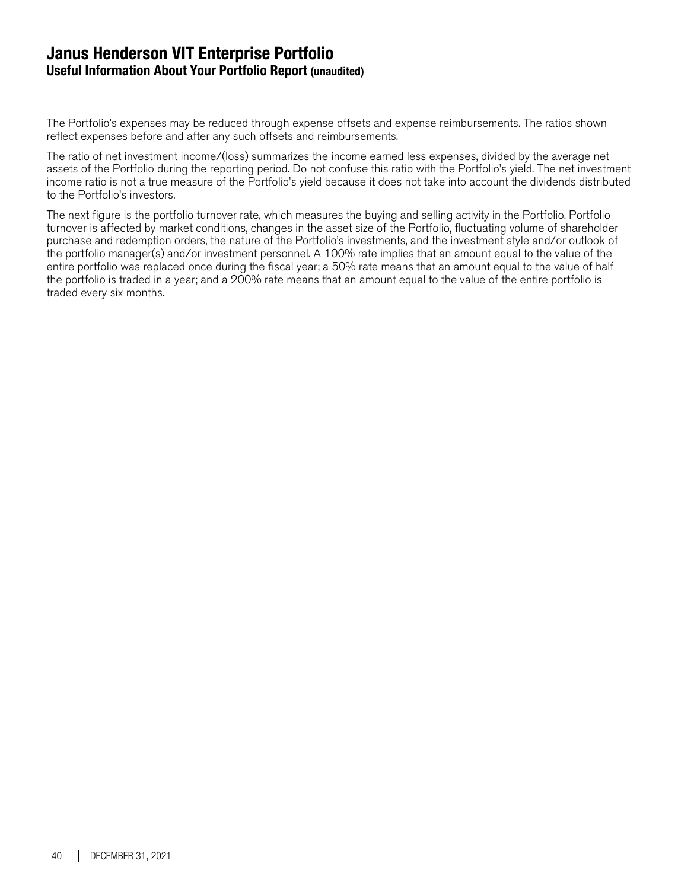### **Janus Henderson VIT Enterprise Portfolio Useful Information About Your Portfolio Report (unaudited)**

The Portfolio's expenses may be reduced through expense offsets and expense reimbursements. The ratios shown reflect expenses before and after any such offsets and reimbursements.

The ratio of net investment income/(loss) summarizes the income earned less expenses, divided by the average net assets of the Portfolio during the reporting period. Do not confuse this ratio with the Portfolio's yield. The net investment income ratio is not a true measure of the Portfolio's yield because it does not take into account the dividends distributed to the Portfolio's investors.

The next figure is the portfolio turnover rate, which measures the buying and selling activity in the Portfolio. Portfolio turnover is affected by market conditions, changes in the asset size of the Portfolio, fluctuating volume of shareholder purchase and redemption orders, the nature of the Portfolio's investments, and the investment style and/or outlook of the portfolio manager(s) and/or investment personnel. A 100% rate implies that an amount equal to the value of the entire portfolio was replaced once during the fiscal year; a 50% rate means that an amount equal to the value of half the portfolio is traded in a year; and a 200% rate means that an amount equal to the value of the entire portfolio is traded every six months.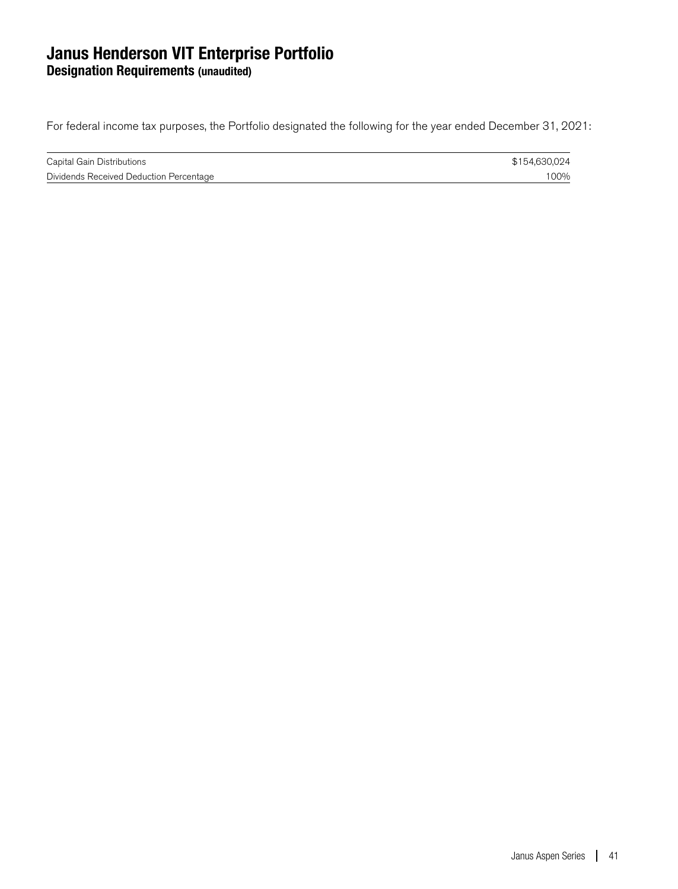### **Janus Henderson VIT Enterprise Portfolio Designation Requirements (unaudited)**

For federal income tax purposes, the Portfolio designated the following for the year ended December 31, 2021:

| Capital Gain Distributions              | \$154,630,024 |
|-----------------------------------------|---------------|
| Dividends Received Deduction Percentage | 00%           |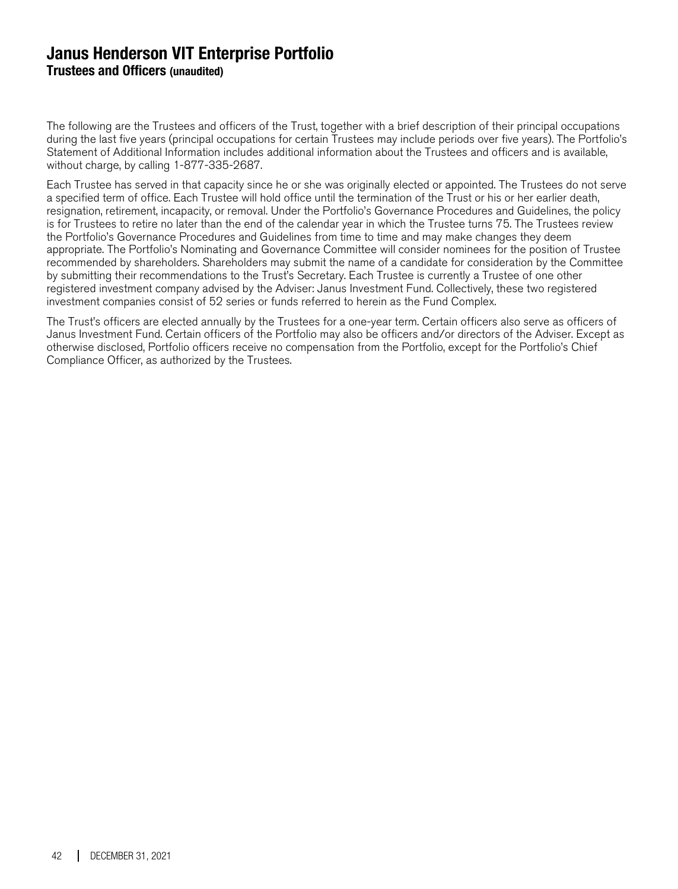### **Janus Henderson VIT Enterprise Portfolio Trustees and Officers (unaudited)**

The following are the Trustees and officers of the Trust, together with a brief description of their principal occupations during the last five years (principal occupations for certain Trustees may include periods over five years). The Portfolio's Statement of Additional Information includes additional information about the Trustees and officers and is available, without charge, by calling 1-877-335-2687.

Each Trustee has served in that capacity since he or she was originally elected or appointed. The Trustees do not serve a specified term of office. Each Trustee will hold office until the termination of the Trust or his or her earlier death, resignation, retirement, incapacity, or removal. Under the Portfolio's Governance Procedures and Guidelines, the policy is for Trustees to retire no later than the end of the calendar year in which the Trustee turns 75. The Trustees review the Portfolio's Governance Procedures and Guidelines from time to time and may make changes they deem appropriate. The Portfolio's Nominating and Governance Committee will consider nominees for the position of Trustee recommended by shareholders. Shareholders may submit the name of a candidate for consideration by the Committee by submitting their recommendations to the Trust's Secretary. Each Trustee is currently a Trustee of one other registered investment company advised by the Adviser: Janus Investment Fund. Collectively, these two registered investment companies consist of 52 series or funds referred to herein as the Fund Complex.

The Trust's officers are elected annually by the Trustees for a one-year term. Certain officers also serve as officers of Janus Investment Fund. Certain officers of the Portfolio may also be officers and/or directors of the Adviser. Except as otherwise disclosed, Portfolio officers receive no compensation from the Portfolio, except for the Portfolio's Chief Compliance Officer, as authorized by the Trustees.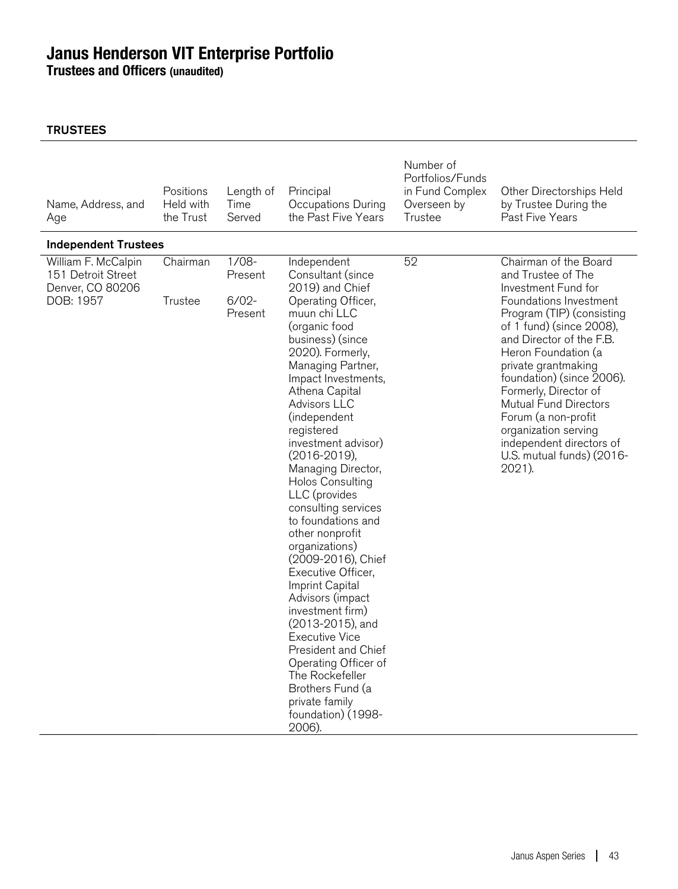**Trustees and Officers (unaudited)**

| Name, Address, and<br>Age                                                  | Positions<br>Held with<br>the Trust | Length of<br>Time<br>Served               | Principal<br>Occupations During<br>the Past Five Years                                                                                                                                                                                                                                                                                                                                                                                                                                                                                                                                                                                                                                                                                                     | Number of<br>Portfolios/Funds<br>in Fund Complex<br>Overseen by<br>Trustee | Other Directorships Held<br>by Trustee During the<br>Past Five Years                                                                                                                                                                                                                                                                                                                                                                    |
|----------------------------------------------------------------------------|-------------------------------------|-------------------------------------------|------------------------------------------------------------------------------------------------------------------------------------------------------------------------------------------------------------------------------------------------------------------------------------------------------------------------------------------------------------------------------------------------------------------------------------------------------------------------------------------------------------------------------------------------------------------------------------------------------------------------------------------------------------------------------------------------------------------------------------------------------------|----------------------------------------------------------------------------|-----------------------------------------------------------------------------------------------------------------------------------------------------------------------------------------------------------------------------------------------------------------------------------------------------------------------------------------------------------------------------------------------------------------------------------------|
| <b>Independent Trustees</b>                                                |                                     |                                           |                                                                                                                                                                                                                                                                                                                                                                                                                                                                                                                                                                                                                                                                                                                                                            |                                                                            |                                                                                                                                                                                                                                                                                                                                                                                                                                         |
| William F. McCalpin<br>151 Detroit Street<br>Denver, CO 80206<br>DOB: 1957 | Chairman<br>Trustee                 | $1/08-$<br>Present<br>$6/02 -$<br>Present | Independent<br>Consultant (since<br>2019) and Chief<br>Operating Officer,<br>muun chi LLC<br>(organic food<br>business) (since<br>2020). Formerly,<br>Managing Partner,<br>Impact Investments,<br>Athena Capital<br>Advisors LLC<br>(independent<br>registered<br>investment advisor)<br>$(2016 - 2019)$ ,<br>Managing Director,<br><b>Holos Consulting</b><br>LLC (provides<br>consulting services<br>to foundations and<br>other nonprofit<br>organizations)<br>(2009-2016), Chief<br>Executive Officer,<br>Imprint Capital<br>Advisors (impact<br>investment firm)<br>(2013-2015), and<br><b>Executive Vice</b><br>President and Chief<br>Operating Officer of<br>The Rockefeller<br>Brothers Fund (a<br>private family<br>foundation) (1998-<br>2006). | 52                                                                         | Chairman of the Board<br>and Trustee of The<br>Investment Fund for<br>Foundations Investment<br>Program (TIP) (consisting<br>of 1 fund) (since 2008),<br>and Director of the F.B.<br>Heron Foundation (a<br>private grantmaking<br>foundation) (since 2006).<br>Formerly, Director of<br><b>Mutual Fund Directors</b><br>Forum (a non-profit<br>organization serving<br>independent directors of<br>U.S. mutual funds) (2016-<br>2021). |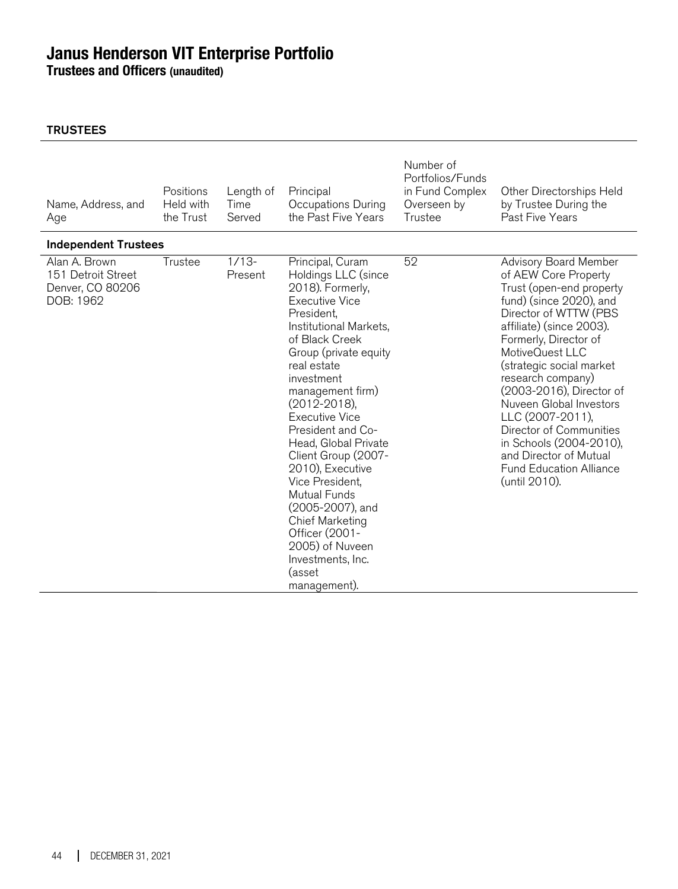**Trustees and Officers (unaudited)**

| Name, Address, and<br>Age                                            | Positions<br>Held with<br>the Trust | Length of<br>Time<br>Served | Principal<br>Occupations During<br>the Past Five Years                                                                                                                                                                                                                                                                                                                                                                                                                                                                              | Number of<br>Portfolios/Funds<br>in Fund Complex<br>Overseen by<br>Trustee | Other Directorships Held<br>by Trustee During the<br>Past Five Years                                                                                                                                                                                                                                                                                                                                                                                                 |
|----------------------------------------------------------------------|-------------------------------------|-----------------------------|-------------------------------------------------------------------------------------------------------------------------------------------------------------------------------------------------------------------------------------------------------------------------------------------------------------------------------------------------------------------------------------------------------------------------------------------------------------------------------------------------------------------------------------|----------------------------------------------------------------------------|----------------------------------------------------------------------------------------------------------------------------------------------------------------------------------------------------------------------------------------------------------------------------------------------------------------------------------------------------------------------------------------------------------------------------------------------------------------------|
| <b>Independent Trustees</b>                                          |                                     |                             |                                                                                                                                                                                                                                                                                                                                                                                                                                                                                                                                     |                                                                            |                                                                                                                                                                                                                                                                                                                                                                                                                                                                      |
| Alan A. Brown<br>151 Detroit Street<br>Denver, CO 80206<br>DOB: 1962 | Trustee                             | $1/13-$<br>Present          | Principal, Curam<br>Holdings LLC (since<br>2018). Formerly,<br><b>Executive Vice</b><br>President,<br>Institutional Markets,<br>of Black Creek<br>Group (private equity<br>real estate<br>investment<br>management firm)<br>$(2012 - 2018)$ ,<br><b>Executive Vice</b><br>President and Co-<br>Head, Global Private<br>Client Group (2007-<br>2010), Executive<br>Vice President,<br>Mutual Funds<br>(2005-2007), and<br><b>Chief Marketing</b><br>Officer (2001-<br>2005) of Nuveen<br>Investments, Inc.<br>(asset<br>management). | 52                                                                         | Advisory Board Member<br>of AEW Core Property<br>Trust (open-end property<br>fund) (since 2020), and<br>Director of WTTW (PBS<br>affiliate) (since 2003).<br>Formerly, Director of<br>MotiveQuest LLC<br>(strategic social market<br>research company)<br>(2003-2016), Director of<br>Nuveen Global Investors<br>LLC (2007-2011),<br>Director of Communities<br>in Schools (2004-2010),<br>and Director of Mutual<br><b>Fund Education Alliance</b><br>(until 2010). |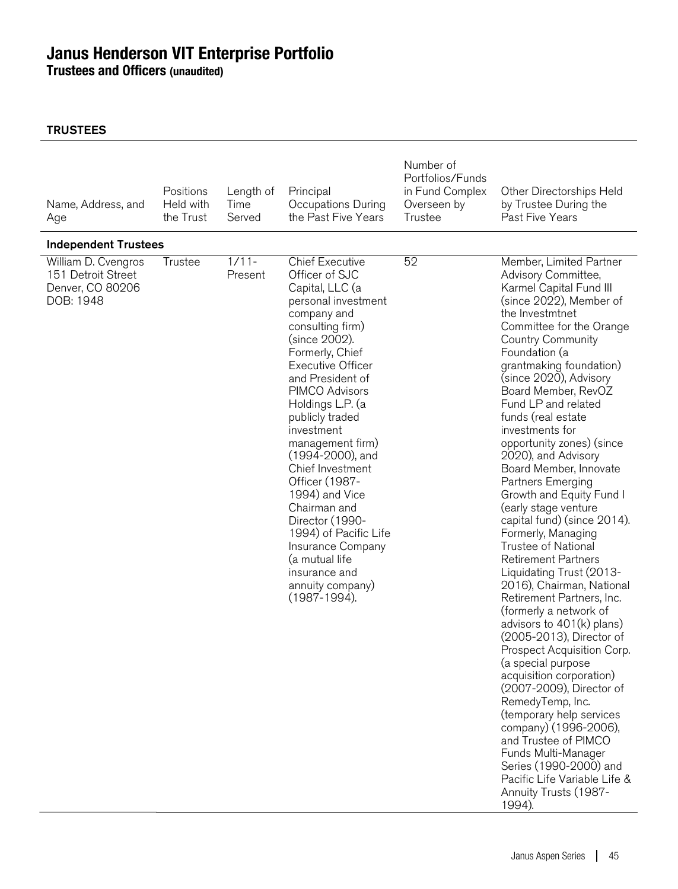**Trustees and Officers (unaudited)**

| Name, Address, and<br>Age                                                  | Positions<br>Held with<br>the Trust | Length of<br>Time<br>Served | Principal<br>Occupations During<br>the Past Five Years                                                                                                                                                                                                                                                                                                                                                                                                                                                                                        | Number of<br>Portfolios/Funds<br>in Fund Complex<br>Overseen by<br>Trustee | Other Directorships Held<br>by Trustee During the<br>Past Five Years                                                                                                                                                                                                                                                                                                                                                                                                                                                                                                                                                                                                                                                                                                                                                                                                                                                                                                                                                                                                                                                      |
|----------------------------------------------------------------------------|-------------------------------------|-----------------------------|-----------------------------------------------------------------------------------------------------------------------------------------------------------------------------------------------------------------------------------------------------------------------------------------------------------------------------------------------------------------------------------------------------------------------------------------------------------------------------------------------------------------------------------------------|----------------------------------------------------------------------------|---------------------------------------------------------------------------------------------------------------------------------------------------------------------------------------------------------------------------------------------------------------------------------------------------------------------------------------------------------------------------------------------------------------------------------------------------------------------------------------------------------------------------------------------------------------------------------------------------------------------------------------------------------------------------------------------------------------------------------------------------------------------------------------------------------------------------------------------------------------------------------------------------------------------------------------------------------------------------------------------------------------------------------------------------------------------------------------------------------------------------|
| <b>Independent Trustees</b>                                                |                                     |                             |                                                                                                                                                                                                                                                                                                                                                                                                                                                                                                                                               |                                                                            |                                                                                                                                                                                                                                                                                                                                                                                                                                                                                                                                                                                                                                                                                                                                                                                                                                                                                                                                                                                                                                                                                                                           |
| William D. Cvengros<br>151 Detroit Street<br>Denver, CO 80206<br>DOB: 1948 | Trustee                             | $1/11 -$<br>Present         | <b>Chief Executive</b><br>Officer of SJC<br>Capital, LLC (a<br>personal investment<br>company and<br>consulting firm)<br>(since 2002).<br>Formerly, Chief<br><b>Executive Officer</b><br>and President of<br>PIMCO Advisors<br>Holdings L.P. (a<br>publicly traded<br>investment<br>management firm)<br>(1994-2000), and<br>Chief Investment<br>Officer (1987-<br>1994) and Vice<br>Chairman and<br>Director (1990-<br>1994) of Pacific Life<br>Insurance Company<br>(a mutual life<br>insurance and<br>annuity company)<br>$(1987 - 1994)$ . | 52                                                                         | Member, Limited Partner<br>Advisory Committee,<br>Karmel Capital Fund III<br>(since 2022), Member of<br>the Investmtnet<br>Committee for the Orange<br><b>Country Community</b><br>Foundation (a<br>grantmaking foundation)<br>(since 2020), Advisory<br>Board Member, RevOZ<br>Fund LP and related<br>funds (real estate<br>investments for<br>opportunity zones) (since<br>2020), and Advisory<br>Board Member, Innovate<br>Partners Emerging<br>Growth and Equity Fund I<br>(early stage venture<br>capital fund) (since 2014).<br>Formerly, Managing<br>Trustee of National<br><b>Retirement Partners</b><br>Liquidating Trust (2013-<br>2016), Chairman, National<br>Retirement Partners, Inc.<br>(formerly a network of<br>advisors to $401(k)$ plans)<br>(2005-2013), Director of<br>Prospect Acquisition Corp.<br>(a special purpose<br>acquisition corporation)<br>(2007-2009), Director of<br>RemedyTemp, Inc.<br>(temporary help services<br>company) (1996-2006),<br>and Trustee of PIMCO<br>Funds Multi-Manager<br>Series (1990-2000) and<br>Pacific Life Variable Life &<br>Annuity Trusts (1987-<br>1994). |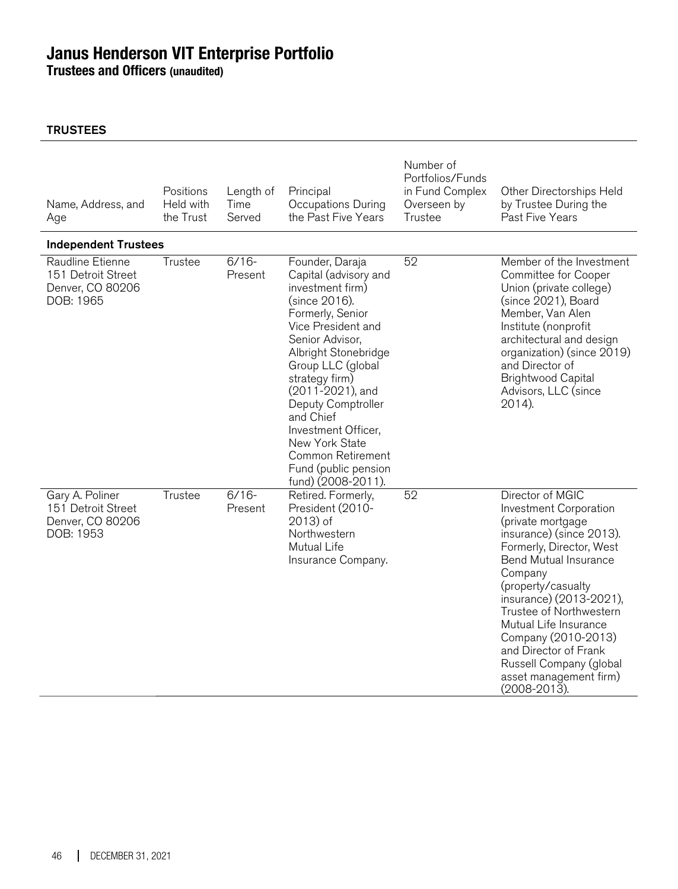**Trustees and Officers (unaudited)**

| Name, Address, and<br>Age                                               | Positions<br>Held with<br>the Trust | Length of<br>Time<br>Served | Principal<br>Occupations During<br>the Past Five Years                                                                                                                                                                                                                                                                                                                              | Number of<br>Portfolios/Funds<br>in Fund Complex<br>Overseen by<br>Trustee | Other Directorships Held<br>by Trustee During the<br>Past Five Years                                                                                                                                                                                                                                                                                                                         |
|-------------------------------------------------------------------------|-------------------------------------|-----------------------------|-------------------------------------------------------------------------------------------------------------------------------------------------------------------------------------------------------------------------------------------------------------------------------------------------------------------------------------------------------------------------------------|----------------------------------------------------------------------------|----------------------------------------------------------------------------------------------------------------------------------------------------------------------------------------------------------------------------------------------------------------------------------------------------------------------------------------------------------------------------------------------|
| <b>Independent Trustees</b>                                             |                                     |                             |                                                                                                                                                                                                                                                                                                                                                                                     |                                                                            |                                                                                                                                                                                                                                                                                                                                                                                              |
| Raudline Etienne<br>151 Detroit Street<br>Denver, CO 80206<br>DOB: 1965 | Trustee                             | $6/16-$<br>Present          | Founder, Daraja<br>Capital (advisory and<br>investment firm)<br>(since 2016).<br>Formerly, Senior<br>Vice President and<br>Senior Advisor,<br>Albright Stonebridge<br>Group LLC (global<br>strategy firm)<br>(2011-2021), and<br>Deputy Comptroller<br>and Chief<br>Investment Officer,<br>New York State<br><b>Common Retirement</b><br>Fund (public pension<br>fund) (2008-2011). | 52                                                                         | Member of the Investment<br>Committee for Cooper<br>Union (private college)<br>(since 2021), Board<br>Member, Van Alen<br>Institute (nonprofit<br>architectural and design<br>organization) (since 2019)<br>and Director of<br><b>Brightwood Capital</b><br>Advisors, LLC (since<br>2014).                                                                                                   |
| Gary A. Poliner<br>151 Detroit Street<br>Denver, CO 80206<br>DOB: 1953  | Trustee                             | $6/16-$<br>Present          | Retired. Formerly,<br>President (2010-<br>2013) of<br>Northwestern<br>Mutual Life<br>Insurance Company.                                                                                                                                                                                                                                                                             | 52                                                                         | Director of MGIC<br>Investment Corporation<br>(private mortgage<br>insurance) (since 2013).<br>Formerly, Director, West<br><b>Bend Mutual Insurance</b><br>Company<br>(property/casualty<br>insurance) (2013-2021),<br>Trustee of Northwestern<br>Mutual Life Insurance<br>Company (2010-2013)<br>and Director of Frank<br>Russell Company (global<br>asset management firm)<br>(2008-2013). |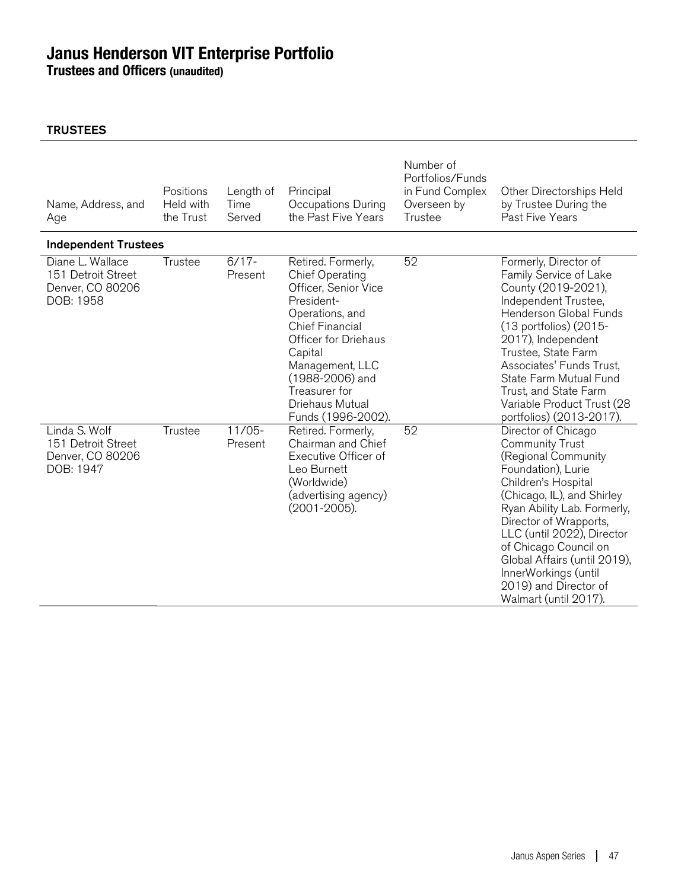**Trustees and Officers (unaudited)**

| Name, Address, and<br>Age                                               | Positions<br>Held with<br>the Trust | Length of<br>Time<br>Served | Principal<br>Occupations During<br>the Past Five Years                                                                                                                                                                                                      | Number of<br>Portfolios/Funds<br>in Fund Complex<br>Overseen by<br>Trustee | Other Directorships Held<br>by Trustee During the<br>Past Five Years                                                                                                                                                                                                                                                                                                      |
|-------------------------------------------------------------------------|-------------------------------------|-----------------------------|-------------------------------------------------------------------------------------------------------------------------------------------------------------------------------------------------------------------------------------------------------------|----------------------------------------------------------------------------|---------------------------------------------------------------------------------------------------------------------------------------------------------------------------------------------------------------------------------------------------------------------------------------------------------------------------------------------------------------------------|
| <b>Independent Trustees</b>                                             |                                     |                             |                                                                                                                                                                                                                                                             |                                                                            |                                                                                                                                                                                                                                                                                                                                                                           |
| Diane L. Wallace<br>151 Detroit Street<br>Denver, CO 80206<br>DOB: 1958 | Trustee                             | $6/17 -$<br>Present         | Retired. Formerly,<br><b>Chief Operating</b><br>Officer, Senior Vice<br>President-<br>Operations, and<br>Chief Financial<br>Officer for Driehaus<br>Capital<br>Management, LLC<br>(1988-2006) and<br>Treasurer for<br>Driehaus Mutual<br>Funds (1996-2002). | 52                                                                         | Formerly, Director of<br>Family Service of Lake<br>County (2019-2021),<br>Independent Trustee,<br>Henderson Global Funds<br>(13 portfolios) (2015-<br>2017), Independent<br>Trustee, State Farm<br>Associates' Funds Trust,<br>State Farm Mutual Fund<br>Trust, and State Farm<br>Variable Product Trust (28<br>portfolios) (2013-2017).                                  |
| Linda S. Wolf<br>151 Detroit Street<br>Denver, CO 80206<br>DOB: 1947    | Trustee                             | $11/05 -$<br>Present        | Retired. Formerly,<br>Chairman and Chief<br>Executive Officer of<br>Leo Burnett<br>(Worldwide)<br>(advertising agency)<br>(2001-2005).                                                                                                                      | 52                                                                         | Director of Chicago<br><b>Community Trust</b><br>(Regional Community<br>Foundation), Lurie<br>Children's Hospital<br>(Chicago, IL), and Shirley<br>Ryan Ability Lab. Formerly,<br>Director of Wrapports,<br>LLC (until 2022), Director<br>of Chicago Council on<br>Global Affairs (until 2019),<br>InnerWorkings (until<br>2019) and Director of<br>Walmart (until 2017). |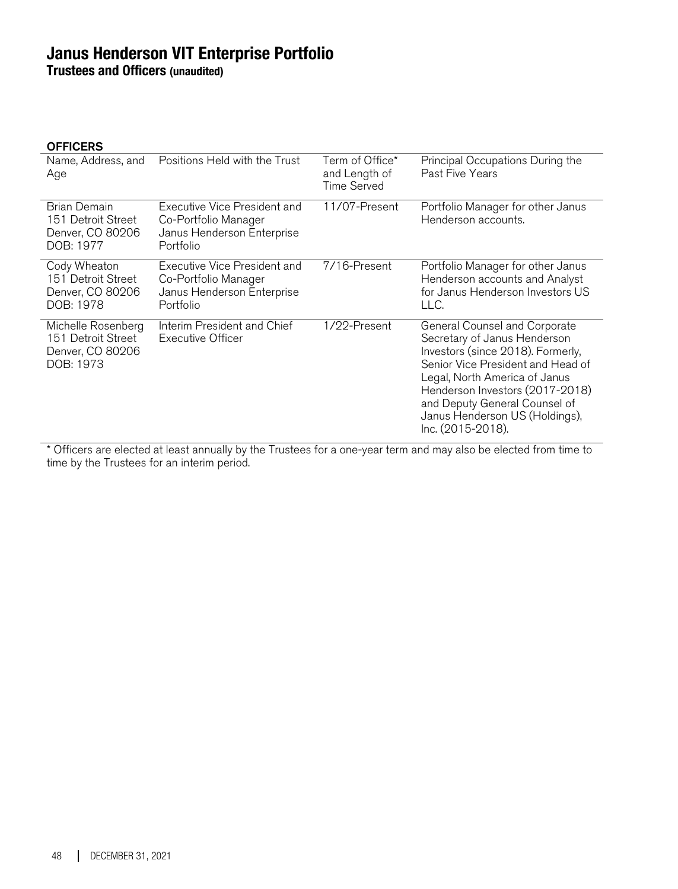**Trustees and Officers (unaudited)**

#### **OFFICERS**

| Name, Address, and<br>Age                                                 | Positions Held with the Trust                                                                   | Term of Office*<br>and Length of<br>Time Served | Principal Occupations During the<br>Past Five Years                                                                                                                                                                                                                                                 |
|---------------------------------------------------------------------------|-------------------------------------------------------------------------------------------------|-------------------------------------------------|-----------------------------------------------------------------------------------------------------------------------------------------------------------------------------------------------------------------------------------------------------------------------------------------------------|
| Brian Demain<br>151 Detroit Street<br>Denver, CO 80206<br>DOB: 1977       | Executive Vice President and<br>Co-Portfolio Manager<br>Janus Henderson Enterprise<br>Portfolio | 11/07-Present                                   | Portfolio Manager for other Janus<br>Henderson accounts.                                                                                                                                                                                                                                            |
| Cody Wheaton<br>151 Detroit Street<br>Denver, CO 80206<br>DOB: 1978       | Executive Vice President and<br>Co-Portfolio Manager<br>Janus Henderson Enterprise<br>Portfolio | 7/16-Present                                    | Portfolio Manager for other Janus<br>Henderson accounts and Analyst<br>for Janus Henderson Investors US<br>LLC.                                                                                                                                                                                     |
| Michelle Rosenberg<br>151 Detroit Street<br>Denver, CO 80206<br>DOB: 1973 | Interim President and Chief<br><b>Executive Officer</b>                                         | 1/22-Present                                    | General Counsel and Corporate<br>Secretary of Janus Henderson<br>Investors (since 2018). Formerly,<br>Senior Vice President and Head of<br>Legal, North America of Janus<br>Henderson Investors (2017-2018)<br>and Deputy General Counsel of<br>Janus Henderson US (Holdings),<br>Inc. (2015-2018). |

\* Officers are elected at least annually by the Trustees for a one-year term and may also be elected from time to time by the Trustees for an interim period.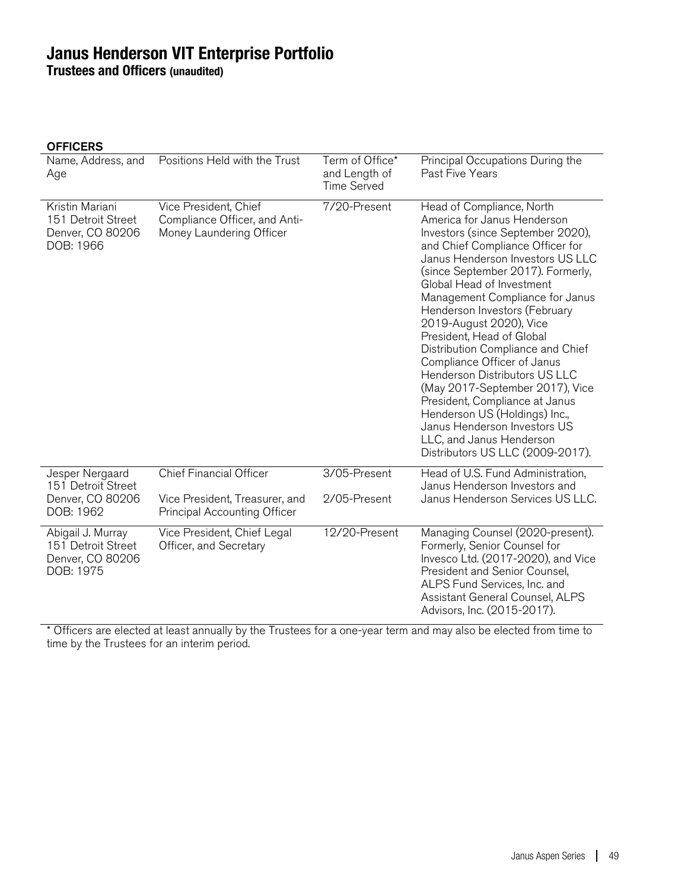**Trustees and Officers (unaudited)**

| <b>OFFICERS</b> |  |
|-----------------|--|
|-----------------|--|

| Name, Address, and<br>Age                                                | Positions Held with the Trust                                                      | Term of Office*<br>and Length of<br><b>Time Served</b> | Principal Occupations During the<br>Past Five Years                                                                                                                                                                                                                                                                                                                                                                                                                                                                                                                                                                                                                                   |  |
|--------------------------------------------------------------------------|------------------------------------------------------------------------------------|--------------------------------------------------------|---------------------------------------------------------------------------------------------------------------------------------------------------------------------------------------------------------------------------------------------------------------------------------------------------------------------------------------------------------------------------------------------------------------------------------------------------------------------------------------------------------------------------------------------------------------------------------------------------------------------------------------------------------------------------------------|--|
| Kristin Mariani<br>151 Detroit Street<br>Denver, CO 80206<br>DOB: 1966   | Vice President, Chief<br>Compliance Officer, and Anti-<br>Money Laundering Officer | 7/20-Present                                           | Head of Compliance, North<br>America for Janus Henderson<br>Investors (since September 2020),<br>and Chief Compliance Officer for<br>Janus Henderson Investors US LLC<br>(since September 2017). Formerly,<br>Global Head of Investment<br>Management Compliance for Janus<br>Henderson Investors (February<br>2019-August 2020), Vice<br>President, Head of Global<br>Distribution Compliance and Chief<br>Compliance Officer of Janus<br><b>Henderson Distributors US LLC</b><br>(May 2017-September 2017), Vice<br>President, Compliance at Janus<br>Henderson US (Holdings) Inc.,<br>Janus Henderson Investors US<br>LLC, and Janus Henderson<br>Distributors US LLC (2009-2017). |  |
| Jesper Nergaard<br>151 Detroit Street<br>Denver, CO 80206<br>DOB: 1962   | <b>Chief Financial Officer</b><br>Vice President, Treasurer, and                   | 3/05-Present<br>2/05-Present                           | Head of U.S. Fund Administration,<br>Janus Henderson Investors and<br>Janus Henderson Services US LLC.                                                                                                                                                                                                                                                                                                                                                                                                                                                                                                                                                                                |  |
|                                                                          | <b>Principal Accounting Officer</b>                                                |                                                        |                                                                                                                                                                                                                                                                                                                                                                                                                                                                                                                                                                                                                                                                                       |  |
| Abigail J. Murray<br>151 Detroit Street<br>Denver, CO 80206<br>DOB: 1975 | Vice President, Chief Legal<br>Officer, and Secretary                              | 12/20-Present                                          | Managing Counsel (2020-present).<br>Formerly, Senior Counsel for<br>Invesco Ltd. (2017-2020), and Vice<br>President and Senior Counsel,<br>ALPS Fund Services, Inc. and<br>Assistant General Counsel, ALPS<br>Advisors, Inc. (2015-2017).                                                                                                                                                                                                                                                                                                                                                                                                                                             |  |

\* Officers are elected at least annually by the Trustees for a one-year term and may also be elected from time to time by the Trustees for an interim period.